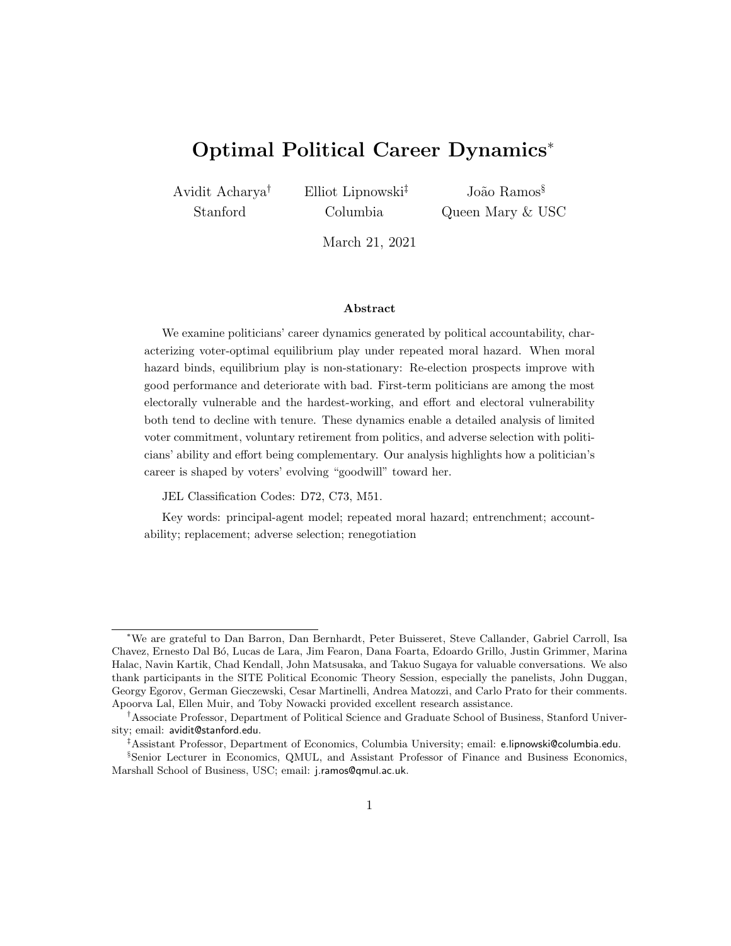# Optimal Political Career Dynamics<sup>∗</sup>

Avidit Acharya† Stanford

Elliot Lipnowski‡ Columbia

João Ramos<sup>§</sup> Queen Mary & USC

March 21, 2021

#### Abstract

We examine politicians' career dynamics generated by political accountability, characterizing voter-optimal equilibrium play under repeated moral hazard. When moral hazard binds, equilibrium play is non-stationary: Re-election prospects improve with good performance and deteriorate with bad. First-term politicians are among the most electorally vulnerable and the hardest-working, and effort and electoral vulnerability both tend to decline with tenure. These dynamics enable a detailed analysis of limited voter commitment, voluntary retirement from politics, and adverse selection with politicians' ability and effort being complementary. Our analysis highlights how a politician's career is shaped by voters' evolving "goodwill" toward her.

JEL Classification Codes: D72, C73, M51.

Key words: principal-agent model; repeated moral hazard; entrenchment; accountability; replacement; adverse selection; renegotiation

<sup>∗</sup>We are grateful to Dan Barron, Dan Bernhardt, Peter Buisseret, Steve Callander, Gabriel Carroll, Isa Chavez, Ernesto Dal B´o, Lucas de Lara, Jim Fearon, Dana Foarta, Edoardo Grillo, Justin Grimmer, Marina Halac, Navin Kartik, Chad Kendall, John Matsusaka, and Takuo Sugaya for valuable conversations. We also thank participants in the SITE Political Economic Theory Session, especially the panelists, John Duggan, Georgy Egorov, German Gieczewski, Cesar Martinelli, Andrea Matozzi, and Carlo Prato for their comments. Apoorva Lal, Ellen Muir, and Toby Nowacki provided excellent research assistance.

<sup>†</sup>Associate Professor, Department of Political Science and Graduate School of Business, Stanford University; email: avidit@stanford.edu.

<sup>‡</sup>Assistant Professor, Department of Economics, Columbia University; email: e.lipnowski@columbia.edu. §Senior Lecturer in Economics, QMUL, and Assistant Professor of Finance and Business Economics,

Marshall School of Business, USC; email: j.ramos@qmul.ac.uk.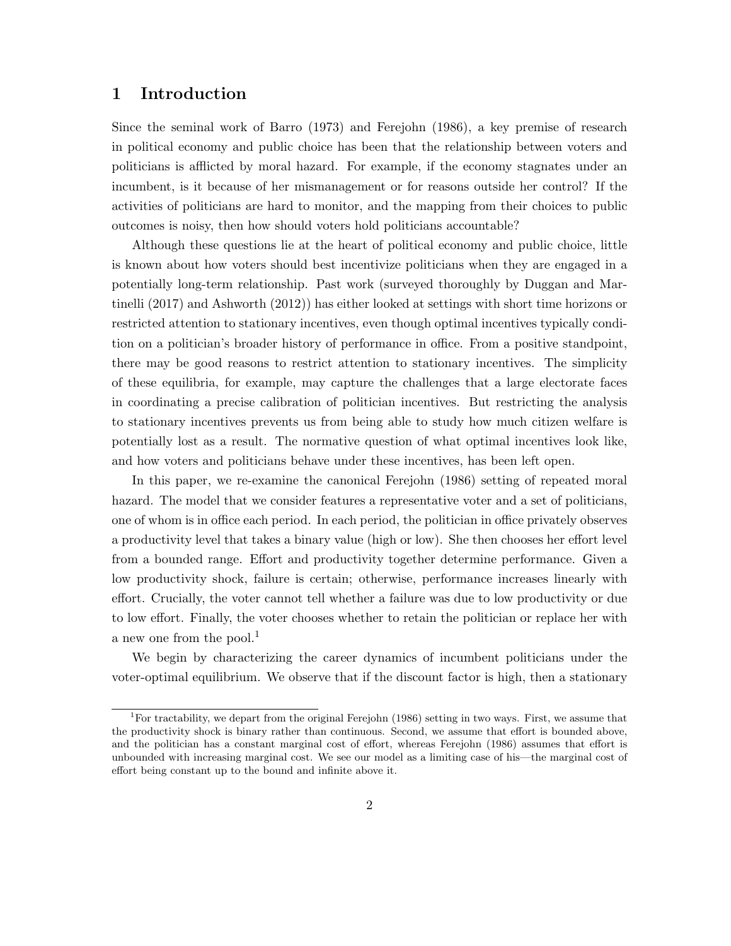### 1 Introduction

Since the seminal work of Barro (1973) and Ferejohn (1986), a key premise of research in political economy and public choice has been that the relationship between voters and politicians is afflicted by moral hazard. For example, if the economy stagnates under an incumbent, is it because of her mismanagement or for reasons outside her control? If the activities of politicians are hard to monitor, and the mapping from their choices to public outcomes is noisy, then how should voters hold politicians accountable?

Although these questions lie at the heart of political economy and public choice, little is known about how voters should best incentivize politicians when they are engaged in a potentially long-term relationship. Past work (surveyed thoroughly by Duggan and Martinelli (2017) and Ashworth (2012)) has either looked at settings with short time horizons or restricted attention to stationary incentives, even though optimal incentives typically condition on a politician's broader history of performance in office. From a positive standpoint, there may be good reasons to restrict attention to stationary incentives. The simplicity of these equilibria, for example, may capture the challenges that a large electorate faces in coordinating a precise calibration of politician incentives. But restricting the analysis to stationary incentives prevents us from being able to study how much citizen welfare is potentially lost as a result. The normative question of what optimal incentives look like, and how voters and politicians behave under these incentives, has been left open.

In this paper, we re-examine the canonical Ferejohn (1986) setting of repeated moral hazard. The model that we consider features a representative voter and a set of politicians, one of whom is in office each period. In each period, the politician in office privately observes a productivity level that takes a binary value (high or low). She then chooses her effort level from a bounded range. Effort and productivity together determine performance. Given a low productivity shock, failure is certain; otherwise, performance increases linearly with effort. Crucially, the voter cannot tell whether a failure was due to low productivity or due to low effort. Finally, the voter chooses whether to retain the politician or replace her with a new one from the pool.<sup>1</sup>

We begin by characterizing the career dynamics of incumbent politicians under the voter-optimal equilibrium. We observe that if the discount factor is high, then a stationary

<sup>&</sup>lt;sup>1</sup>For tractability, we depart from the original Ferejohn (1986) setting in two ways. First, we assume that the productivity shock is binary rather than continuous. Second, we assume that effort is bounded above, and the politician has a constant marginal cost of effort, whereas Ferejohn (1986) assumes that effort is unbounded with increasing marginal cost. We see our model as a limiting case of his—the marginal cost of effort being constant up to the bound and infinite above it.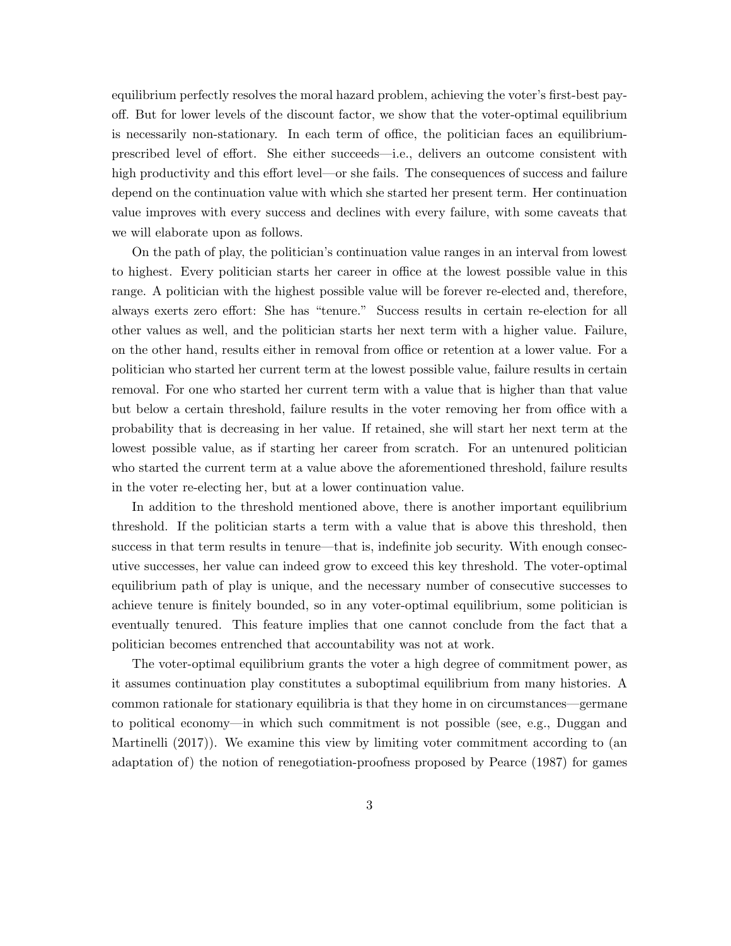equilibrium perfectly resolves the moral hazard problem, achieving the voter's first-best payoff. But for lower levels of the discount factor, we show that the voter-optimal equilibrium is necessarily non-stationary. In each term of office, the politician faces an equilibriumprescribed level of effort. She either succeeds—i.e., delivers an outcome consistent with high productivity and this effort level—or she fails. The consequences of success and failure depend on the continuation value with which she started her present term. Her continuation value improves with every success and declines with every failure, with some caveats that we will elaborate upon as follows.

On the path of play, the politician's continuation value ranges in an interval from lowest to highest. Every politician starts her career in office at the lowest possible value in this range. A politician with the highest possible value will be forever re-elected and, therefore, always exerts zero effort: She has "tenure." Success results in certain re-election for all other values as well, and the politician starts her next term with a higher value. Failure, on the other hand, results either in removal from office or retention at a lower value. For a politician who started her current term at the lowest possible value, failure results in certain removal. For one who started her current term with a value that is higher than that value but below a certain threshold, failure results in the voter removing her from office with a probability that is decreasing in her value. If retained, she will start her next term at the lowest possible value, as if starting her career from scratch. For an untenured politician who started the current term at a value above the aforementioned threshold, failure results in the voter re-electing her, but at a lower continuation value.

In addition to the threshold mentioned above, there is another important equilibrium threshold. If the politician starts a term with a value that is above this threshold, then success in that term results in tenure—that is, indefinite job security. With enough consecutive successes, her value can indeed grow to exceed this key threshold. The voter-optimal equilibrium path of play is unique, and the necessary number of consecutive successes to achieve tenure is finitely bounded, so in any voter-optimal equilibrium, some politician is eventually tenured. This feature implies that one cannot conclude from the fact that a politician becomes entrenched that accountability was not at work.

The voter-optimal equilibrium grants the voter a high degree of commitment power, as it assumes continuation play constitutes a suboptimal equilibrium from many histories. A common rationale for stationary equilibria is that they home in on circumstances—germane to political economy—in which such commitment is not possible (see, e.g., Duggan and Martinelli (2017)). We examine this view by limiting voter commitment according to (an adaptation of) the notion of renegotiation-proofness proposed by Pearce (1987) for games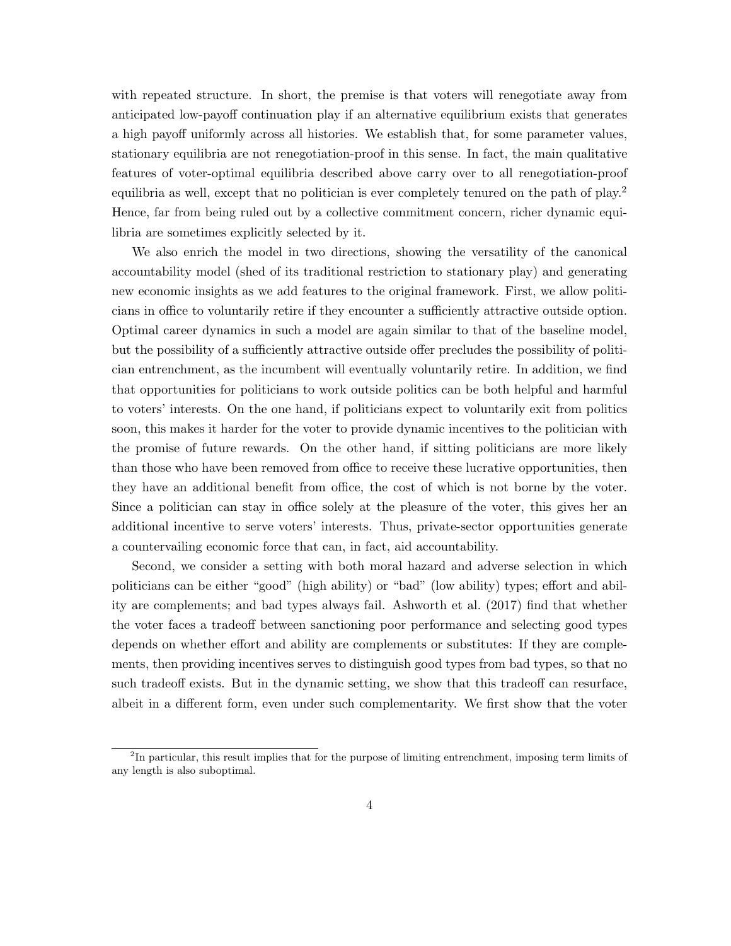with repeated structure. In short, the premise is that voters will renegotiate away from anticipated low-payoff continuation play if an alternative equilibrium exists that generates a high payoff uniformly across all histories. We establish that, for some parameter values, stationary equilibria are not renegotiation-proof in this sense. In fact, the main qualitative features of voter-optimal equilibria described above carry over to all renegotiation-proof equilibria as well, except that no politician is ever completely tenured on the path of play.<sup>2</sup> Hence, far from being ruled out by a collective commitment concern, richer dynamic equilibria are sometimes explicitly selected by it.

We also enrich the model in two directions, showing the versatility of the canonical accountability model (shed of its traditional restriction to stationary play) and generating new economic insights as we add features to the original framework. First, we allow politicians in office to voluntarily retire if they encounter a sufficiently attractive outside option. Optimal career dynamics in such a model are again similar to that of the baseline model, but the possibility of a sufficiently attractive outside offer precludes the possibility of politician entrenchment, as the incumbent will eventually voluntarily retire. In addition, we find that opportunities for politicians to work outside politics can be both helpful and harmful to voters' interests. On the one hand, if politicians expect to voluntarily exit from politics soon, this makes it harder for the voter to provide dynamic incentives to the politician with the promise of future rewards. On the other hand, if sitting politicians are more likely than those who have been removed from office to receive these lucrative opportunities, then they have an additional benefit from office, the cost of which is not borne by the voter. Since a politician can stay in office solely at the pleasure of the voter, this gives her an additional incentive to serve voters' interests. Thus, private-sector opportunities generate a countervailing economic force that can, in fact, aid accountability.

Second, we consider a setting with both moral hazard and adverse selection in which politicians can be either "good" (high ability) or "bad" (low ability) types; effort and ability are complements; and bad types always fail. Ashworth et al. (2017) find that whether the voter faces a tradeoff between sanctioning poor performance and selecting good types depends on whether effort and ability are complements or substitutes: If they are complements, then providing incentives serves to distinguish good types from bad types, so that no such tradeoff exists. But in the dynamic setting, we show that this tradeoff can resurface, albeit in a different form, even under such complementarity. We first show that the voter

<sup>&</sup>lt;sup>2</sup>In particular, this result implies that for the purpose of limiting entrenchment, imposing term limits of any length is also suboptimal.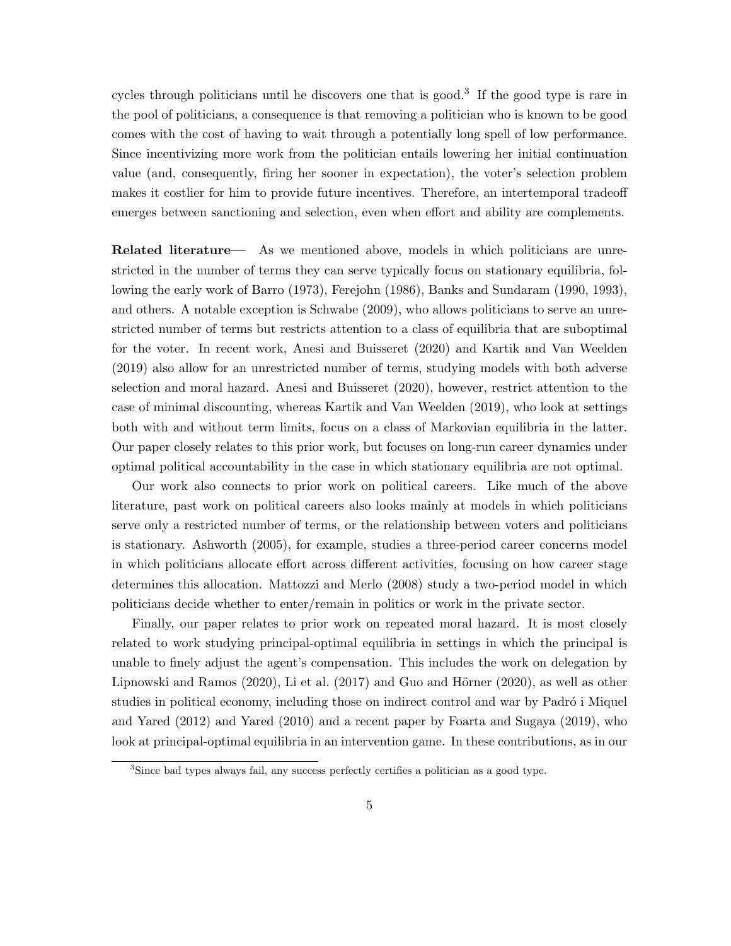cycles through politicians until he discovers one that is good.<sup>3</sup> If the good type is rare in the pool of politicians, a consequence is that removing a politician who is known to be good comes with the cost of having to wait through a potentially long spell of low performance. Since incentivizing more work from the politician entails lowering her initial continuation value (and, consequently, firing her sooner in expectation), the voter's selection problem makes it costlier for him to provide future incentives. Therefore, an intertemporal tradeoff emerges between sanctioning and selection, even when effort and ability are complements.

Related literature— As we mentioned above, models in which politicians are unrestricted in the number of terms they can serve typically focus on stationary equilibria, following the early work of Barro (1973), Ferejohn (1986), Banks and Sundaram (1990, 1993), and others. A notable exception is Schwabe (2009), who allows politicians to serve an unrestricted number of terms but restricts attention to a class of equilibria that are suboptimal for the voter. In recent work, Anesi and Buisseret (2020) and Kartik and Van Weelden (2019) also allow for an unrestricted number of terms, studying models with both adverse selection and moral hazard. Anesi and Buisseret (2020), however, restrict attention to the case of minimal discounting, whereas Kartik and Van Weelden (2019), who look at settings both with and without term limits, focus on a class of Markovian equilibria in the latter. Our paper closely relates to this prior work, but focuses on long-run career dynamics under optimal political accountability in the case in which stationary equilibria are not optimal.

Our work also connects to prior work on political careers. Like much of the above literature, past work on political careers also looks mainly at models in which politicians serve only a restricted number of terms, or the relationship between voters and politicians is stationary. Ashworth (2005), for example, studies a three-period career concerns model in which politicians allocate effort across different activities, focusing on how career stage determines this allocation. Mattozzi and Merlo (2008) study a two-period model in which politicians decide whether to enter/remain in politics or work in the private sector.

Finally, our paper relates to prior work on repeated moral hazard. It is most closely related to work studying principal-optimal equilibria in settings in which the principal is unable to finely adjust the agent's compensation. This includes the work on delegation by Lipnowski and Ramos  $(2020)$ , Li et al.  $(2017)$  and Guo and Hörner  $(2020)$ , as well as other studies in political economy, including those on indirect control and war by Padró i Miquel and Yared (2012) and Yared (2010) and a recent paper by Foarta and Sugaya (2019), who look at principal-optimal equilibria in an intervention game. In these contributions, as in our

<sup>3</sup>Since bad types always fail, any success perfectly certifies a politician as a good type.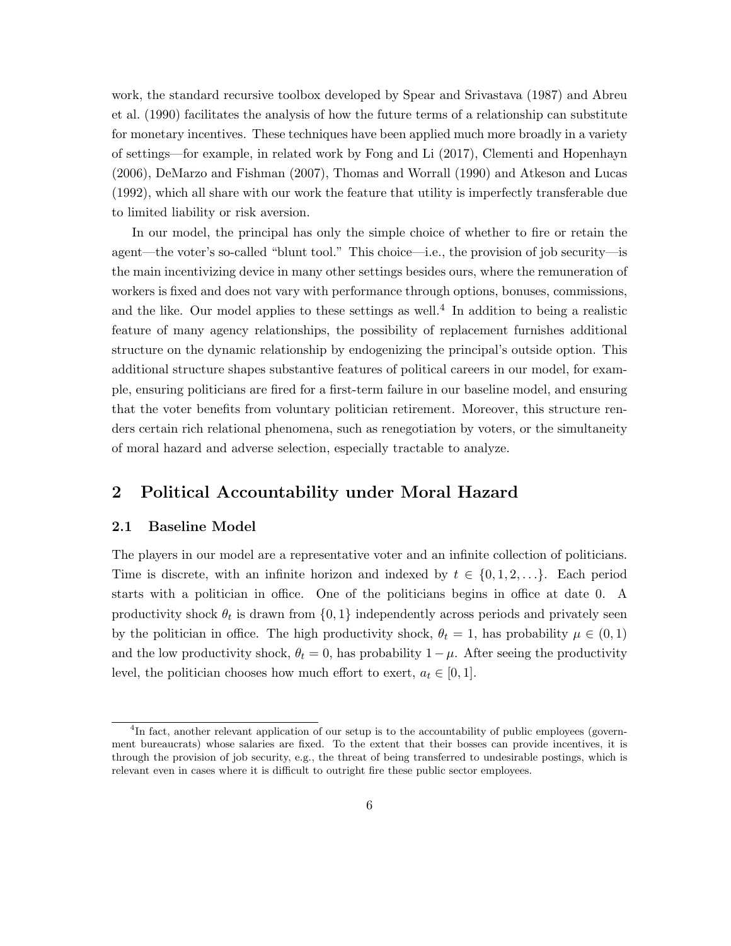work, the standard recursive toolbox developed by Spear and Srivastava (1987) and Abreu et al. (1990) facilitates the analysis of how the future terms of a relationship can substitute for monetary incentives. These techniques have been applied much more broadly in a variety of settings—for example, in related work by Fong and Li (2017), Clementi and Hopenhayn (2006), DeMarzo and Fishman (2007), Thomas and Worrall (1990) and Atkeson and Lucas (1992), which all share with our work the feature that utility is imperfectly transferable due to limited liability or risk aversion.

In our model, the principal has only the simple choice of whether to fire or retain the agent—the voter's so-called "blunt tool." This choice—i.e., the provision of job security—is the main incentivizing device in many other settings besides ours, where the remuneration of workers is fixed and does not vary with performance through options, bonuses, commissions, and the like. Our model applies to these settings as well.<sup>4</sup> In addition to being a realistic feature of many agency relationships, the possibility of replacement furnishes additional structure on the dynamic relationship by endogenizing the principal's outside option. This additional structure shapes substantive features of political careers in our model, for example, ensuring politicians are fired for a first-term failure in our baseline model, and ensuring that the voter benefits from voluntary politician retirement. Moreover, this structure renders certain rich relational phenomena, such as renegotiation by voters, or the simultaneity of moral hazard and adverse selection, especially tractable to analyze.

# 2 Political Accountability under Moral Hazard

#### 2.1 Baseline Model

The players in our model are a representative voter and an infinite collection of politicians. Time is discrete, with an infinite horizon and indexed by  $t \in \{0, 1, 2, \ldots\}$ . Each period starts with a politician in office. One of the politicians begins in office at date 0. A productivity shock  $\theta_t$  is drawn from  $\{0, 1\}$  independently across periods and privately seen by the politician in office. The high productivity shock,  $\theta_t = 1$ , has probability  $\mu \in (0,1)$ and the low productivity shock,  $\theta_t = 0$ , has probability  $1 - \mu$ . After seeing the productivity level, the politician chooses how much effort to exert,  $a_t \in [0,1]$ .

<sup>&</sup>lt;sup>4</sup>In fact, another relevant application of our setup is to the accountability of public employees (government bureaucrats) whose salaries are fixed. To the extent that their bosses can provide incentives, it is through the provision of job security, e.g., the threat of being transferred to undesirable postings, which is relevant even in cases where it is difficult to outright fire these public sector employees.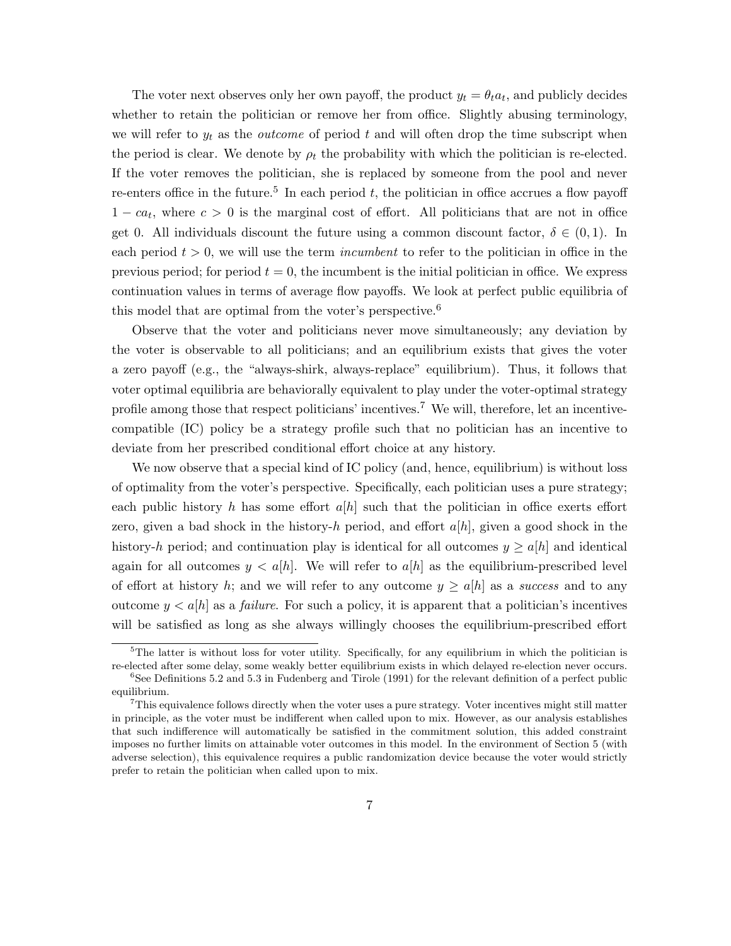The voter next observes only her own payoff, the product  $y_t = \theta_t a_t$ , and publicly decides whether to retain the politician or remove her from office. Slightly abusing terminology, we will refer to  $y_t$  as the *outcome* of period t and will often drop the time subscript when the period is clear. We denote by  $\rho_t$  the probability with which the politician is re-elected. If the voter removes the politician, she is replaced by someone from the pool and never re-enters office in the future.<sup>5</sup> In each period  $t$ , the politician in office accrues a flow payoff  $1 - ca_t$ , where  $c > 0$  is the marginal cost of effort. All politicians that are not in office get 0. All individuals discount the future using a common discount factor,  $\delta \in (0,1)$ . In each period  $t > 0$ , we will use the term *incumbent* to refer to the politician in office in the previous period; for period  $t = 0$ , the incumbent is the initial politician in office. We express continuation values in terms of average flow payoffs. We look at perfect public equilibria of this model that are optimal from the voter's perspective.<sup>6</sup>

Observe that the voter and politicians never move simultaneously; any deviation by the voter is observable to all politicians; and an equilibrium exists that gives the voter a zero payoff (e.g., the "always-shirk, always-replace" equilibrium). Thus, it follows that voter optimal equilibria are behaviorally equivalent to play under the voter-optimal strategy profile among those that respect politicians' incentives.<sup>7</sup> We will, therefore, let an incentivecompatible (IC) policy be a strategy profile such that no politician has an incentive to deviate from her prescribed conditional effort choice at any history.

We now observe that a special kind of IC policy (and, hence, equilibrium) is without loss of optimality from the voter's perspective. Specifically, each politician uses a pure strategy; each public history h has some effort  $a[h]$  such that the politician in office exerts effort zero, given a bad shock in the history-h period, and effort  $a[h]$ , given a good shock in the history-h period; and continuation play is identical for all outcomes  $y \ge a[h]$  and identical again for all outcomes  $y < a[h]$ . We will refer to  $a[h]$  as the equilibrium-prescribed level of effort at history h; and we will refer to any outcome  $y \ge a[h]$  as a success and to any outcome  $y < a[h]$  as a *failure*. For such a policy, it is apparent that a politician's incentives will be satisfied as long as she always willingly chooses the equilibrium-prescribed effort

 $5$ The latter is without loss for voter utility. Specifically, for any equilibrium in which the politician is re-elected after some delay, some weakly better equilibrium exists in which delayed re-election never occurs.

 ${}^{6}$ See Definitions 5.2 and 5.3 in Fudenberg and Tirole (1991) for the relevant definition of a perfect public equilibrium.

<sup>7</sup>This equivalence follows directly when the voter uses a pure strategy. Voter incentives might still matter in principle, as the voter must be indifferent when called upon to mix. However, as our analysis establishes that such indifference will automatically be satisfied in the commitment solution, this added constraint imposes no further limits on attainable voter outcomes in this model. In the environment of Section 5 (with adverse selection), this equivalence requires a public randomization device because the voter would strictly prefer to retain the politician when called upon to mix.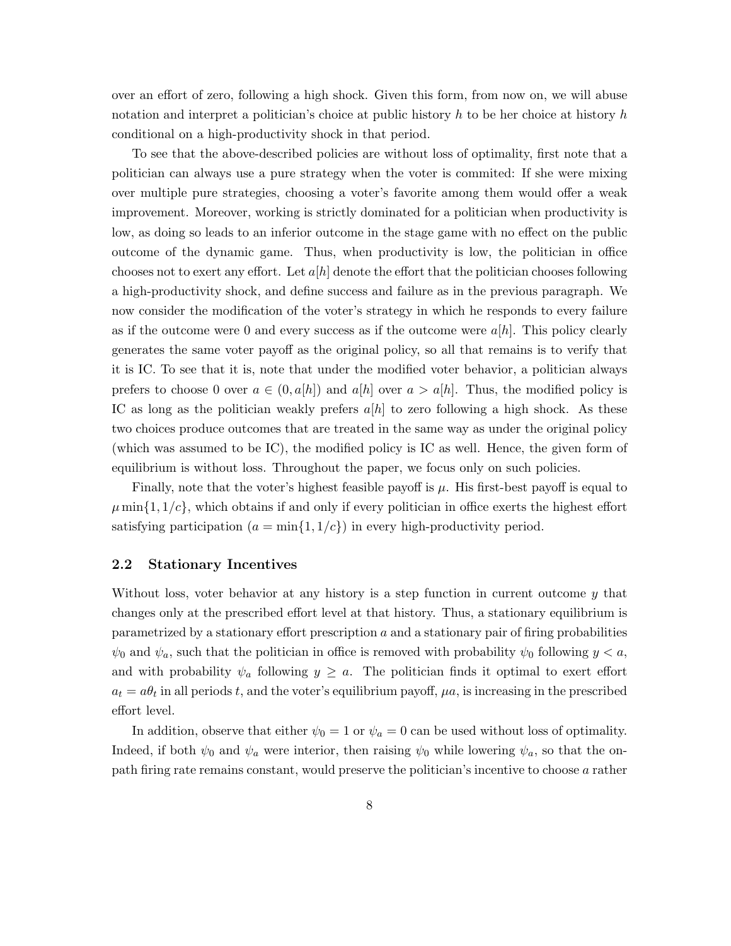over an effort of zero, following a high shock. Given this form, from now on, we will abuse notation and interpret a politician's choice at public history h to be her choice at history h conditional on a high-productivity shock in that period.

To see that the above-described policies are without loss of optimality, first note that a politician can always use a pure strategy when the voter is commited: If she were mixing over multiple pure strategies, choosing a voter's favorite among them would offer a weak improvement. Moreover, working is strictly dominated for a politician when productivity is low, as doing so leads to an inferior outcome in the stage game with no effect on the public outcome of the dynamic game. Thus, when productivity is low, the politician in office chooses not to exert any effort. Let  $a[h]$  denote the effort that the politician chooses following a high-productivity shock, and define success and failure as in the previous paragraph. We now consider the modification of the voter's strategy in which he responds to every failure as if the outcome were 0 and every success as if the outcome were  $a[h]$ . This policy clearly generates the same voter payoff as the original policy, so all that remains is to verify that it is IC. To see that it is, note that under the modified voter behavior, a politician always prefers to choose 0 over  $a \in (0, a[h])$  and  $a[h]$  over  $a > a[h]$ . Thus, the modified policy is IC as long as the politician weakly prefers  $a[h]$  to zero following a high shock. As these two choices produce outcomes that are treated in the same way as under the original policy (which was assumed to be IC), the modified policy is IC as well. Hence, the given form of equilibrium is without loss. Throughout the paper, we focus only on such policies.

Finally, note that the voter's highest feasible payoff is  $\mu$ . His first-best payoff is equal to  $\mu$  min{1, 1/c}, which obtains if and only if every politician in office exerts the highest effort satisfying participation  $(a = min\{1, 1/c\})$  in every high-productivity period.

### 2.2 Stationary Incentives

Without loss, voter behavior at any history is a step function in current outcome  $y$  that changes only at the prescribed effort level at that history. Thus, a stationary equilibrium is parametrized by a stationary effort prescription a and a stationary pair of firing probabilities  $\psi_0$  and  $\psi_a$ , such that the politician in office is removed with probability  $\psi_0$  following  $y < a$ , and with probability  $\psi_a$  following  $y \geq a$ . The politician finds it optimal to exert effort  $a_t = a\theta_t$  in all periods t, and the voter's equilibrium payoff,  $\mu a$ , is increasing in the prescribed effort level.

In addition, observe that either  $\psi_0 = 1$  or  $\psi_a = 0$  can be used without loss of optimality. Indeed, if both  $\psi_0$  and  $\psi_a$  were interior, then raising  $\psi_0$  while lowering  $\psi_a$ , so that the onpath firing rate remains constant, would preserve the politician's incentive to choose a rather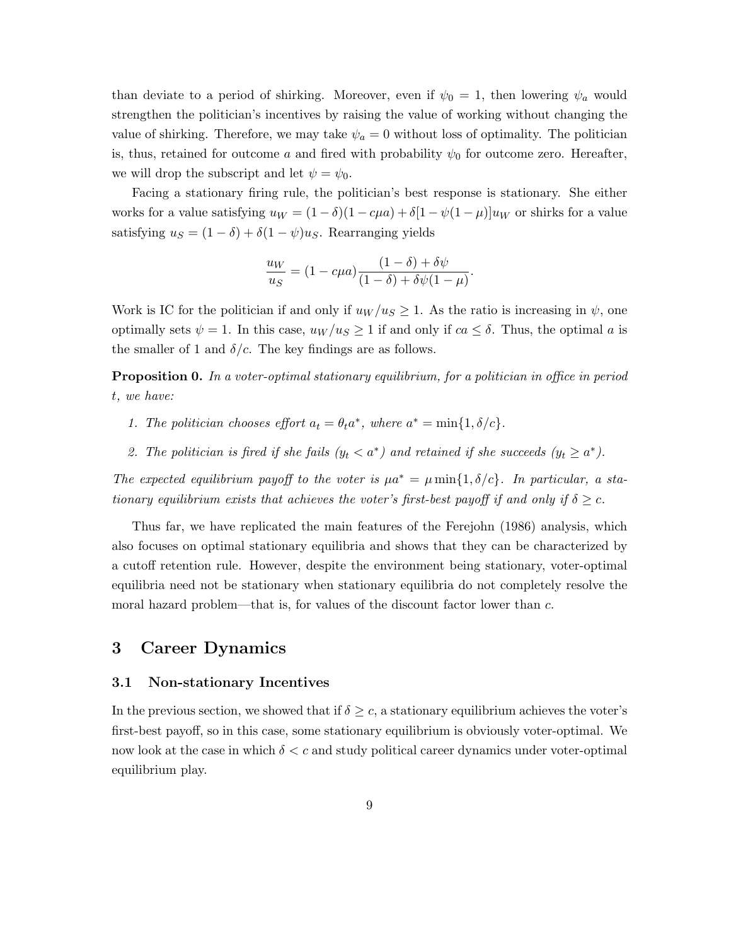than deviate to a period of shirking. Moreover, even if  $\psi_0 = 1$ , then lowering  $\psi_a$  would strengthen the politician's incentives by raising the value of working without changing the value of shirking. Therefore, we may take  $\psi_a = 0$  without loss of optimality. The politician is, thus, retained for outcome a and fired with probability  $\psi_0$  for outcome zero. Hereafter, we will drop the subscript and let  $\psi = \psi_0$ .

Facing a stationary firing rule, the politician's best response is stationary. She either works for a value satisfying  $u_W = (1 - \delta)(1 - c\mu a) + \delta[1 - \psi(1 - \mu)]u_W$  or shirks for a value satisfying  $u_S = (1 - \delta) + \delta(1 - \psi)u_S$ . Rearranging yields

$$
\frac{u_W}{u_S} = (1 - c\mu a) \frac{(1 - \delta) + \delta \psi}{(1 - \delta) + \delta \psi (1 - \mu)}
$$

.

Work is IC for the politician if and only if  $u_W/u_S \geq 1$ . As the ratio is increasing in  $\psi$ , one optimally sets  $\psi = 1$ . In this case,  $u_W/u_S \ge 1$  if and only if  $ca \le \delta$ . Thus, the optimal a is the smaller of 1 and  $\delta/c$ . The key findings are as follows.

**Proposition 0.** In a voter-optimal stationary equilibrium, for a politician in office in period t, we have:

- 1. The politician chooses effort  $a_t = \theta_t a^*$ , where  $a^* = \min\{1, \delta/c\}$ .
- 2. The politician is fired if she fails  $(y_t < a^*)$  and retained if she succeeds  $(y_t \ge a^*)$ .

The expected equilibrium payoff to the voter is  $\mu a^* = \mu \min\{1, \delta/c\}$ . In particular, a stationary equilibrium exists that achieves the voter's first-best payoff if and only if  $\delta \geq c$ .

Thus far, we have replicated the main features of the Ferejohn (1986) analysis, which also focuses on optimal stationary equilibria and shows that they can be characterized by a cutoff retention rule. However, despite the environment being stationary, voter-optimal equilibria need not be stationary when stationary equilibria do not completely resolve the moral hazard problem—that is, for values of the discount factor lower than c.

### 3 Career Dynamics

#### 3.1 Non-stationary Incentives

In the previous section, we showed that if  $\delta \geq c$ , a stationary equilibrium achieves the voter's first-best payoff, so in this case, some stationary equilibrium is obviously voter-optimal. We now look at the case in which  $\delta < c$  and study political career dynamics under voter-optimal equilibrium play.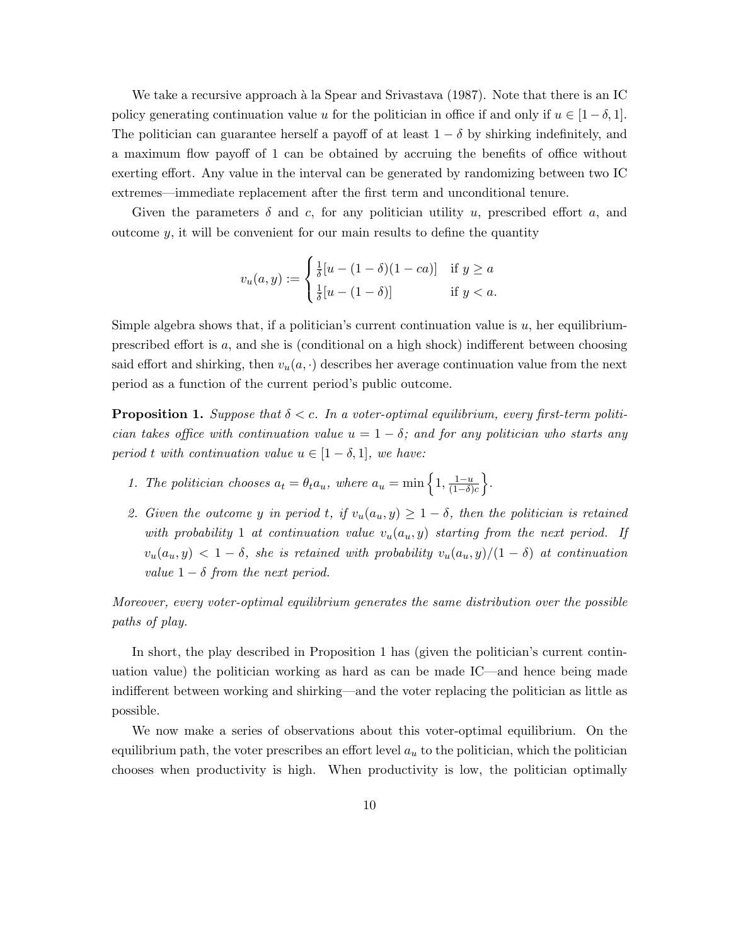We take a recursive approach à la Spear and Srivastava  $(1987)$ . Note that there is an IC policy generating continuation value u for the politician in office if and only if  $u \in [1-\delta, 1]$ . The politician can guarantee herself a payoff of at least  $1 - \delta$  by shirking indefinitely, and a maximum flow payoff of 1 can be obtained by accruing the benefits of office without exerting effort. Any value in the interval can be generated by randomizing between two IC extremes—immediate replacement after the first term and unconditional tenure.

Given the parameters  $\delta$  and c, for any politician utility u, prescribed effort a, and outcome  $y$ , it will be convenient for our main results to define the quantity

$$
v_u(a, y) := \begin{cases} \frac{1}{\delta} [u - (1 - \delta)(1 - ca)] & \text{if } y \ge a \\ \frac{1}{\delta} [u - (1 - \delta)] & \text{if } y < a. \end{cases}
$$

Simple algebra shows that, if a politician's current continuation value is  $u$ , her equilibriumprescribed effort is a, and she is (conditional on a high shock) indifferent between choosing said effort and shirking, then  $v_u(a, \cdot)$  describes her average continuation value from the next period as a function of the current period's public outcome.

**Proposition 1.** Suppose that  $\delta < c$ . In a voter-optimal equilibrium, every first-term politician takes office with continuation value  $u = 1 - \delta$ ; and for any politician who starts any period t with continuation value  $u \in [1-\delta, 1]$ , we have:

- 1. The politician chooses  $a_t = \theta_t a_u$ , where  $a_u = \min\left\{1, \frac{1-u}{(1-\delta)}\right\}$  $\frac{1-u}{(1-\delta)c}$ .
- 2. Given the outcome y in period t, if  $v_u(a_u, y) \geq 1 \delta$ , then the politician is retained with probability 1 at continuation value  $v_u(a_u, y)$  starting from the next period. If  $v_u(a_u, y) < 1 - \delta$ , she is retained with probability  $v_u(a_u, y)/(1 - \delta)$  at continuation value  $1 - \delta$  from the next period.

Moreover, every voter-optimal equilibrium generates the same distribution over the possible paths of play.

In short, the play described in Proposition 1 has (given the politician's current continuation value) the politician working as hard as can be made IC—and hence being made indifferent between working and shirking—and the voter replacing the politician as little as possible.

We now make a series of observations about this voter-optimal equilibrium. On the equilibrium path, the voter prescribes an effort level  $a<sub>u</sub>$  to the politician, which the politician chooses when productivity is high. When productivity is low, the politician optimally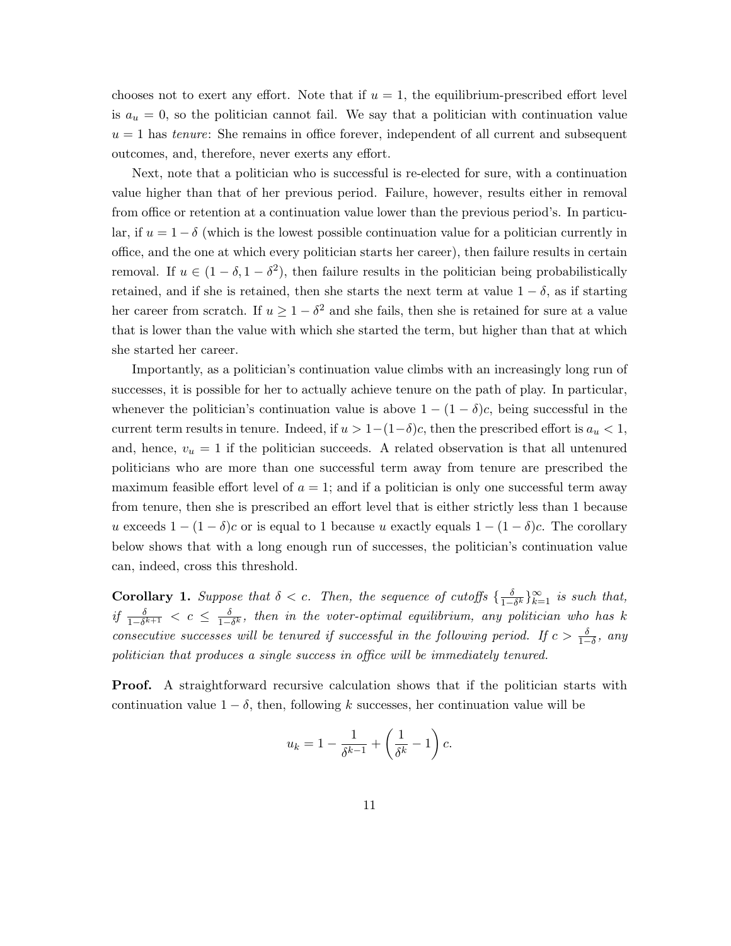chooses not to exert any effort. Note that if  $u = 1$ , the equilibrium-prescribed effort level is  $a_u = 0$ , so the politician cannot fail. We say that a politician with continuation value  $u = 1$  has *tenure*: She remains in office forever, independent of all current and subsequent outcomes, and, therefore, never exerts any effort.

Next, note that a politician who is successful is re-elected for sure, with a continuation value higher than that of her previous period. Failure, however, results either in removal from office or retention at a continuation value lower than the previous period's. In particular, if  $u = 1 - \delta$  (which is the lowest possible continuation value for a politician currently in office, and the one at which every politician starts her career), then failure results in certain removal. If  $u \in (1 - \delta, 1 - \delta^2)$ , then failure results in the politician being probabilistically retained, and if she is retained, then she starts the next term at value  $1 - \delta$ , as if starting her career from scratch. If  $u \geq 1 - \delta^2$  and she fails, then she is retained for sure at a value that is lower than the value with which she started the term, but higher than that at which she started her career.

Importantly, as a politician's continuation value climbs with an increasingly long run of successes, it is possible for her to actually achieve tenure on the path of play. In particular, whenever the politician's continuation value is above  $1 - (1 - \delta)c$ , being successful in the current term results in tenure. Indeed, if  $u > 1-(1-\delta)c$ , then the prescribed effort is  $a_u < 1$ , and, hence,  $v_u = 1$  if the politician succeeds. A related observation is that all untenured politicians who are more than one successful term away from tenure are prescribed the maximum feasible effort level of  $a = 1$ ; and if a politician is only one successful term away from tenure, then she is prescribed an effort level that is either strictly less than 1 because u exceeds  $1 - (1 - \delta)c$  or is equal to 1 because u exactly equals  $1 - (1 - \delta)c$ . The corollary below shows that with a long enough run of successes, the politician's continuation value can, indeed, cross this threshold.

**Corollary 1.** Suppose that  $\delta < c$ . Then, the sequence of cutoffs  $\{\frac{\delta}{1-\delta}\}$  $\frac{\delta}{1-\delta^k}\}_{k=1}^{\infty}$  is such that, if  $\frac{\delta}{1-\delta^{k+1}} < c \leq \frac{\delta}{1-\delta}$  $\frac{\partial}{\partial 1-\delta^k}$ , then in the voter-optimal equilibrium, any politician who has k consecutive successes will be tenured if successful in the following period. If  $c > \frac{\delta}{1-\delta}$ , any politician that produces a single success in office will be immediately tenured.

**Proof.** A straightforward recursive calculation shows that if the politician starts with continuation value  $1 - \delta$ , then, following k successes, her continuation value will be

$$
u_k = 1 - \frac{1}{\delta^{k-1}} + \left(\frac{1}{\delta^k} - 1\right)c.
$$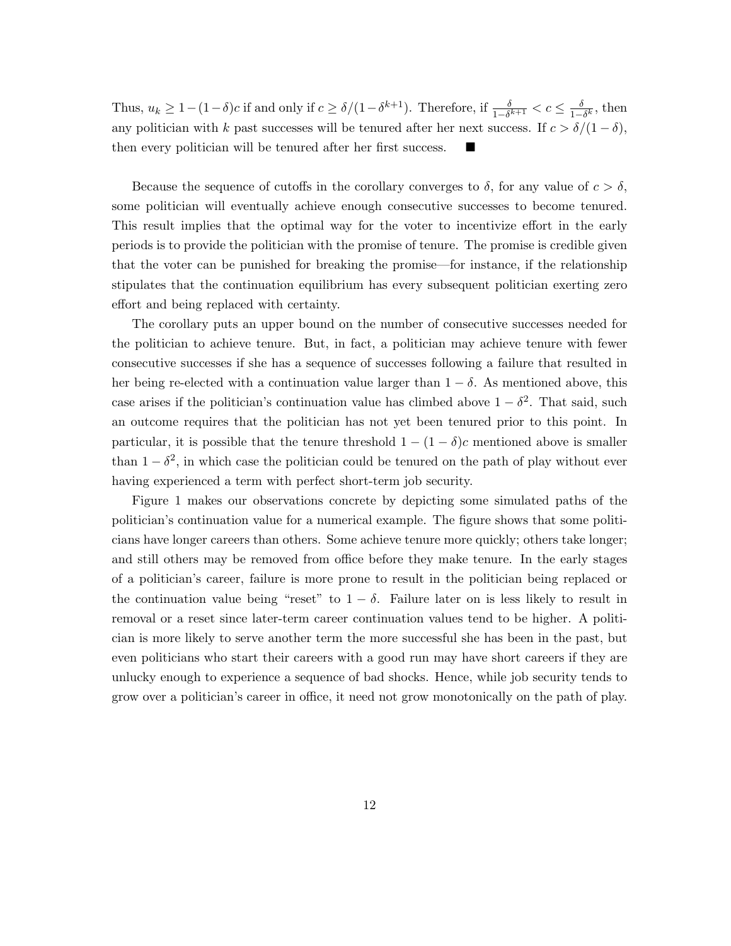Thus,  $u_k \geq 1 - (1 - \delta)c$  if and only if  $c \geq \delta/(1 - \delta^{k+1})$ . Therefore, if  $\frac{\delta}{1 - \delta^{k+1}} < c \leq \frac{\delta}{1 - \delta}$  $\frac{\delta}{1-\delta^k}$ , then any politician with k past successes will be tenured after her next success. If  $c > \delta/(1-\delta)$ , then every politician will be tenured after her first success.

Because the sequence of cutoffs in the corollary converges to  $\delta$ , for any value of  $c > \delta$ , some politician will eventually achieve enough consecutive successes to become tenured. This result implies that the optimal way for the voter to incentivize effort in the early periods is to provide the politician with the promise of tenure. The promise is credible given that the voter can be punished for breaking the promise—for instance, if the relationship stipulates that the continuation equilibrium has every subsequent politician exerting zero effort and being replaced with certainty.

The corollary puts an upper bound on the number of consecutive successes needed for the politician to achieve tenure. But, in fact, a politician may achieve tenure with fewer consecutive successes if she has a sequence of successes following a failure that resulted in her being re-elected with a continuation value larger than  $1 - \delta$ . As mentioned above, this case arises if the politician's continuation value has climbed above  $1 - \delta^2$ . That said, such an outcome requires that the politician has not yet been tenured prior to this point. In particular, it is possible that the tenure threshold  $1 - (1 - \delta)c$  mentioned above is smaller than  $1 - \delta^2$ , in which case the politician could be tenured on the path of play without ever having experienced a term with perfect short-term job security.

Figure 1 makes our observations concrete by depicting some simulated paths of the politician's continuation value for a numerical example. The figure shows that some politicians have longer careers than others. Some achieve tenure more quickly; others take longer; and still others may be removed from office before they make tenure. In the early stages of a politician's career, failure is more prone to result in the politician being replaced or the continuation value being "reset" to  $1 - \delta$ . Failure later on is less likely to result in removal or a reset since later-term career continuation values tend to be higher. A politician is more likely to serve another term the more successful she has been in the past, but even politicians who start their careers with a good run may have short careers if they are unlucky enough to experience a sequence of bad shocks. Hence, while job security tends to grow over a politician's career in office, it need not grow monotonically on the path of play.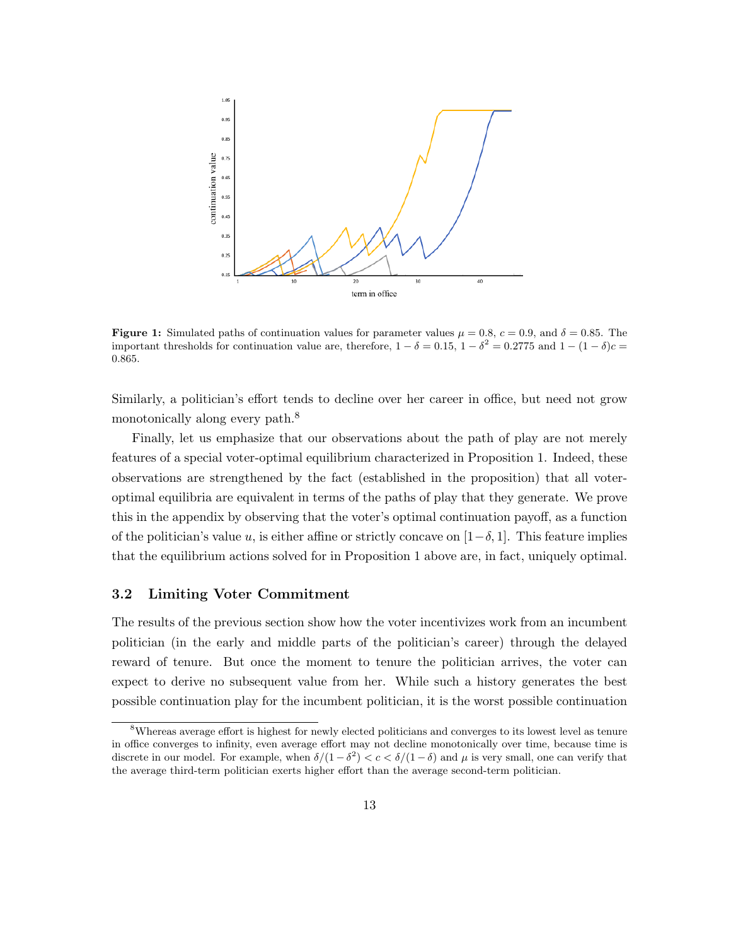

**Figure 1:** Simulated paths of continuation values for parameter values  $\mu = 0.8$ ,  $c = 0.9$ , and  $\delta = 0.85$ . The important thresholds for continuation value are, therefore,  $1 - \delta = 0.15$ ,  $1 - \delta^2 = 0.2775$  and  $1 - (1 - \delta)c =$ 0.865.

Similarly, a politician's effort tends to decline over her career in office, but need not grow monotonically along every path.<sup>8</sup>

Finally, let us emphasize that our observations about the path of play are not merely features of a special voter-optimal equilibrium characterized in Proposition 1. Indeed, these observations are strengthened by the fact (established in the proposition) that all voteroptimal equilibria are equivalent in terms of the paths of play that they generate. We prove this in the appendix by observing that the voter's optimal continuation payoff, as a function of the politician's value u, is either affine or strictly concave on  $[1-\delta, 1]$ . This feature implies that the equilibrium actions solved for in Proposition 1 above are, in fact, uniquely optimal.

#### 3.2 Limiting Voter Commitment

The results of the previous section show how the voter incentivizes work from an incumbent politician (in the early and middle parts of the politician's career) through the delayed reward of tenure. But once the moment to tenure the politician arrives, the voter can expect to derive no subsequent value from her. While such a history generates the best possible continuation play for the incumbent politician, it is the worst possible continuation

<sup>8</sup>Whereas average effort is highest for newly elected politicians and converges to its lowest level as tenure in office converges to infinity, even average effort may not decline monotonically over time, because time is discrete in our model. For example, when  $\delta/(1-\delta^2) < c < \delta/(1-\delta)$  and  $\mu$  is very small, one can verify that the average third-term politician exerts higher effort than the average second-term politician.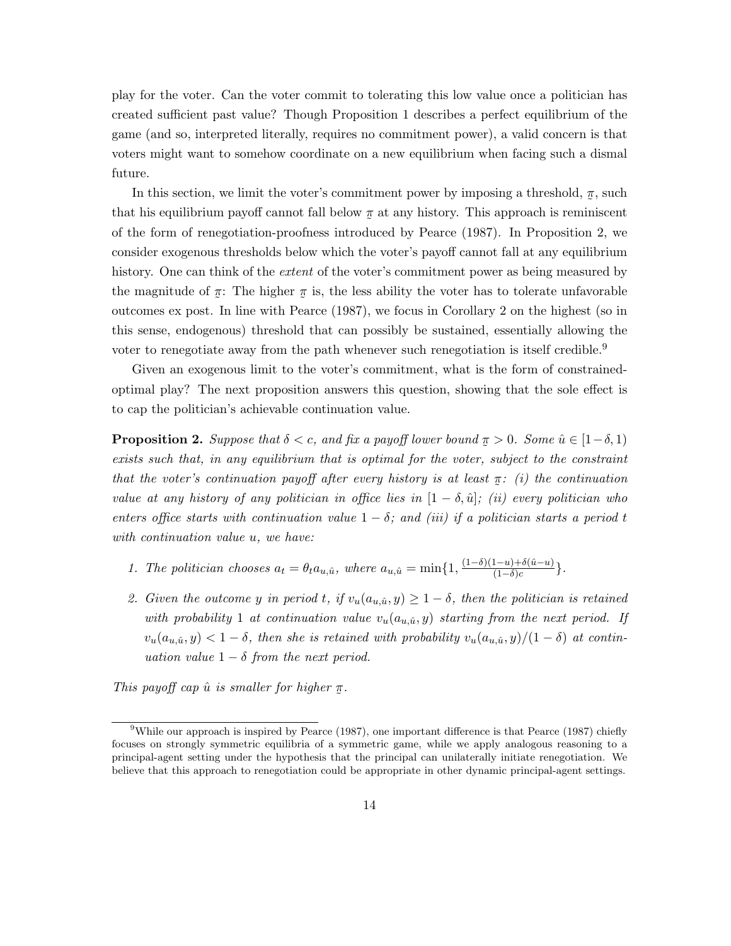play for the voter. Can the voter commit to tolerating this low value once a politician has created sufficient past value? Though Proposition 1 describes a perfect equilibrium of the game (and so, interpreted literally, requires no commitment power), a valid concern is that voters might want to somehow coordinate on a new equilibrium when facing such a dismal future.

In this section, we limit the voter's commitment power by imposing a threshold,  $\pi$ , such that his equilibrium payoff cannot fall below  $\pi$  at any history. This approach is reminiscent of the form of renegotiation-proofness introduced by Pearce (1987). In Proposition 2, we consider exogenous thresholds below which the voter's payoff cannot fall at any equilibrium history. One can think of the *extent* of the voter's commitment power as being measured by the magnitude of  $\pi$ : The higher  $\pi$  is, the less ability the voter has to tolerate unfavorable outcomes ex post. In line with Pearce (1987), we focus in Corollary 2 on the highest (so in this sense, endogenous) threshold that can possibly be sustained, essentially allowing the voter to renegotiate away from the path whenever such renegotiation is itself credible.<sup>9</sup>

Given an exogenous limit to the voter's commitment, what is the form of constrainedoptimal play? The next proposition answers this question, showing that the sole effect is to cap the politician's achievable continuation value.

**Proposition 2.** Suppose that  $\delta < c$ , and fix a payoff lower bound  $\pi > 0$ . Some  $\hat{u} \in [1-\delta, 1)$ exists such that, in any equilibrium that is optimal for the voter, subject to the constraint that the voter's continuation payoff after every history is at least  $\pi$ : (i) the continuation value at any history of any politician in office lies in  $[1 - \delta, \hat{u}]$ ; (ii) every politician who enters office starts with continuation value  $1 - \delta$ ; and (iii) if a politician starts a period t with continuation value u, we have:

- 1. The politician chooses  $a_t = \theta_t a_{u,\hat{u}}$ , where  $a_{u,\hat{u}} = \min\{1, \frac{(1-\delta)(1-u)+\delta(\hat{u}-u)}{(1-\delta)c}\}$  $\frac{(1-u)+o(u-u)}{(1-\delta)c}$ .
- 2. Given the outcome y in period t, if  $v_u(a_{u,\hat{u}}, y) \geq 1 \delta$ , then the politician is retained with probability 1 at continuation value  $v_u(a_{u,\hat{u}}, y)$  starting from the next period. If  $v_u(a_{u,\hat{u}}, y) < 1 - \delta$ , then she is retained with probability  $v_u(a_{u,\hat{u}}, y)/(1 - \delta)$  at continuation value  $1 - \delta$  from the next period.

This payoff cap  $\hat{u}$  is smaller for higher ˜  $\pi$ .

<sup>&</sup>lt;sup>9</sup>While our approach is inspired by Pearce (1987), one important difference is that Pearce (1987) chiefly focuses on strongly symmetric equilibria of a symmetric game, while we apply analogous reasoning to a principal-agent setting under the hypothesis that the principal can unilaterally initiate renegotiation. We believe that this approach to renegotiation could be appropriate in other dynamic principal-agent settings.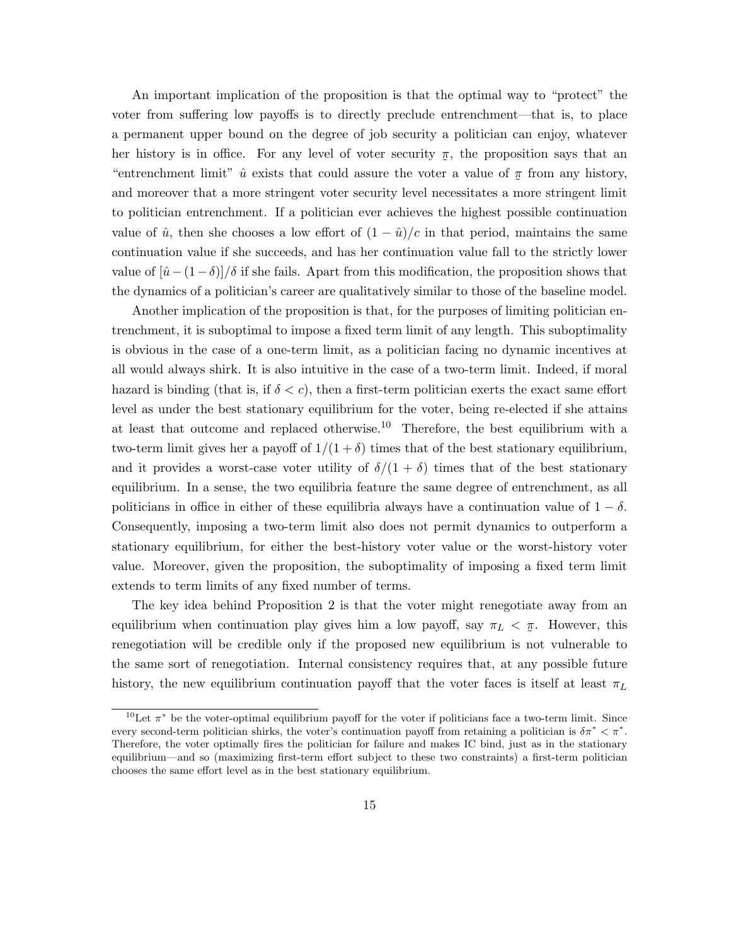An important implication of the proposition is that the optimal way to "protect" the voter from suffering low payoffs is to directly preclude entrenchment—that is, to place a permanent upper bound on the degree of job security a politician can enjoy, whatever her history is in office. For any level of voter security  $\pi$ , the proposition says that an "entrenchment limit"  $\hat{u}$  exists that could assure the voter a value of  $\pi$  from any history, and moreover that a more stringent voter security level necessitates a more stringent limit to politician entrenchment. If a politician ever achieves the highest possible continuation value of  $\hat{u}$ , then she chooses a low effort of  $(1 - \hat{u})/c$  in that period, maintains the same continuation value if she succeeds, and has her continuation value fall to the strictly lower value of  $\left[\hat{u}-(1-\delta)\right]/\delta$  if she fails. Apart from this modification, the proposition shows that the dynamics of a politician's career are qualitatively similar to those of the baseline model.

Another implication of the proposition is that, for the purposes of limiting politician entrenchment, it is suboptimal to impose a fixed term limit of any length. This suboptimality is obvious in the case of a one-term limit, as a politician facing no dynamic incentives at all would always shirk. It is also intuitive in the case of a two-term limit. Indeed, if moral hazard is binding (that is, if  $\delta < c$ ), then a first-term politician exerts the exact same effort level as under the best stationary equilibrium for the voter, being re-elected if she attains at least that outcome and replaced otherwise.<sup>10</sup> Therefore, the best equilibrium with a two-term limit gives her a payoff of  $1/(1 + \delta)$  times that of the best stationary equilibrium, and it provides a worst-case voter utility of  $\delta/(1+\delta)$  times that of the best stationary equilibrium. In a sense, the two equilibria feature the same degree of entrenchment, as all politicians in office in either of these equilibria always have a continuation value of  $1 - \delta$ . Consequently, imposing a two-term limit also does not permit dynamics to outperform a stationary equilibrium, for either the best-history voter value or the worst-history voter value. Moreover, given the proposition, the suboptimality of imposing a fixed term limit extends to term limits of any fixed number of terms.

The key idea behind Proposition 2 is that the voter might renegotiate away from an equilibrium when continuation play gives him a low payoff, say  $\pi_L < \pi$ . However, this ˜ renegotiation will be credible only if the proposed new equilibrium is not vulnerable to the same sort of renegotiation. Internal consistency requires that, at any possible future history, the new equilibrium continuation payoff that the voter faces is itself at least  $\pi_L$ 

<sup>&</sup>lt;sup>10</sup>Let  $\pi^*$  be the voter-optimal equilibrium payoff for the voter if politicians face a two-term limit. Since every second-term politician shirks, the voter's continuation payoff from retaining a politician is  $\delta \pi^* < \pi^*$ . Therefore, the voter optimally fires the politician for failure and makes IC bind, just as in the stationary equilibrium—and so (maximizing first-term effort subject to these two constraints) a first-term politician chooses the same effort level as in the best stationary equilibrium.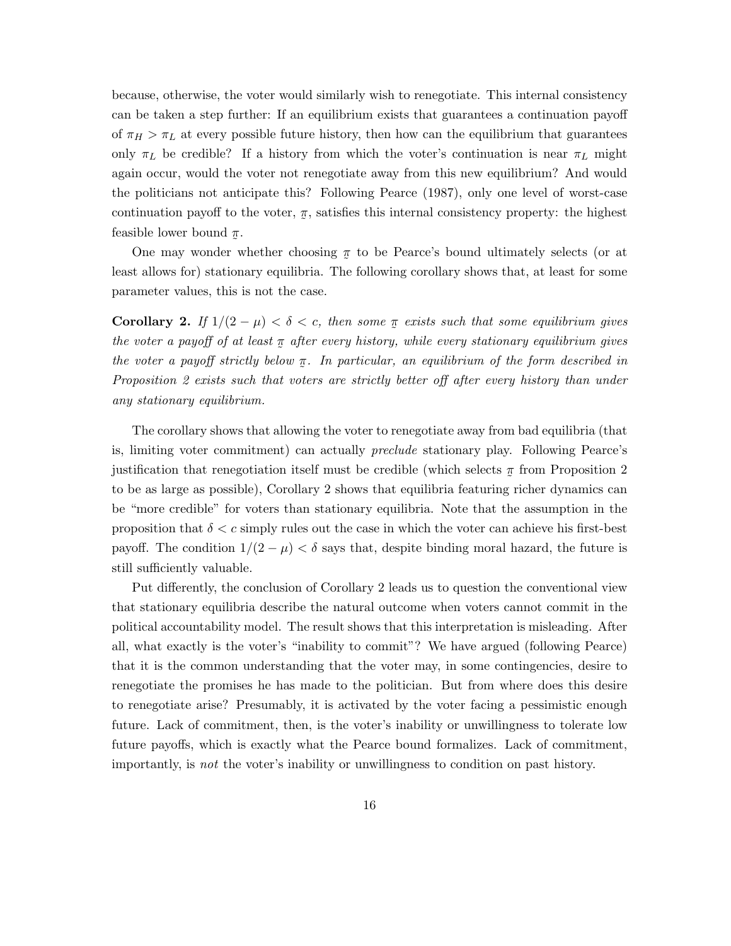because, otherwise, the voter would similarly wish to renegotiate. This internal consistency can be taken a step further: If an equilibrium exists that guarantees a continuation payoff of  $\pi_H > \pi_L$  at every possible future history, then how can the equilibrium that guarantees only  $\pi_L$  be credible? If a history from which the voter's continuation is near  $\pi_L$  might again occur, would the voter not renegotiate away from this new equilibrium? And would the politicians not anticipate this? Following Pearce (1987), only one level of worst-case continuation payoff to the voter,  $\tilde{a}$  $\pi$ , satisfies this internal consistency property: the highest feasible lower bound  $\pi$ .

One may wonder whether choosing  $\pi$  to be Pearce's bound ultimately selects (or at least allows for) stationary equilibria. The following corollary shows that, at least for some parameter values, this is not the case.

**Corollary 2.** If  $1/(2 - \mu) < \delta < c$ , then some  $\pi$  exists such that some equilibrium gives the voter a payoff of at least  $\pi$  after every history, while every stationary equilibrium gives the voter a payoff strictly below  $\pi$ . In particular, an equilibrium of the form described in ˜ Proposition 2 exists such that voters are strictly better off after every history than under any stationary equilibrium.

The corollary shows that allowing the voter to renegotiate away from bad equilibria (that is, limiting voter commitment) can actually preclude stationary play. Following Pearce's justification that renegotiation itself must be credible (which selects  $\pi$  from Proposition 2 to be as large as possible), Corollary 2 shows that equilibria featuring richer dynamics can be "more credible" for voters than stationary equilibria. Note that the assumption in the proposition that  $\delta < c$  simply rules out the case in which the voter can achieve his first-best payoff. The condition  $1/(2 - \mu) < \delta$  says that, despite binding moral hazard, the future is still sufficiently valuable.

Put differently, the conclusion of Corollary 2 leads us to question the conventional view that stationary equilibria describe the natural outcome when voters cannot commit in the political accountability model. The result shows that this interpretation is misleading. After all, what exactly is the voter's "inability to commit"? We have argued (following Pearce) that it is the common understanding that the voter may, in some contingencies, desire to renegotiate the promises he has made to the politician. But from where does this desire to renegotiate arise? Presumably, it is activated by the voter facing a pessimistic enough future. Lack of commitment, then, is the voter's inability or unwillingness to tolerate low future payoffs, which is exactly what the Pearce bound formalizes. Lack of commitment, importantly, is not the voter's inability or unwillingness to condition on past history.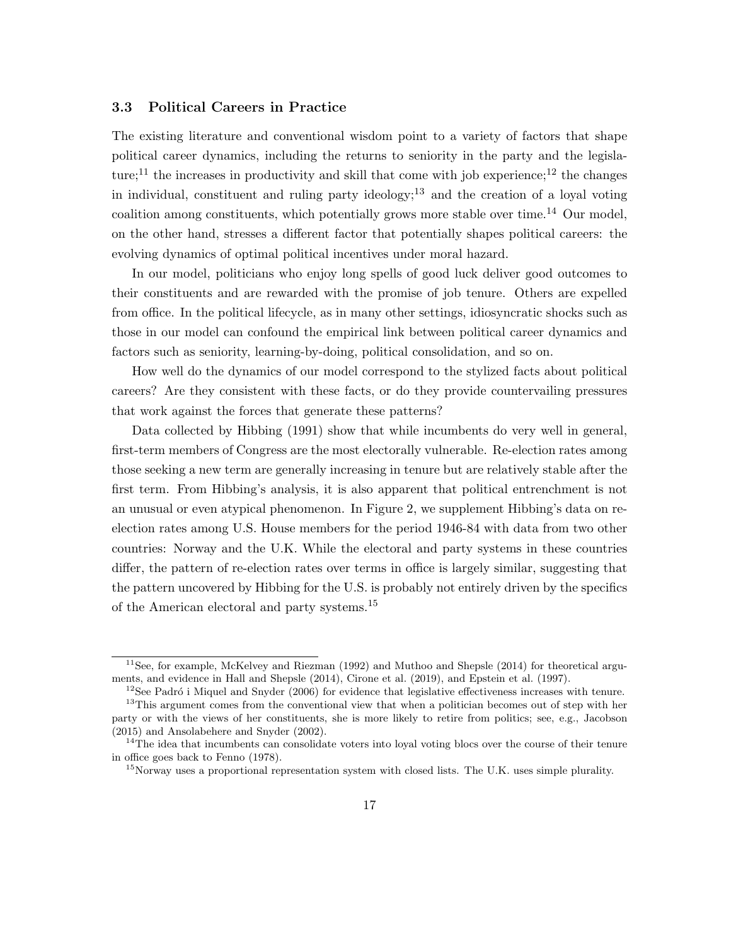#### 3.3 Political Careers in Practice

The existing literature and conventional wisdom point to a variety of factors that shape political career dynamics, including the returns to seniority in the party and the legislature;<sup>11</sup> the increases in productivity and skill that come with job experience;<sup>12</sup> the changes in individual, constituent and ruling party ideology;<sup>13</sup> and the creation of a loyal voting coalition among constituents, which potentially grows more stable over time.<sup>14</sup> Our model, on the other hand, stresses a different factor that potentially shapes political careers: the evolving dynamics of optimal political incentives under moral hazard.

In our model, politicians who enjoy long spells of good luck deliver good outcomes to their constituents and are rewarded with the promise of job tenure. Others are expelled from office. In the political lifecycle, as in many other settings, idiosyncratic shocks such as those in our model can confound the empirical link between political career dynamics and factors such as seniority, learning-by-doing, political consolidation, and so on.

How well do the dynamics of our model correspond to the stylized facts about political careers? Are they consistent with these facts, or do they provide countervailing pressures that work against the forces that generate these patterns?

Data collected by Hibbing (1991) show that while incumbents do very well in general, first-term members of Congress are the most electorally vulnerable. Re-election rates among those seeking a new term are generally increasing in tenure but are relatively stable after the first term. From Hibbing's analysis, it is also apparent that political entrenchment is not an unusual or even atypical phenomenon. In Figure 2, we supplement Hibbing's data on reelection rates among U.S. House members for the period 1946-84 with data from two other countries: Norway and the U.K. While the electoral and party systems in these countries differ, the pattern of re-election rates over terms in office is largely similar, suggesting that the pattern uncovered by Hibbing for the U.S. is probably not entirely driven by the specifics of the American electoral and party systems.<sup>15</sup>

<sup>&</sup>lt;sup>11</sup>See, for example, McKelvey and Riezman (1992) and Muthoo and Shepsle (2014) for theoretical arguments, and evidence in Hall and Shepsle (2014), Cirone et al. (2019), and Epstein et al. (1997).

 $12$ See Padró i Miquel and Snyder (2006) for evidence that legislative effectiveness increases with tenure.

<sup>&</sup>lt;sup>13</sup>This argument comes from the conventional view that when a politician becomes out of step with her party or with the views of her constituents, she is more likely to retire from politics; see, e.g., Jacobson (2015) and Ansolabehere and Snyder (2002).

<sup>&</sup>lt;sup>14</sup>The idea that incumbents can consolidate voters into loyal voting blocs over the course of their tenure in office goes back to Fenno (1978).

 $15$ Norway uses a proportional representation system with closed lists. The U.K. uses simple plurality.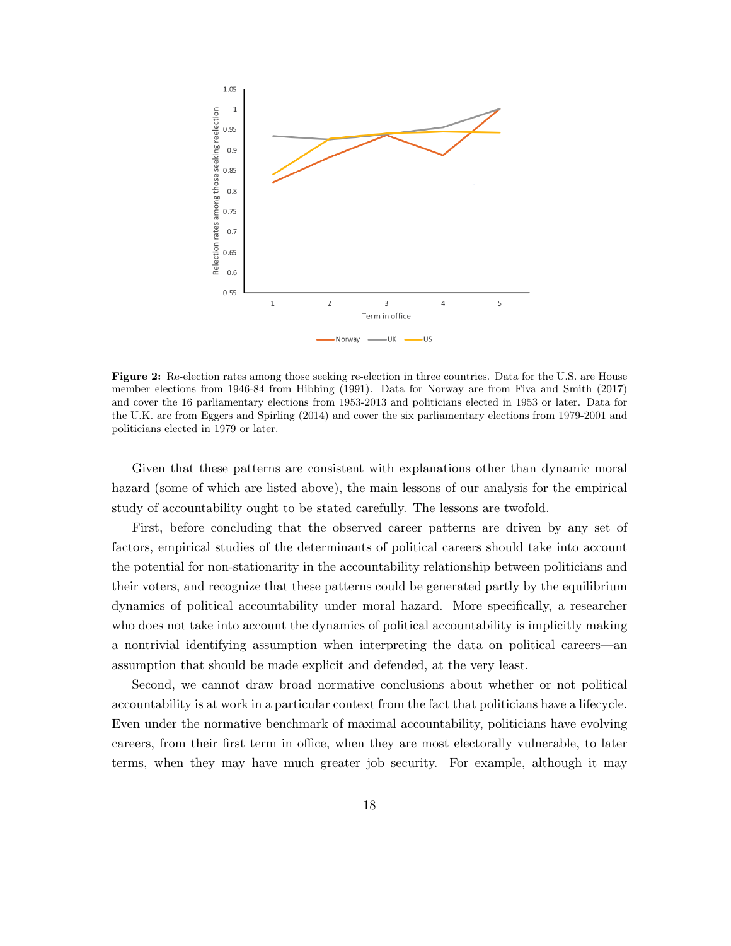

Figure 2: Re-election rates among those seeking re-election in three countries. Data for the U.S. are House member elections from 1946-84 from Hibbing (1991). Data for Norway are from Fiva and Smith (2017) and cover the 16 parliamentary elections from 1953-2013 and politicians elected in 1953 or later. Data for the U.K. are from Eggers and Spirling (2014) and cover the six parliamentary elections from 1979-2001 and politicians elected in 1979 or later.

Given that these patterns are consistent with explanations other than dynamic moral hazard (some of which are listed above), the main lessons of our analysis for the empirical study of accountability ought to be stated carefully. The lessons are twofold.

First, before concluding that the observed career patterns are driven by any set of factors, empirical studies of the determinants of political careers should take into account the potential for non-stationarity in the accountability relationship between politicians and their voters, and recognize that these patterns could be generated partly by the equilibrium dynamics of political accountability under moral hazard. More specifically, a researcher who does not take into account the dynamics of political accountability is implicitly making a nontrivial identifying assumption when interpreting the data on political careers—an assumption that should be made explicit and defended, at the very least.

Second, we cannot draw broad normative conclusions about whether or not political accountability is at work in a particular context from the fact that politicians have a lifecycle. Even under the normative benchmark of maximal accountability, politicians have evolving careers, from their first term in office, when they are most electorally vulnerable, to later terms, when they may have much greater job security. For example, although it may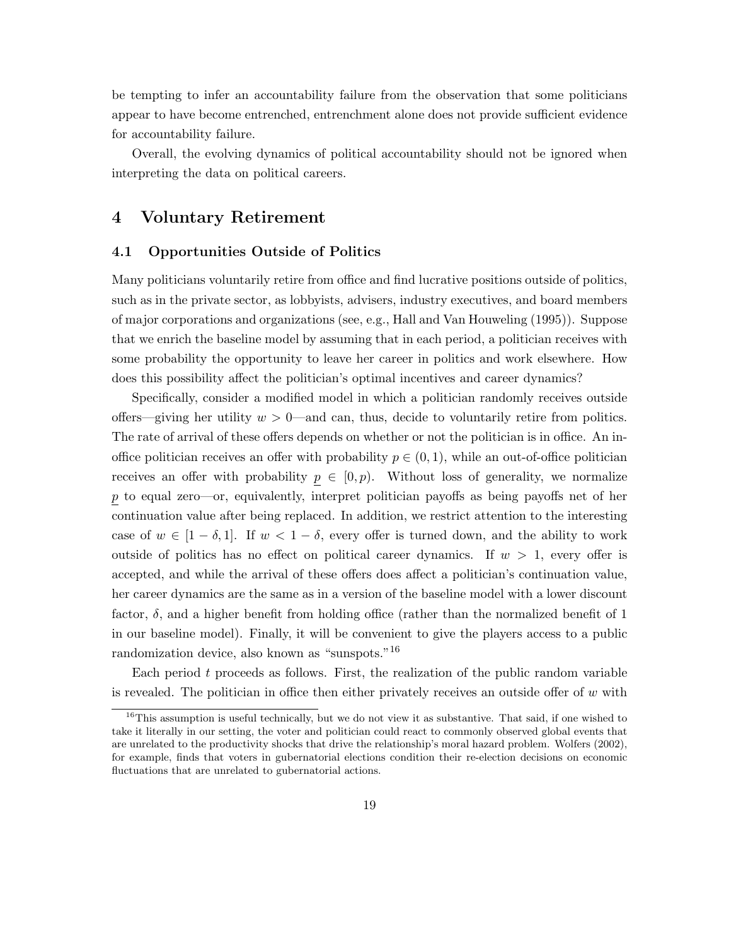be tempting to infer an accountability failure from the observation that some politicians appear to have become entrenched, entrenchment alone does not provide sufficient evidence for accountability failure.

Overall, the evolving dynamics of political accountability should not be ignored when interpreting the data on political careers.

### 4 Voluntary Retirement

#### 4.1 Opportunities Outside of Politics

Many politicians voluntarily retire from office and find lucrative positions outside of politics, such as in the private sector, as lobbyists, advisers, industry executives, and board members of major corporations and organizations (see, e.g., Hall and Van Houweling (1995)). Suppose that we enrich the baseline model by assuming that in each period, a politician receives with some probability the opportunity to leave her career in politics and work elsewhere. How does this possibility affect the politician's optimal incentives and career dynamics?

Specifically, consider a modified model in which a politician randomly receives outside offers—giving her utility  $w > 0$ —and can, thus, decide to voluntarily retire from politics. The rate of arrival of these offers depends on whether or not the politician is in office. An inoffice politician receives an offer with probability  $p \in (0,1)$ , while an out-of-office politician receives an offer with probability  $p \in [0, p)$ . Without loss of generality, we normalize p to equal zero—or, equivalently, interpret politician payoffs as being payoffs net of her continuation value after being replaced. In addition, we restrict attention to the interesting case of  $w \in [1 - \delta, 1]$ . If  $w < 1 - \delta$ , every offer is turned down, and the ability to work outside of politics has no effect on political career dynamics. If  $w > 1$ , every offer is accepted, and while the arrival of these offers does affect a politician's continuation value, her career dynamics are the same as in a version of the baseline model with a lower discount factor,  $\delta$ , and a higher benefit from holding office (rather than the normalized benefit of 1 in our baseline model). Finally, it will be convenient to give the players access to a public randomization device, also known as "sunspots."<sup>16</sup>

Each period  $t$  proceeds as follows. First, the realization of the public random variable is revealed. The politician in office then either privately receives an outside offer of  $w$  with

<sup>&</sup>lt;sup>16</sup>This assumption is useful technically, but we do not view it as substantive. That said, if one wished to take it literally in our setting, the voter and politician could react to commonly observed global events that are unrelated to the productivity shocks that drive the relationship's moral hazard problem. Wolfers (2002), for example, finds that voters in gubernatorial elections condition their re-election decisions on economic fluctuations that are unrelated to gubernatorial actions.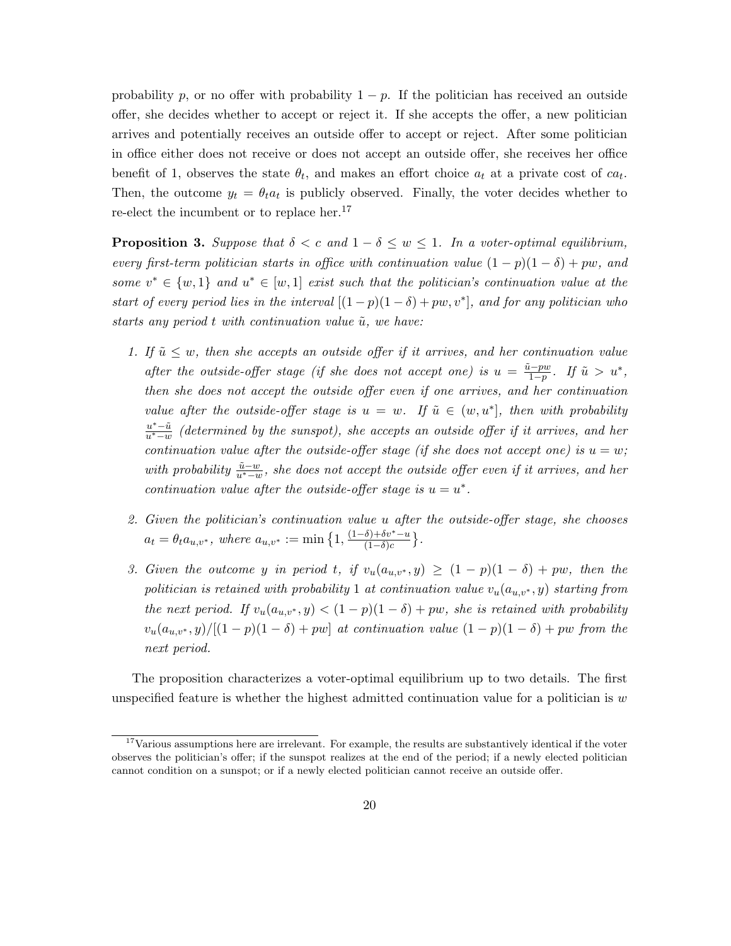probability p, or no offer with probability  $1 - p$ . If the politician has received an outside offer, she decides whether to accept or reject it. If she accepts the offer, a new politician arrives and potentially receives an outside offer to accept or reject. After some politician in office either does not receive or does not accept an outside offer, she receives her office benefit of 1, observes the state  $\theta_t$ , and makes an effort choice  $a_t$  at a private cost of  $ca_t$ . Then, the outcome  $y_t = \theta_t a_t$  is publicly observed. Finally, the voter decides whether to re-elect the incumbent or to replace her.<sup>17</sup>

**Proposition 3.** Suppose that  $\delta < c$  and  $1 - \delta \leq w \leq 1$ . In a voter-optimal equilibrium, every first-term politician starts in office with continuation value  $(1 - p)(1 - \delta) + pw$ , and some  $v^* \in \{w, 1\}$  and  $u^* \in [w, 1]$  exist such that the politician's continuation value at the start of every period lies in the interval  $[(1-p)(1-\delta)+pw,v^*]$ , and for any politician who starts any period t with continuation value  $\tilde{u}$ , we have:

- 1. If  $\tilde{u} \leq w$ , then she accepts an outside offer if it arrives, and her continuation value after the outside-offer stage (if she does not accept one) is  $u = \frac{\tilde{u} - pw}{1 - v}$  $\frac{i-pw}{1-p}$ . If  $\tilde{u} > u^*$ , then she does not accept the outside offer even if one arrives, and her continuation value after the outside-offer stage is  $u = w$ . If  $\tilde{u} \in (w, u^*]$ , then with probability  $u^*-\tilde{u}$  $\frac{u^* - u}{u^* - w}$  (determined by the sunspot), she accepts an outside offer if it arrives, and her continuation value after the outside-offer stage (if she does not accept one) is  $u = w$ ; with probability  $\frac{\tilde{u}-w}{u^*-w}$ , she does not accept the outside offer even if it arrives, and her continuation value after the outside-offer stage is  $u = u^*$ .
- 2. Given the politician's continuation value u after the outside-offer stage, she chooses  $a_t = \theta_t a_{u,v^*}, \text{ where } a_{u,v^*} := \min\left\{1, \frac{(1-\delta)+\delta v^*-u}{(1-\delta)c}\right\}$  $\frac{\delta)+\delta v^*-\overline{u}}{(1-\delta)c}$ .
- 3. Given the outcome y in period t, if  $v_u(a_{u,v^*}, y) \geq (1-p)(1-\delta) + pw$ , then the politician is retained with probability 1 at continuation value  $v_u(a_{u,v^*}, y)$  starting from the next period. If  $v_u(a_{u,v^*}, y) < (1-p)(1-\delta) + pw$ , she is retained with probability  $v_u(a_{u,v^*}, y) / [(1-p)(1-\delta) + pw]$  at continuation value  $(1-p)(1-\delta) + pw$  from the next period.

The proposition characterizes a voter-optimal equilibrium up to two details. The first unspecified feature is whether the highest admitted continuation value for a politician is  $w$ 

 $17$ Various assumptions here are irrelevant. For example, the results are substantively identical if the voter observes the politician's offer; if the sunspot realizes at the end of the period; if a newly elected politician cannot condition on a sunspot; or if a newly elected politician cannot receive an outside offer.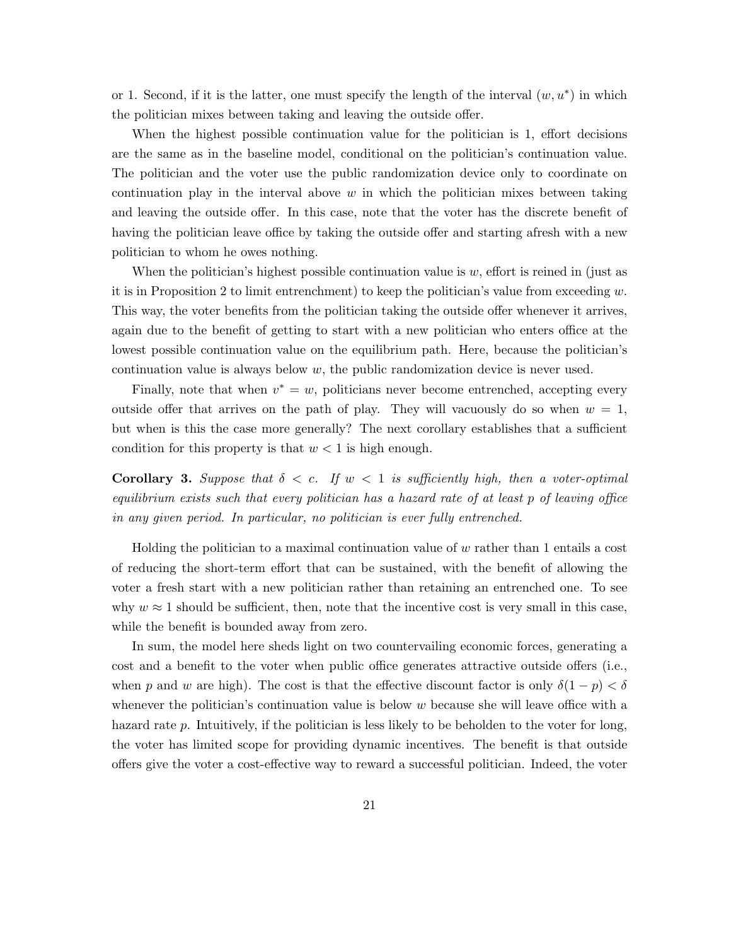or 1. Second, if it is the latter, one must specify the length of the interval  $(w, u^*)$  in which the politician mixes between taking and leaving the outside offer.

When the highest possible continuation value for the politician is 1, effort decisions are the same as in the baseline model, conditional on the politician's continuation value. The politician and the voter use the public randomization device only to coordinate on continuation play in the interval above  $w$  in which the politician mixes between taking and leaving the outside offer. In this case, note that the voter has the discrete benefit of having the politician leave office by taking the outside offer and starting afresh with a new politician to whom he owes nothing.

When the politician's highest possible continuation value is  $w$ , effort is reined in (just as it is in Proposition 2 to limit entrenchment) to keep the politician's value from exceeding  $w$ . This way, the voter benefits from the politician taking the outside offer whenever it arrives, again due to the benefit of getting to start with a new politician who enters office at the lowest possible continuation value on the equilibrium path. Here, because the politician's continuation value is always below  $w$ , the public randomization device is never used.

Finally, note that when  $v^* = w$ , politicians never become entrenched, accepting every outside offer that arrives on the path of play. They will vacuously do so when  $w = 1$ , but when is this the case more generally? The next corollary establishes that a sufficient condition for this property is that  $w < 1$  is high enough.

**Corollary 3.** Suppose that  $\delta < c$ . If  $w < 1$  is sufficiently high, then a voter-optimal equilibrium exists such that every politician has a hazard rate of at least p of leaving office in any given period. In particular, no politician is ever fully entrenched.

Holding the politician to a maximal continuation value of  $w$  rather than 1 entails a cost of reducing the short-term effort that can be sustained, with the benefit of allowing the voter a fresh start with a new politician rather than retaining an entrenched one. To see why  $w \approx 1$  should be sufficient, then, note that the incentive cost is very small in this case, while the benefit is bounded away from zero.

In sum, the model here sheds light on two countervailing economic forces, generating a cost and a benefit to the voter when public office generates attractive outside offers (i.e., when p and w are high). The cost is that the effective discount factor is only  $\delta(1-p) < \delta$ whenever the politician's continuation value is below  $w$  because she will leave office with a hazard rate p. Intuitively, if the politician is less likely to be beholden to the voter for long, the voter has limited scope for providing dynamic incentives. The benefit is that outside offers give the voter a cost-effective way to reward a successful politician. Indeed, the voter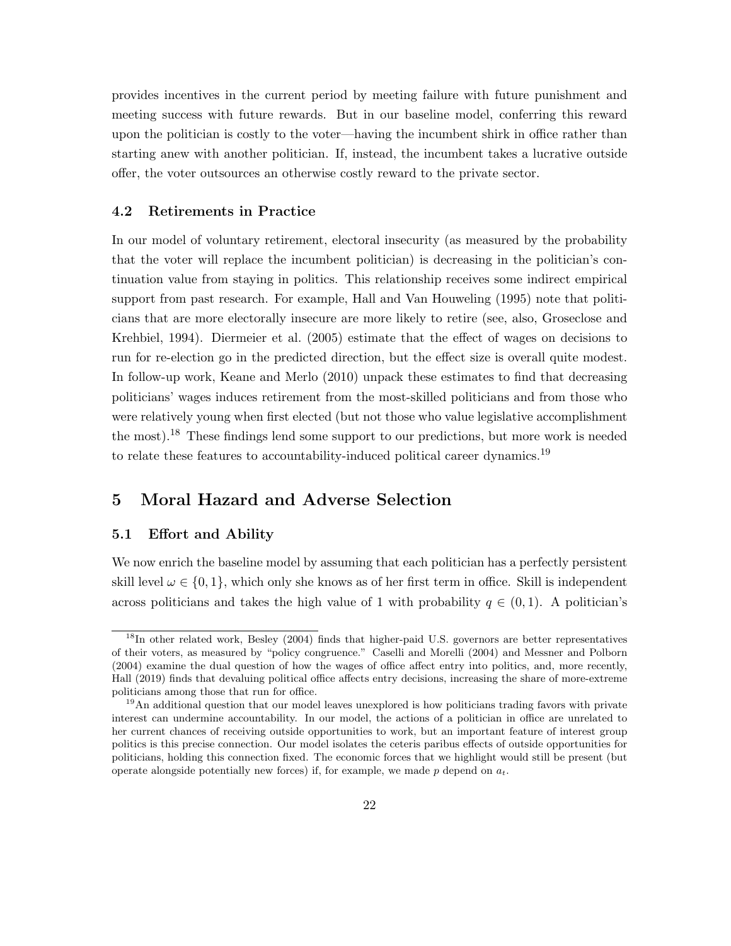provides incentives in the current period by meeting failure with future punishment and meeting success with future rewards. But in our baseline model, conferring this reward upon the politician is costly to the voter—having the incumbent shirk in office rather than starting anew with another politician. If, instead, the incumbent takes a lucrative outside offer, the voter outsources an otherwise costly reward to the private sector.

#### 4.2 Retirements in Practice

In our model of voluntary retirement, electoral insecurity (as measured by the probability that the voter will replace the incumbent politician) is decreasing in the politician's continuation value from staying in politics. This relationship receives some indirect empirical support from past research. For example, Hall and Van Houweling (1995) note that politicians that are more electorally insecure are more likely to retire (see, also, Groseclose and Krehbiel, 1994). Diermeier et al. (2005) estimate that the effect of wages on decisions to run for re-election go in the predicted direction, but the effect size is overall quite modest. In follow-up work, Keane and Merlo (2010) unpack these estimates to find that decreasing politicians' wages induces retirement from the most-skilled politicians and from those who were relatively young when first elected (but not those who value legislative accomplishment the most).<sup>18</sup> These findings lend some support to our predictions, but more work is needed to relate these features to accountability-induced political career dynamics.<sup>19</sup>

# 5 Moral Hazard and Adverse Selection

#### 5.1 Effort and Ability

We now enrich the baseline model by assuming that each politician has a perfectly persistent skill level  $\omega \in \{0, 1\}$ , which only she knows as of her first term in office. Skill is independent across politicians and takes the high value of 1 with probability  $q \in (0,1)$ . A politician's

 $^{18}$ In other related work, Besley (2004) finds that higher-paid U.S. governors are better representatives of their voters, as measured by "policy congruence." Caselli and Morelli (2004) and Messner and Polborn (2004) examine the dual question of how the wages of office affect entry into politics, and, more recently, Hall (2019) finds that devaluing political office affects entry decisions, increasing the share of more-extreme politicians among those that run for office.

<sup>&</sup>lt;sup>19</sup>An additional question that our model leaves unexplored is how politicians trading favors with private interest can undermine accountability. In our model, the actions of a politician in office are unrelated to her current chances of receiving outside opportunities to work, but an important feature of interest group politics is this precise connection. Our model isolates the ceteris paribus effects of outside opportunities for politicians, holding this connection fixed. The economic forces that we highlight would still be present (but operate alongside potentially new forces) if, for example, we made p depend on  $a_t$ .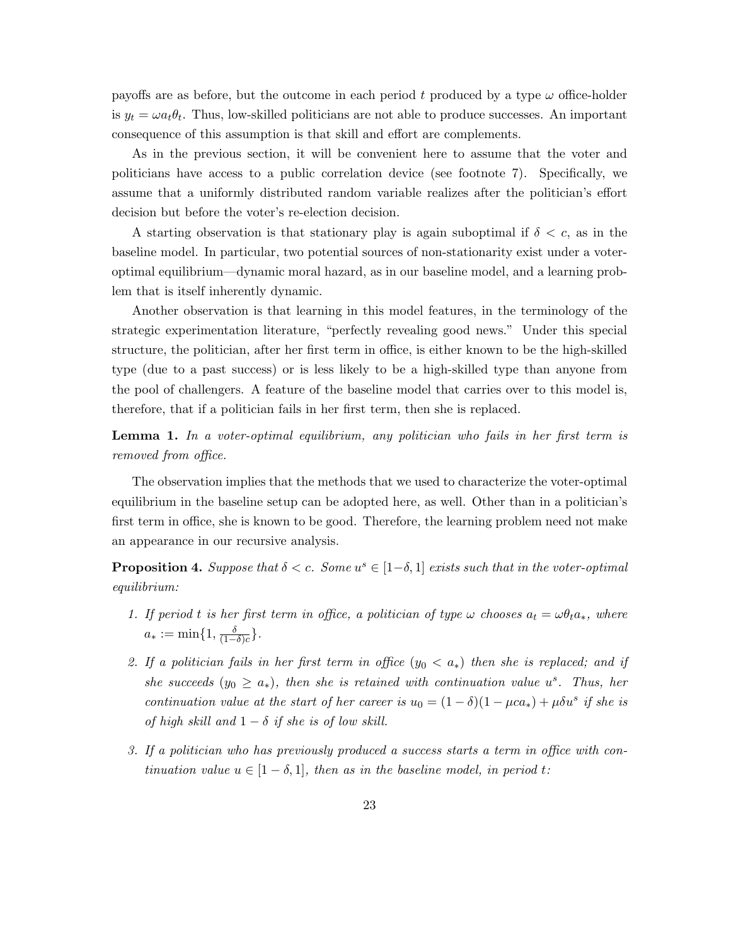payoffs are as before, but the outcome in each period t produced by a type  $\omega$  office-holder is  $y_t = \omega a_t \theta_t$ . Thus, low-skilled politicians are not able to produce successes. An important consequence of this assumption is that skill and effort are complements.

As in the previous section, it will be convenient here to assume that the voter and politicians have access to a public correlation device (see footnote 7). Specifically, we assume that a uniformly distributed random variable realizes after the politician's effort decision but before the voter's re-election decision.

A starting observation is that stationary play is again suboptimal if  $\delta < c$ , as in the baseline model. In particular, two potential sources of non-stationarity exist under a voteroptimal equilibrium—dynamic moral hazard, as in our baseline model, and a learning problem that is itself inherently dynamic.

Another observation is that learning in this model features, in the terminology of the strategic experimentation literature, "perfectly revealing good news." Under this special structure, the politician, after her first term in office, is either known to be the high-skilled type (due to a past success) or is less likely to be a high-skilled type than anyone from the pool of challengers. A feature of the baseline model that carries over to this model is, therefore, that if a politician fails in her first term, then she is replaced.

Lemma 1. In a voter-optimal equilibrium, any politician who fails in her first term is removed from office.

The observation implies that the methods that we used to characterize the voter-optimal equilibrium in the baseline setup can be adopted here, as well. Other than in a politician's first term in office, she is known to be good. Therefore, the learning problem need not make an appearance in our recursive analysis.

**Proposition 4.** Suppose that  $\delta < c$ . Some  $u^s \in [1-\delta, 1]$  exists such that in the voter-optimal equilibrium:

- 1. If period t is her first term in office, a politician of type  $\omega$  chooses  $a_t = \omega \theta_t a_*$ , where  $a_* := \min\{1, \frac{\delta}{\sqrt{1-\delta}}\}$  $\frac{\delta}{(1-\delta)c}$ .
- 2. If a politician fails in her first term in office  $(y_0 < a_*)$  then she is replaced; and if she succeeds  $(y_0 \ge a_*)$ , then she is retained with continuation value  $u^s$ . Thus, her continuation value at the start of her career is  $u_0 = (1 - \delta)(1 - \mu ca_*) + \mu \delta u^s$  if she is of high skill and  $1 - \delta$  if she is of low skill.
- 3. If a politician who has previously produced a success starts a term in office with continuation value  $u \in [1 - \delta, 1]$ , then as in the baseline model, in period t: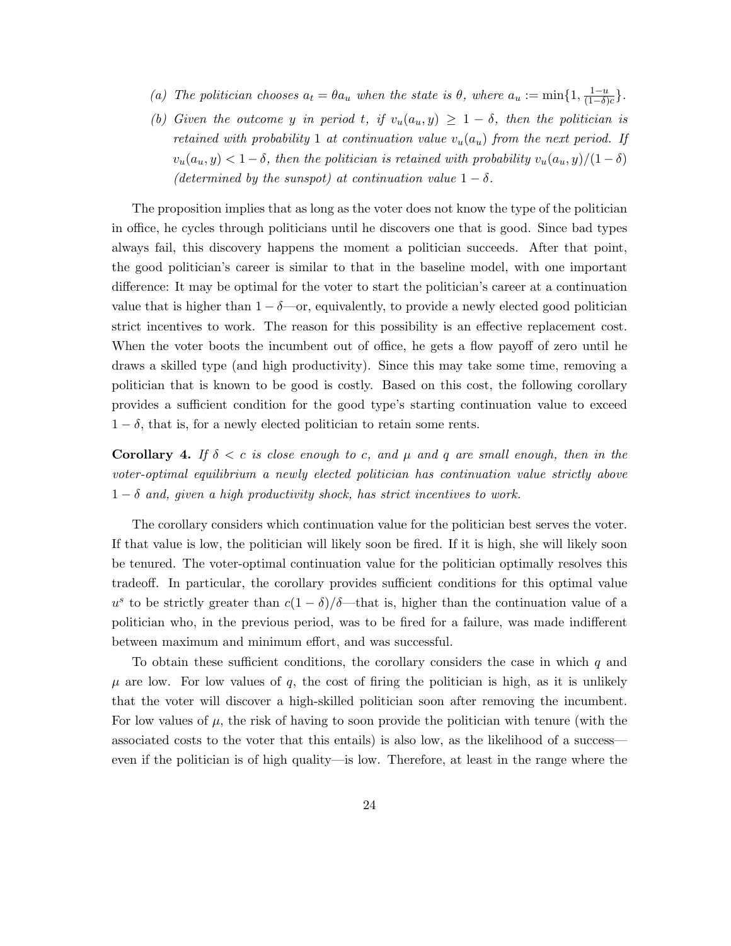- (a) The politician chooses  $a_t = \theta a_u$  when the state is  $\theta$ , where  $a_u := \min\{1, \frac{1-u}{(1-\delta)}\}$  $\frac{1-u}{(1-\delta)c}$ .
- (b) Given the outcome y in period t, if  $v_u(a_u, y) \geq 1 \delta$ , then the politician is retained with probability 1 at continuation value  $v_u(a_u)$  from the next period. If  $v_u(a_u, y) < 1 - \delta$ , then the politician is retained with probability  $v_u(a_u, y)/(1 - \delta)$ (determined by the sunspot) at continuation value  $1 - \delta$ .

The proposition implies that as long as the voter does not know the type of the politician in office, he cycles through politicians until he discovers one that is good. Since bad types always fail, this discovery happens the moment a politician succeeds. After that point, the good politician's career is similar to that in the baseline model, with one important difference: It may be optimal for the voter to start the politician's career at a continuation value that is higher than  $1 - \delta$ —or, equivalently, to provide a newly elected good politician strict incentives to work. The reason for this possibility is an effective replacement cost. When the voter boots the incumbent out of office, he gets a flow payoff of zero until he draws a skilled type (and high productivity). Since this may take some time, removing a politician that is known to be good is costly. Based on this cost, the following corollary provides a sufficient condition for the good type's starting continuation value to exceed  $1 - \delta$ , that is, for a newly elected politician to retain some rents.

**Corollary 4.** If  $\delta < c$  is close enough to c, and  $\mu$  and q are small enough, then in the voter-optimal equilibrium a newly elected politician has continuation value strictly above  $1 - \delta$  and, given a high productivity shock, has strict incentives to work.

The corollary considers which continuation value for the politician best serves the voter. If that value is low, the politician will likely soon be fired. If it is high, she will likely soon be tenured. The voter-optimal continuation value for the politician optimally resolves this tradeoff. In particular, the corollary provides sufficient conditions for this optimal value u<sup>s</sup> to be strictly greater than  $c(1 - \delta)/\delta$ —that is, higher than the continuation value of a politician who, in the previous period, was to be fired for a failure, was made indifferent between maximum and minimum effort, and was successful.

To obtain these sufficient conditions, the corollary considers the case in which  $q$  and  $\mu$  are low. For low values of  $q$ , the cost of firing the politician is high, as it is unlikely that the voter will discover a high-skilled politician soon after removing the incumbent. For low values of  $\mu$ , the risk of having to soon provide the politician with tenure (with the associated costs to the voter that this entails) is also low, as the likelihood of a success even if the politician is of high quality—is low. Therefore, at least in the range where the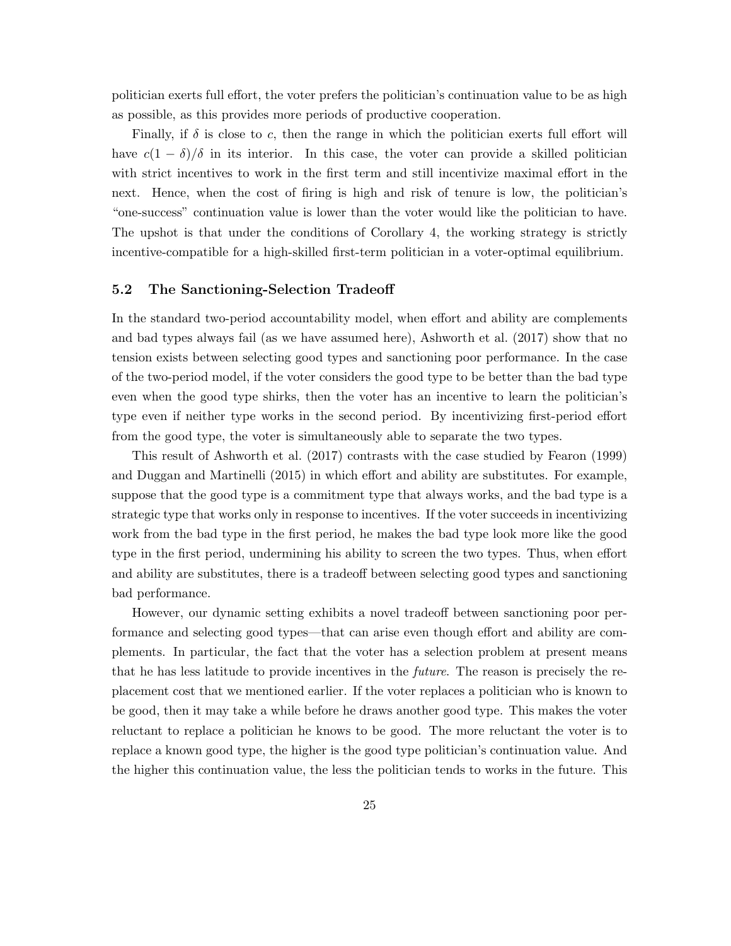politician exerts full effort, the voter prefers the politician's continuation value to be as high as possible, as this provides more periods of productive cooperation.

Finally, if  $\delta$  is close to c, then the range in which the politician exerts full effort will have  $c(1 - \delta)/\delta$  in its interior. In this case, the voter can provide a skilled politician with strict incentives to work in the first term and still incentivize maximal effort in the next. Hence, when the cost of firing is high and risk of tenure is low, the politician's "one-success" continuation value is lower than the voter would like the politician to have. The upshot is that under the conditions of Corollary 4, the working strategy is strictly incentive-compatible for a high-skilled first-term politician in a voter-optimal equilibrium.

#### 5.2 The Sanctioning-Selection Tradeoff

In the standard two-period accountability model, when effort and ability are complements and bad types always fail (as we have assumed here), Ashworth et al. (2017) show that no tension exists between selecting good types and sanctioning poor performance. In the case of the two-period model, if the voter considers the good type to be better than the bad type even when the good type shirks, then the voter has an incentive to learn the politician's type even if neither type works in the second period. By incentivizing first-period effort from the good type, the voter is simultaneously able to separate the two types.

This result of Ashworth et al. (2017) contrasts with the case studied by Fearon (1999) and Duggan and Martinelli (2015) in which effort and ability are substitutes. For example, suppose that the good type is a commitment type that always works, and the bad type is a strategic type that works only in response to incentives. If the voter succeeds in incentivizing work from the bad type in the first period, he makes the bad type look more like the good type in the first period, undermining his ability to screen the two types. Thus, when effort and ability are substitutes, there is a tradeoff between selecting good types and sanctioning bad performance.

However, our dynamic setting exhibits a novel tradeoff between sanctioning poor performance and selecting good types—that can arise even though effort and ability are complements. In particular, the fact that the voter has a selection problem at present means that he has less latitude to provide incentives in the *future*. The reason is precisely the replacement cost that we mentioned earlier. If the voter replaces a politician who is known to be good, then it may take a while before he draws another good type. This makes the voter reluctant to replace a politician he knows to be good. The more reluctant the voter is to replace a known good type, the higher is the good type politician's continuation value. And the higher this continuation value, the less the politician tends to works in the future. This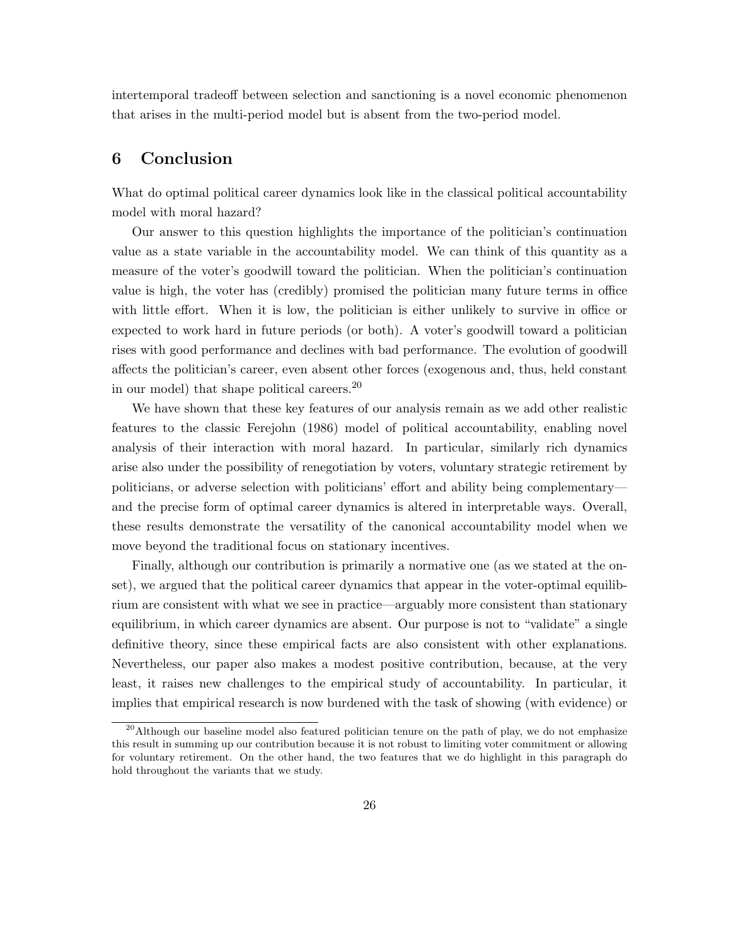intertemporal tradeoff between selection and sanctioning is a novel economic phenomenon that arises in the multi-period model but is absent from the two-period model.

### 6 Conclusion

What do optimal political career dynamics look like in the classical political accountability model with moral hazard?

Our answer to this question highlights the importance of the politician's continuation value as a state variable in the accountability model. We can think of this quantity as a measure of the voter's goodwill toward the politician. When the politician's continuation value is high, the voter has (credibly) promised the politician many future terms in office with little effort. When it is low, the politician is either unlikely to survive in office or expected to work hard in future periods (or both). A voter's goodwill toward a politician rises with good performance and declines with bad performance. The evolution of goodwill affects the politician's career, even absent other forces (exogenous and, thus, held constant in our model) that shape political careers.<sup>20</sup>

We have shown that these key features of our analysis remain as we add other realistic features to the classic Ferejohn (1986) model of political accountability, enabling novel analysis of their interaction with moral hazard. In particular, similarly rich dynamics arise also under the possibility of renegotiation by voters, voluntary strategic retirement by politicians, or adverse selection with politicians' effort and ability being complementary and the precise form of optimal career dynamics is altered in interpretable ways. Overall, these results demonstrate the versatility of the canonical accountability model when we move beyond the traditional focus on stationary incentives.

Finally, although our contribution is primarily a normative one (as we stated at the onset), we argued that the political career dynamics that appear in the voter-optimal equilibrium are consistent with what we see in practice—arguably more consistent than stationary equilibrium, in which career dynamics are absent. Our purpose is not to "validate" a single definitive theory, since these empirical facts are also consistent with other explanations. Nevertheless, our paper also makes a modest positive contribution, because, at the very least, it raises new challenges to the empirical study of accountability. In particular, it implies that empirical research is now burdened with the task of showing (with evidence) or

<sup>&</sup>lt;sup>20</sup>Although our baseline model also featured politician tenure on the path of play, we do not emphasize this result in summing up our contribution because it is not robust to limiting voter commitment or allowing for voluntary retirement. On the other hand, the two features that we do highlight in this paragraph do hold throughout the variants that we study.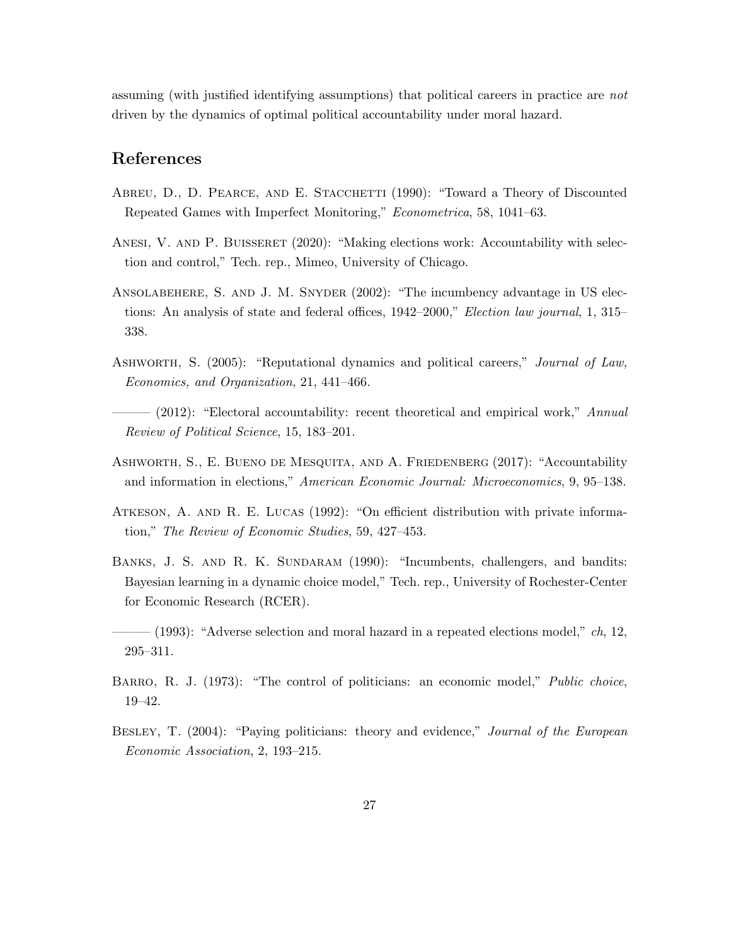assuming (with justified identifying assumptions) that political careers in practice are not driven by the dynamics of optimal political accountability under moral hazard.

# References

- ABREU, D., D. PEARCE, AND E. STACCHETTI (1990): "Toward a Theory of Discounted Repeated Games with Imperfect Monitoring," Econometrica, 58, 1041–63.
- ANESI, V. AND P. BUISSERET (2020): "Making elections work: Accountability with selection and control," Tech. rep., Mimeo, University of Chicago.
- Ansolabehere, S. and J. M. Snyder (2002): "The incumbency advantage in US elections: An analysis of state and federal offices, 1942–2000," Election law journal, 1, 315– 338.
- Ashworth, S. (2005): "Reputational dynamics and political careers," Journal of Law, Economics, and Organization, 21, 441–466.
- $-$  (2012): "Electoral accountability: recent theoretical and empirical work," Annual Review of Political Science, 15, 183–201.
- Ashworth, S., E. Bueno de Mesquita, and A. Friedenberg (2017): "Accountability and information in elections," American Economic Journal: Microeconomics, 9, 95–138.
- Atkeson, A. and R. E. Lucas (1992): "On efficient distribution with private information," The Review of Economic Studies, 59, 427–453.
- BANKS, J. S. AND R. K. SUNDARAM (1990): "Incumbents, challengers, and bandits: Bayesian learning in a dynamic choice model," Tech. rep., University of Rochester-Center for Economic Research (RCER).
- $-$  (1993): "Adverse selection and moral hazard in a repeated elections model,"  $ch$ , 12, 295–311.
- BARRO, R. J. (1973): "The control of politicians: an economic model," *Public choice*, 19–42.
- BESLEY, T. (2004): "Paying politicians: theory and evidence," Journal of the European Economic Association, 2, 193–215.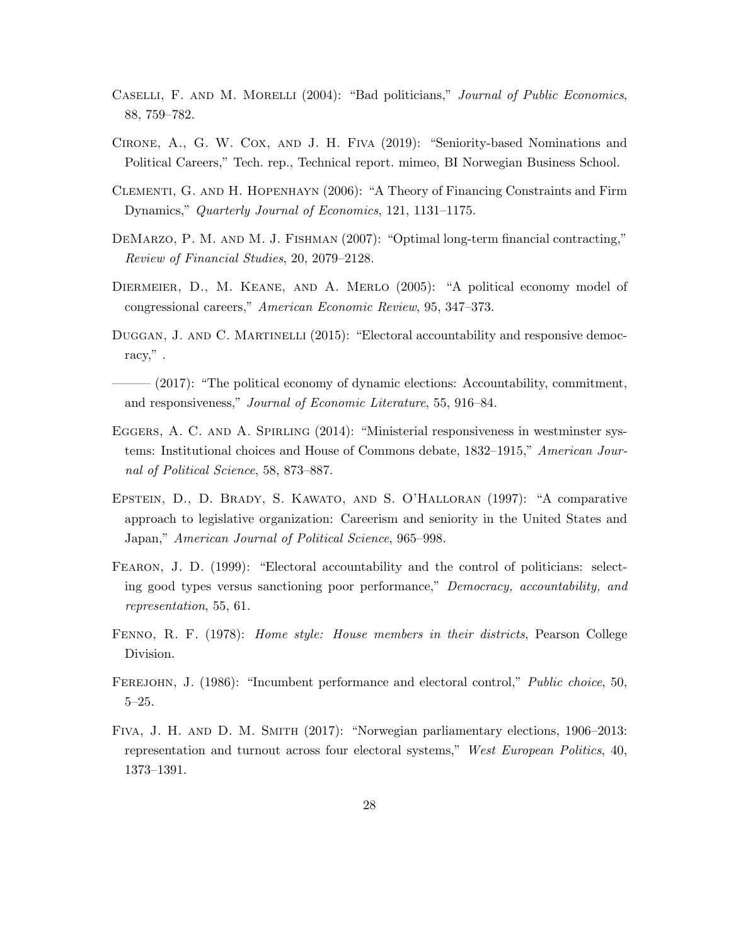- CASELLI, F. AND M. MORELLI (2004): "Bad politicians," Journal of Public Economics, 88, 759–782.
- Cirone, A., G. W. Cox, and J. H. Fiva (2019): "Seniority-based Nominations and Political Careers," Tech. rep., Technical report. mimeo, BI Norwegian Business School.
- Clementi, G. and H. Hopenhayn (2006): "A Theory of Financing Constraints and Firm Dynamics," Quarterly Journal of Economics, 121, 1131–1175.
- DeMarzo, P. M. and M. J. Fishman (2007): "Optimal long-term financial contracting," Review of Financial Studies, 20, 2079–2128.
- Diermeier, D., M. Keane, and A. Merlo (2005): "A political economy model of congressional careers," American Economic Review, 95, 347–373.
- DUGGAN, J. AND C. MARTINELLI (2015): "Electoral accountability and responsive democracy," .
- $-$  (2017): "The political economy of dynamic elections: Accountability, commitment, and responsiveness," Journal of Economic Literature, 55, 916–84.
- EGGERS, A. C. AND A. SPIRLING (2014): "Ministerial responsiveness in westminster systems: Institutional choices and House of Commons debate, 1832–1915," American Journal of Political Science, 58, 873–887.
- Epstein, D., D. Brady, S. Kawato, and S. O'Halloran (1997): "A comparative approach to legislative organization: Careerism and seniority in the United States and Japan," American Journal of Political Science, 965–998.
- Fearon, J. D. (1999): "Electoral accountability and the control of politicians: selecting good types versus sanctioning poor performance," Democracy, accountability, and representation, 55, 61.
- FENNO, R. F. (1978): *Home style: House members in their districts*, Pearson College Division.
- FEREJOHN, J. (1986): "Incumbent performance and electoral control," Public choice, 50, 5–25.
- Fiva, J. H. and D. M. Smith (2017): "Norwegian parliamentary elections, 1906–2013: representation and turnout across four electoral systems," West European Politics, 40, 1373–1391.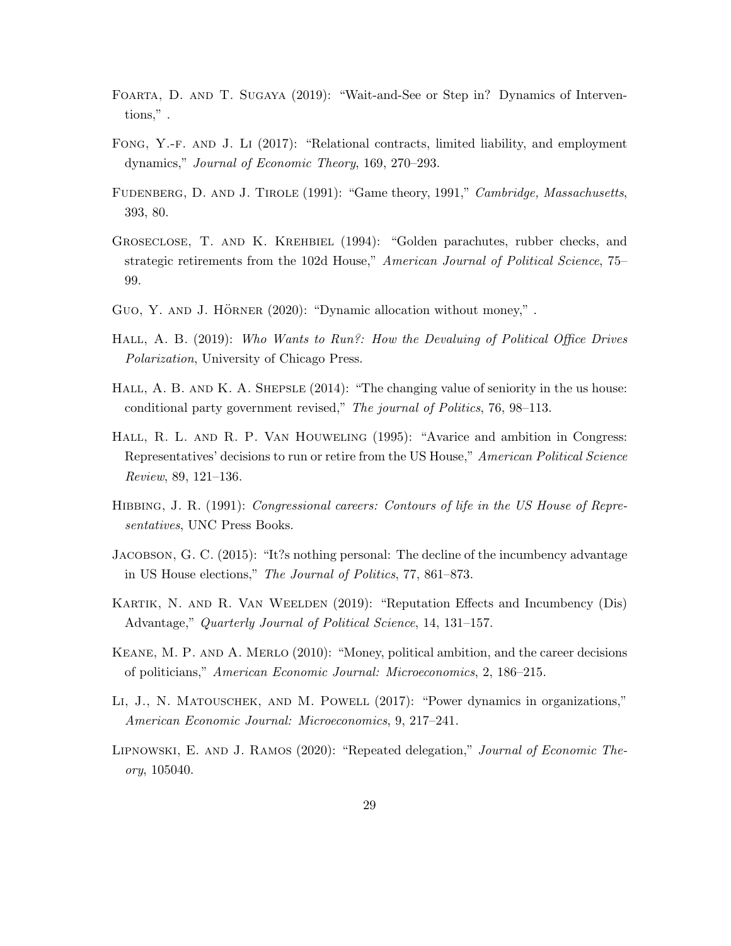- Foarta, D. and T. Sugaya (2019): "Wait-and-See or Step in? Dynamics of Interventions," .
- Fong, Y.-f. and J. Li (2017): "Relational contracts, limited liability, and employment dynamics," Journal of Economic Theory, 169, 270–293.
- FUDENBERG, D. AND J. TIROLE (1991): "Game theory, 1991," Cambridge, Massachusetts, 393, 80.
- Groseclose, T. and K. Krehbiel (1994): "Golden parachutes, rubber checks, and strategic retirements from the 102d House," American Journal of Political Science, 75– 99.
- GUO, Y. AND J. HÖRNER (2020): "Dynamic allocation without money,".
- HALL, A. B. (2019): Who Wants to Run?: How the Devaluing of Political Office Drives Polarization, University of Chicago Press.
- HALL, A. B. AND K. A. SHEPSLE (2014): "The changing value of seniority in the us house: conditional party government revised," The journal of Politics, 76, 98–113.
- Hall, R. L. and R. P. Van Houweling (1995): "Avarice and ambition in Congress: Representatives' decisions to run or retire from the US House," American Political Science Review, 89, 121–136.
- HIBBING, J. R. (1991): Congressional careers: Contours of life in the US House of Representatives, UNC Press Books.
- Jacobson, G. C. (2015): "It?s nothing personal: The decline of the incumbency advantage in US House elections," The Journal of Politics, 77, 861–873.
- Kartik, N. and R. Van Weelden (2019): "Reputation Effects and Incumbency (Dis) Advantage," Quarterly Journal of Political Science, 14, 131–157.
- Keane, M. P. and A. Merlo (2010): "Money, political ambition, and the career decisions of politicians," American Economic Journal: Microeconomics, 2, 186–215.
- Li, J., N. Matouschek, and M. Powell (2017): "Power dynamics in organizations," American Economic Journal: Microeconomics, 9, 217–241.
- Lipnowski, E. and J. Ramos (2020): "Repeated delegation," Journal of Economic Theory, 105040.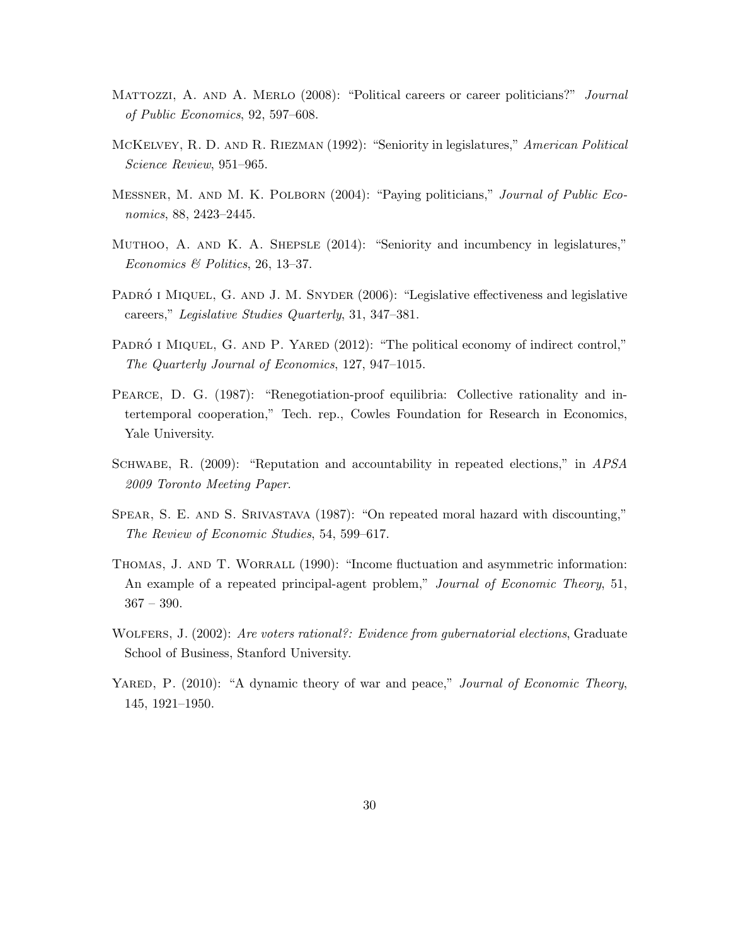- MATTOZZI, A. AND A. MERLO (2008): "Political careers or career politicians?" Journal of Public Economics, 92, 597–608.
- McKelvey, R. D. and R. Riezman (1992): "Seniority in legislatures," American Political Science Review, 951–965.
- Messner, M. and M. K. Polborn (2004): "Paying politicians," Journal of Public Economics, 88, 2423–2445.
- Muthoo, A. and K. A. Shepsle (2014): "Seniority and incumbency in legislatures," Economics & Politics, 26, 13–37.
- PADRÓ I MIQUEL, G. AND J. M. SNYDER (2006): "Legislative effectiveness and legislative careers," Legislative Studies Quarterly, 31, 347–381.
- PADRÓ I MIQUEL, G. AND P. YARED  $(2012)$ : "The political economy of indirect control," The Quarterly Journal of Economics, 127, 947–1015.
- PEARCE, D. G. (1987): "Renegotiation-proof equilibria: Collective rationality and intertemporal cooperation," Tech. rep., Cowles Foundation for Research in Economics, Yale University.
- SCHWABE, R. (2009): "Reputation and accountability in repeated elections," in APSA 2009 Toronto Meeting Paper.
- SPEAR, S. E. AND S. SRIVASTAVA (1987): "On repeated moral hazard with discounting," The Review of Economic Studies, 54, 599–617.
- THOMAS, J. AND T. WORRALL (1990): "Income fluctuation and asymmetric information: An example of a repeated principal-agent problem," Journal of Economic Theory, 51, 367 – 390.
- WOLFERS, J. (2002): Are voters rational?: Evidence from gubernatorial elections, Graduate School of Business, Stanford University.
- YARED, P. (2010): "A dynamic theory of war and peace," Journal of Economic Theory, 145, 1921–1950.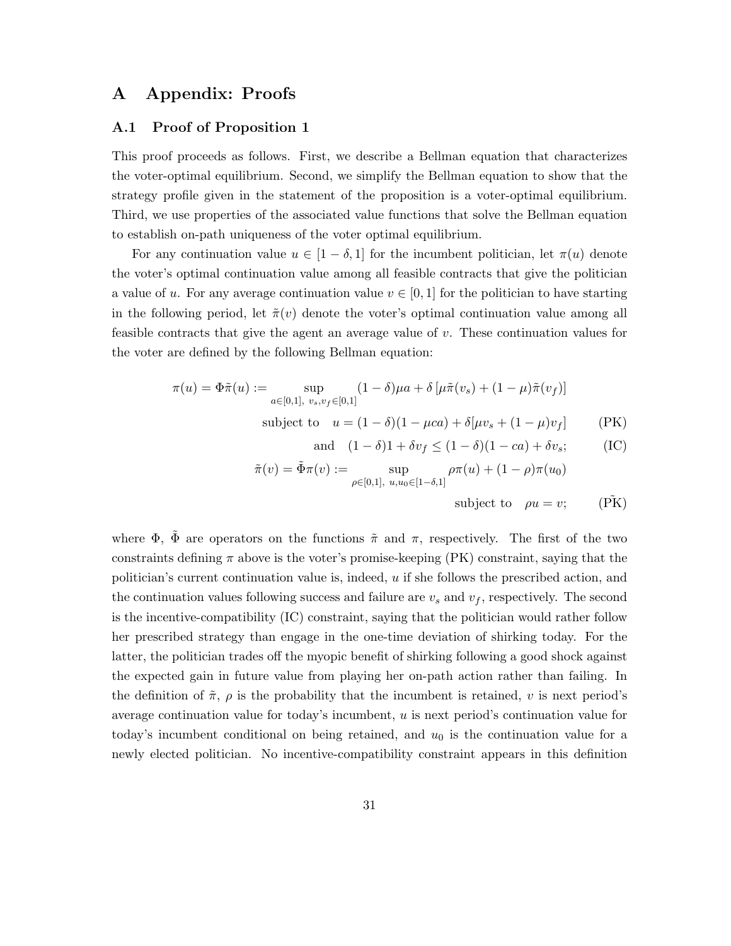# A Appendix: Proofs

#### A.1 Proof of Proposition 1

This proof proceeds as follows. First, we describe a Bellman equation that characterizes the voter-optimal equilibrium. Second, we simplify the Bellman equation to show that the strategy profile given in the statement of the proposition is a voter-optimal equilibrium. Third, we use properties of the associated value functions that solve the Bellman equation to establish on-path uniqueness of the voter optimal equilibrium.

For any continuation value  $u \in [1-\delta,1]$  for the incumbent politician, let  $\pi(u)$  denote the voter's optimal continuation value among all feasible contracts that give the politician a value of u. For any average continuation value  $v \in [0, 1]$  for the politician to have starting in the following period, let  $\tilde{\pi}(v)$  denote the voter's optimal continuation value among all feasible contracts that give the agent an average value of  $v$ . These continuation values for the voter are defined by the following Bellman equation:

$$
\pi(u) = \Phi \tilde{\pi}(u) := \sup_{a \in [0,1], \ v_s, v_f \in [0,1]} (1 - \delta) \mu a + \delta \left[ \mu \tilde{\pi}(v_s) + (1 - \mu) \tilde{\pi}(v_f) \right]
$$

subject to  $u = (1 - \delta)(1 - \mu ca) + \delta[\mu v_s + (1 - \mu)v_f]$  (PK)

and 
$$
(1 - \delta)1 + \delta v_f \le (1 - \delta)(1 - ca) + \delta v_s;
$$
 (IC)

$$
\tilde{\pi}(v) = \tilde{\Phi}\pi(v) := \sup_{\rho \in [0,1], \ u, u_0 \in [1-\delta,1]} \rho \pi(u) + (1-\rho)\pi(u_0)
$$
  
subject to  $\rho u = v$ ; (PK)

where  $\Phi$ ,  $\tilde{\Phi}$  are operators on the functions  $\tilde{\pi}$  and  $\pi$ , respectively. The first of the two constraints defining  $\pi$  above is the voter's promise-keeping (PK) constraint, saying that the politician's current continuation value is, indeed,  $u$  if she follows the prescribed action, and the continuation values following success and failure are  $v_s$  and  $v_f$ , respectively. The second is the incentive-compatibility (IC) constraint, saying that the politician would rather follow her prescribed strategy than engage in the one-time deviation of shirking today. For the latter, the politician trades off the myopic benefit of shirking following a good shock against the expected gain in future value from playing her on-path action rather than failing. In the definition of  $\tilde{\pi}$ ,  $\rho$  is the probability that the incumbent is retained, v is next period's average continuation value for today's incumbent, u is next period's continuation value for today's incumbent conditional on being retained, and  $u_0$  is the continuation value for a newly elected politician. No incentive-compatibility constraint appears in this definition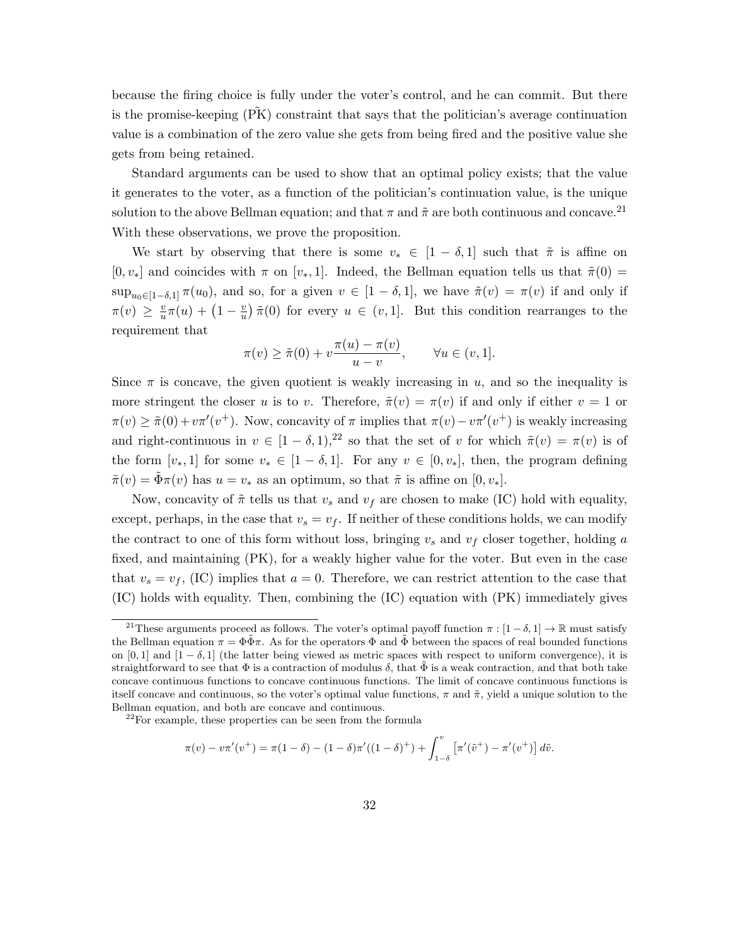because the firing choice is fully under the voter's control, and he can commit. But there is the promise-keeping  $(PK)$  constraint that says that the politician's average continuation value is a combination of the zero value she gets from being fired and the positive value she gets from being retained.

Standard arguments can be used to show that an optimal policy exists; that the value it generates to the voter, as a function of the politician's continuation value, is the unique solution to the above Bellman equation; and that  $\pi$  and  $\tilde{\pi}$  are both continuous and concave.<sup>21</sup> With these observations, we prove the proposition.

We start by observing that there is some  $v_* \in [1 - \delta, 1]$  such that  $\tilde{\pi}$  is affine on  $[0, v_*]$  and coincides with  $\pi$  on  $[v_*, 1]$ . Indeed, the Bellman equation tells us that  $\tilde{\pi}(0)$  =  $\sup_{u_0\in[1-\delta,1]}\pi(u_0)$ , and so, for a given  $v\in[1-\delta,1]$ , we have  $\tilde{\pi}(v)=\pi(v)$  if and only if  $\pi(v) \geq \frac{v}{w}$  $\frac{v}{u}\pi(u) + \left(1 - \frac{v}{u}\right)$  $\frac{v}{u}$ )  $\tilde{\pi}(0)$  for every  $u \in (v, 1]$ . But this condition rearranges to the requirement that

$$
\pi(v) \ge \tilde{\pi}(0) + v \frac{\pi(u) - \pi(v)}{u - v}, \qquad \forall u \in (v, 1].
$$

Since  $\pi$  is concave, the given quotient is weakly increasing in u, and so the inequality is more stringent the closer u is to v. Therefore,  $\tilde{\pi}(v) = \pi(v)$  if and only if either  $v = 1$  or  $\pi(v) \geq \tilde{\pi}(0) + v \pi'(v^+)$ . Now, concavity of  $\pi$  implies that  $\pi(v) - v \pi'(v^+)$  is weakly increasing and right-continuous in  $v \in [1 - \delta, 1],^{22}$  so that the set of v for which  $\tilde{\pi}(v) = \pi(v)$  is of the form  $[v_*, 1]$  for some  $v_* \in [1 - \delta, 1]$ . For any  $v \in [0, v_*]$ , then, the program defining  $\tilde{\pi}(v) = \tilde{\Phi}\pi(v)$  has  $u = v_*$  as an optimum, so that  $\tilde{\pi}$  is affine on  $[0, v_*]$ .

Now, concavity of  $\tilde{\pi}$  tells us that  $v_s$  and  $v_f$  are chosen to make (IC) hold with equality, except, perhaps, in the case that  $v_s = v_f$ . If neither of these conditions holds, we can modify the contract to one of this form without loss, bringing  $v_s$  and  $v_f$  closer together, holding a fixed, and maintaining (PK), for a weakly higher value for the voter. But even in the case that  $v_s = v_f$ , (IC) implies that  $a = 0$ . Therefore, we can restrict attention to the case that (IC) holds with equality. Then, combining the (IC) equation with (PK) immediately gives

$$
\pi(v) - v\pi'(v^+) = \pi(1-\delta) - (1-\delta)\pi'((1-\delta)^+) + \int_{1-\delta}^v \left[\pi'(\tilde{v}^+) - \pi'(v^+)\right] d\tilde{v}.
$$

<sup>&</sup>lt;sup>21</sup>These arguments proceed as follows. The voter's optimal payoff function  $\pi : [1 - \delta, 1] \to \mathbb{R}$  must satisfy the Bellman equation  $\pi = \Phi \bar{\Phi} \pi$ . As for the operators  $\Phi$  and  $\bar{\Phi}$  between the spaces of real bounded functions on [0, 1] and  $[1 - \delta, 1]$  (the latter being viewed as metric spaces with respect to uniform convergence), it is straightforward to see that  $\Phi$  is a contraction of modulus  $\delta$ , that  $\Phi$  is a weak contraction, and that both take concave continuous functions to concave continuous functions. The limit of concave continuous functions is itself concave and continuous, so the voter's optimal value functions,  $\pi$  and  $\tilde{\pi}$ , yield a unique solution to the Bellman equation, and both are concave and continuous.

 $^{22}$ For example, these properties can be seen from the formula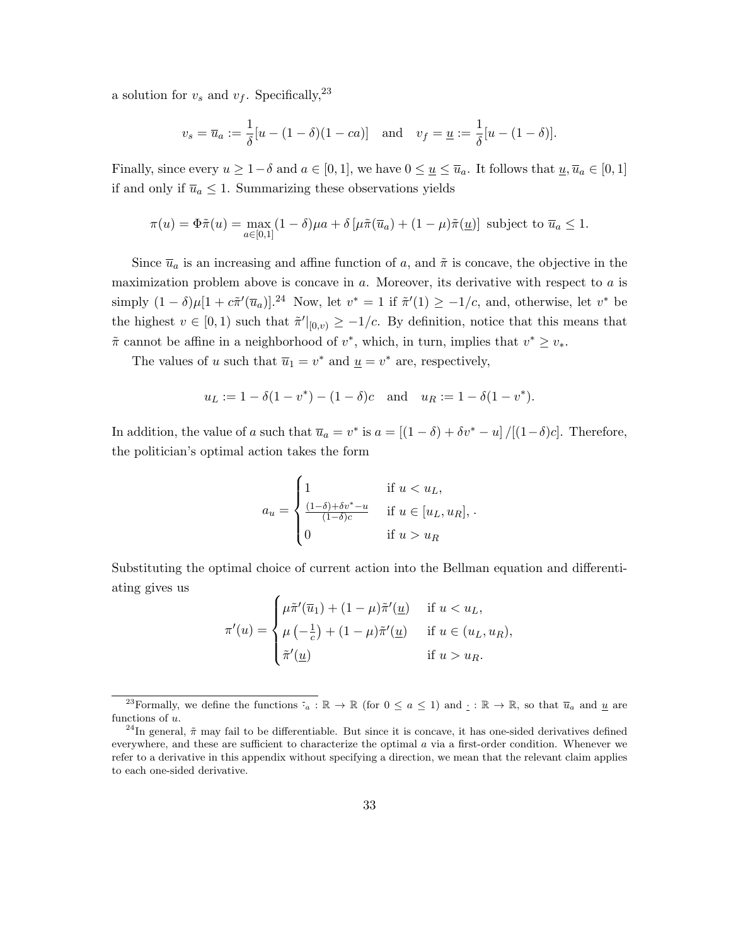a solution for  $v_s$  and  $v_f$ . Specifically,<sup>23</sup>

$$
v_s = \overline{u}_a := \frac{1}{\delta}[u - (1 - \delta)(1 - ca)]
$$
 and  $v_f = \underline{u} := \frac{1}{\delta}[u - (1 - \delta)].$ 

Finally, since every  $u \geq 1-\delta$  and  $a \in [0,1]$ , we have  $0 \leq \underline{u} \leq \overline{u}_a$ . It follows that  $\underline{u}, \overline{u}_a \in [0,1]$ if and only if  $\overline{u}_a \leq 1$ . Summarizing these observations yields

$$
\pi(u) = \Phi \tilde{\pi}(u) = \max_{a \in [0,1]} (1 - \delta) \mu a + \delta \left[ \mu \tilde{\pi}(\overline{u}_a) + (1 - \mu) \tilde{\pi}(\underline{u}) \right]
$$
 subject to  $\overline{u}_a \le 1$ .

Since  $\overline{u}_a$  is an increasing and affine function of a, and  $\tilde{\pi}$  is concave, the objective in the maximization problem above is concave in  $a$ . Moreover, its derivative with respect to  $a$  is simply  $(1 - \delta)\mu[1 + c\tilde{\pi}'(\overline{u}_a)]^{24}$  Now, let  $v^* = 1$  if  $\tilde{\pi}'(1) \geq -1/c$ , and, otherwise, let  $v^*$  be the highest  $v \in [0, 1)$  such that  $\tilde{\pi}'|_{[0,v]} \geq -1/c$ . By definition, notice that this means that  $\tilde{\pi}$  cannot be affine in a neighborhood of  $v^*$ , which, in turn, implies that  $v^* \geq v_*$ .

The values of u such that  $\overline{u}_1 = v^*$  and  $\underline{u} = v^*$  are, respectively,

$$
u_L := 1 - \delta(1 - v^*) - (1 - \delta)c
$$
 and  $u_R := 1 - \delta(1 - v^*).$ 

In addition, the value of a such that  $\overline{u}_a = v^*$  is  $a = \left[ (1 - \delta) + \delta v^* - u \right] / \left[ (1 - \delta) c \right]$ . Therefore, the politician's optimal action takes the form

$$
a_u = \begin{cases} 1 & \text{if } u < u_L, \\ \frac{(1-\delta)+\delta v^* - u}{(1-\delta)c} & \text{if } u \in [u_L, u_R], \\ 0 & \text{if } u > u_R \end{cases}
$$

Substituting the optimal choice of current action into the Bellman equation and differentiating gives us

$$
\pi'(u) = \begin{cases} \mu \tilde{\pi}'(\overline{u}_1) + (1 - \mu) \tilde{\pi}'(\underline{u}) & \text{if } u < u_L, \\ \mu \left( -\frac{1}{c} \right) + (1 - \mu) \tilde{\pi}'(\underline{u}) & \text{if } u \in (u_L, u_R), \\ \tilde{\pi}'(\underline{u}) & \text{if } u > u_R. \end{cases}
$$

<sup>&</sup>lt;sup>23</sup>Formally, we define the functions  $\overline{\cdot}_a : \mathbb{R} \to \mathbb{R}$  (for  $0 \le a \le 1$ ) and  $\cdot : \mathbb{R} \to \mathbb{R}$ , so that  $\overline{u}_a$  and <u>u</u> are functions of u.

<sup>&</sup>lt;sup>24</sup>In general,  $\tilde{\pi}$  may fail to be differentiable. But since it is concave, it has one-sided derivatives defined everywhere, and these are sufficient to characterize the optimal  $a$  via a first-order condition. Whenever we refer to a derivative in this appendix without specifying a direction, we mean that the relevant claim applies to each one-sided derivative.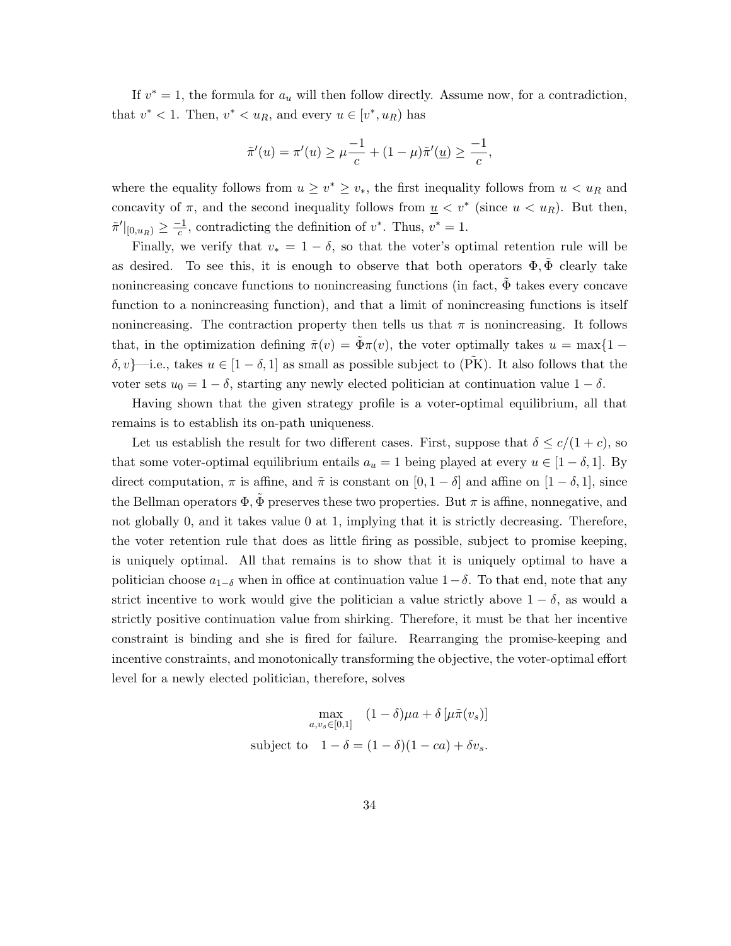If  $v^* = 1$ , the formula for  $a_u$  will then follow directly. Assume now, for a contradiction, that  $v^* < 1$ . Then,  $v^* < u_R$ , and every  $u \in [v^*, u_R)$  has

$$
\tilde{\pi}'(u) = \pi'(u) \ge \mu \frac{-1}{c} + (1 - \mu)\tilde{\pi}'(\underline{u}) \ge \frac{-1}{c},
$$

where the equality follows from  $u \geq v^* \geq v_*$ , the first inequality follows from  $u < u_R$  and concavity of  $\pi$ , and the second inequality follows from  $\underline{u} < v^*$  (since  $u < u_R$ ). But then,  $\tilde{\pi}'|_{[0,u_R)} \geq \frac{-1}{c}$  $\frac{c-1}{c}$ , contradicting the definition of  $v^*$ . Thus,  $v^* = 1$ .

Finally, we verify that  $v_* = 1 - \delta$ , so that the voter's optimal retention rule will be as desired. To see this, it is enough to observe that both operators  $\Phi$ ,  $\tilde{\Phi}$  clearly take nonincreasing concave functions to nonincreasing functions (in fact,  $\tilde{\Phi}$  takes every concave function to a nonincreasing function), and that a limit of nonincreasing functions is itself nonincreasing. The contraction property then tells us that  $\pi$  is nonincreasing. It follows that, in the optimization defining  $\tilde{\pi}(v) = \Phi \pi(v)$ , the voter optimally takes  $u = \max\{1 - \Phi \pi(v)\}$ δ, v}—i.e., takes  $u \in [1 - \delta, 1]$  as small as possible subject to (PK). It also follows that the voter sets  $u_0 = 1 - \delta$ , starting any newly elected politician at continuation value  $1 - \delta$ .

Having shown that the given strategy profile is a voter-optimal equilibrium, all that remains is to establish its on-path uniqueness.

Let us establish the result for two different cases. First, suppose that  $\delta \leq c/(1+c)$ , so that some voter-optimal equilibrium entails  $a_u = 1$  being played at every  $u \in [1 - \delta, 1]$ . By direct computation,  $\pi$  is affine, and  $\tilde{\pi}$  is constant on  $[0, 1 - \delta]$  and affine on  $[1 - \delta, 1]$ , since the Bellman operators  $\Phi$ ,  $\Phi$  preserves these two properties. But  $\pi$  is affine, nonnegative, and not globally 0, and it takes value 0 at 1, implying that it is strictly decreasing. Therefore, the voter retention rule that does as little firing as possible, subject to promise keeping, is uniquely optimal. All that remains is to show that it is uniquely optimal to have a politician choose  $a_{1-\delta}$  when in office at continuation value  $1-\delta$ . To that end, note that any strict incentive to work would give the politician a value strictly above  $1 - \delta$ , as would a strictly positive continuation value from shirking. Therefore, it must be that her incentive constraint is binding and she is fired for failure. Rearranging the promise-keeping and incentive constraints, and monotonically transforming the objective, the voter-optimal effort level for a newly elected politician, therefore, solves

$$
\max_{a,v_s \in [0,1]} (1-\delta)\mu a + \delta \left[\mu \tilde{\pi}(v_s)\right]
$$
  
subject to  $1-\delta = (1-\delta)(1-ca) + \delta v_s$ .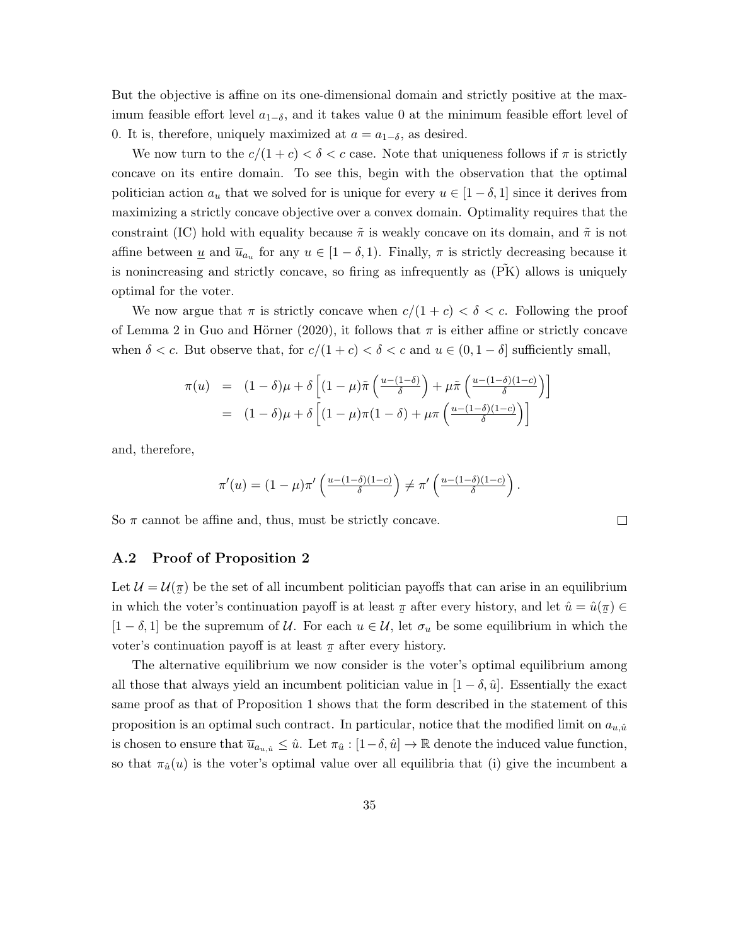But the objective is affine on its one-dimensional domain and strictly positive at the maximum feasible effort level  $a_{1-\delta}$ , and it takes value 0 at the minimum feasible effort level of 0. It is, therefore, uniquely maximized at  $a = a_{1-\delta}$ , as desired.

We now turn to the  $c/(1+c) < \delta < c$  case. Note that uniqueness follows if  $\pi$  is strictly concave on its entire domain. To see this, begin with the observation that the optimal politician action  $a_u$  that we solved for is unique for every  $u \in [1-\delta,1]$  since it derives from maximizing a strictly concave objective over a convex domain. Optimality requires that the constraint (IC) hold with equality because  $\tilde{\pi}$  is weakly concave on its domain, and  $\tilde{\pi}$  is not affine between <u>u</u> and  $\overline{u}_{a_u}$  for any  $u \in [1 - \delta, 1)$ . Finally,  $\pi$  is strictly decreasing because it is nonincreasing and strictly concave, so firing as infrequently as  $(XK)$  allows is uniquely optimal for the voter.

We now argue that  $\pi$  is strictly concave when  $c/(1+c) < \delta < c$ . Following the proof of Lemma 2 in Guo and Hörner (2020), it follows that  $\pi$  is either affine or strictly concave when  $\delta < c$ . But observe that, for  $c/(1+c) < \delta < c$  and  $u \in (0,1-\delta]$  sufficiently small,

$$
\pi(u) = (1 - \delta)\mu + \delta \left[ (1 - \mu)\tilde{\pi} \left( \frac{u - (1 - \delta)}{\delta} \right) + \mu \tilde{\pi} \left( \frac{u - (1 - \delta)(1 - c)}{\delta} \right) \right]
$$

$$
= (1 - \delta)\mu + \delta \left[ (1 - \mu)\pi (1 - \delta) + \mu \pi \left( \frac{u - (1 - \delta)(1 - c)}{\delta} \right) \right]
$$

and, therefore,

$$
\pi'(u) = (1 - \mu)\pi'\left(\frac{u - (1 - \delta)(1 - c)}{\delta}\right) \neq \pi'\left(\frac{u - (1 - \delta)(1 - c)}{\delta}\right).
$$

 $\Box$ 

So  $\pi$  cannot be affine and, thus, must be strictly concave.

#### A.2 Proof of Proposition 2

Let  $\mathcal{U} = \mathcal{U}(\pi)$  be the set of all incumbent politician payoffs that can arise in an equilibrium in which the voter's continuation payoff is at least ˜  $\pi$  after every history, and let  $\hat{u} = \hat{u}$  $\tilde{a}$  $\pi) \in$  $[1 - \delta, 1]$  be the supremum of U. For each  $u \in U$ , let  $\sigma_u$  be some equilibrium in which the voter's continuation payoff is at least  $\pi$  after every history.

The alternative equilibrium we now consider is the voter's optimal equilibrium among all those that always yield an incumbent politician value in  $[1 - \delta, \hat{u}]$ . Essentially the exact same proof as that of Proposition 1 shows that the form described in the statement of this proposition is an optimal such contract. In particular, notice that the modified limit on  $a_{u,\hat{u}}$ is chosen to ensure that  $\overline{u}_{a_{u,\hat{u}}} \leq \hat{u}$ . Let  $\pi_{\hat{u}} : [1-\delta, \hat{u}] \to \mathbb{R}$  denote the induced value function, so that  $\pi_{\hat{u}}(u)$  is the voter's optimal value over all equilibria that (i) give the incumbent a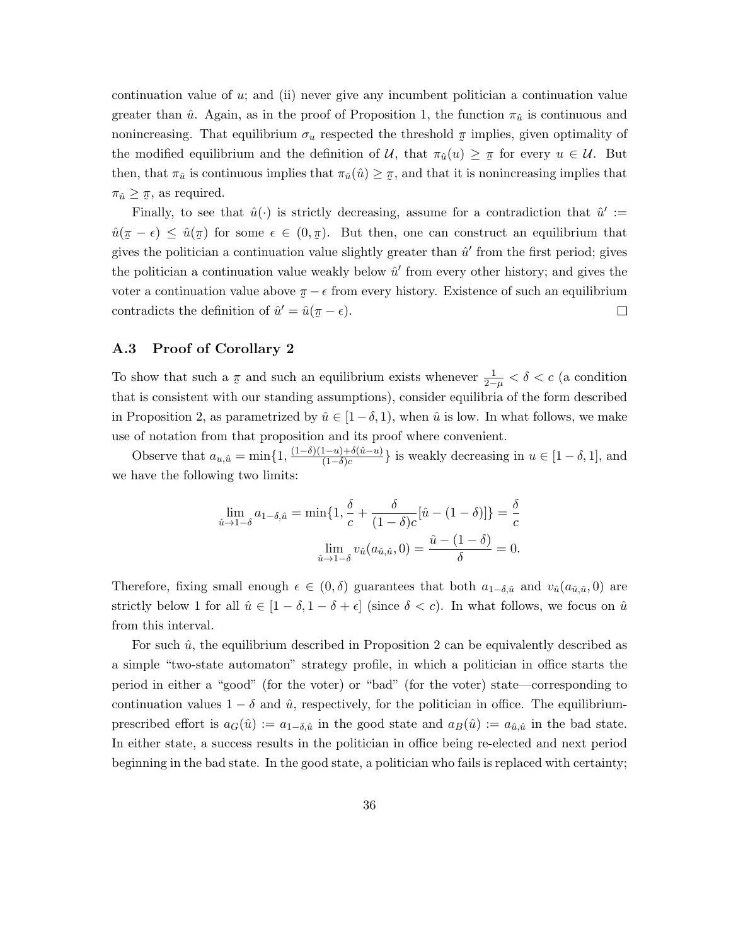continuation value of u; and (ii) never give any incumbent politician a continuation value greater than  $\hat{u}$ . Again, as in the proof of Proposition 1, the function  $\pi_{\hat{u}}$  is continuous and nonincreasing. That equilibrium  $\sigma_u$  respected the threshold  $\pi$  implies, given optimality of the modified equilibrium and the definition of U, that  $\pi_{\hat{u}}(u) \geq \pi$  for every  $u \in \mathcal{U}$ . But then, that  $\pi_{\hat{u}}$  is continuous implies that  $\pi_{\hat{u}}(\hat{u}) \geq \pi$ , and that it is no  $\pi$ , and that it is nonincreasing implies that  $\pi_{\hat{u}} \geq \pi$ , as required.

Finally, to see that  $\hat{u}(\cdot)$  is strictly decreasing, assume for a contradiction that  $\hat{u}' :=$  $\hat{u}(\pi - \epsilon) \leq \hat{u}(\pi)$  for some  $\epsilon \in (0, \pi)$ . But then, one can construct an equilibrium that gives the politician a continuation value slightly greater than  $\hat{u}'$  from the first period; gives the politician a continuation value weakly below  $\hat{u}'$  from every other history; and gives the voter a continuation value above  $\pi - \epsilon$  from every history. Existence of such an equilibrium contradicts the definition of  $\hat{u}' = \hat{u}$  $\pi - \epsilon$ ).  $\Box$ ˜

#### A.3 Proof of Corollary 2

To show that such a ˜  $\pi$  and such an equilibrium exists whenever  $\frac{1}{2-\mu} < \delta < c$  (a condition that is consistent with our standing assumptions), consider equilibria of the form described in Proposition 2, as parametrized by  $\hat{u} \in [1-\delta, 1)$ , when  $\hat{u}$  is low. In what follows, we make use of notation from that proposition and its proof where convenient.

Observe that  $a_{u,\hat{u}} = \min\{1, \frac{(1-\delta)(1-u)+\delta(\hat{u}-u)}{(1-\delta)c}\}$  $\frac{(1-u)+o(u-u)}{(1-\delta)c}$  is weakly decreasing in  $u \in [1-\delta, 1]$ , and we have the following two limits:

$$
\lim_{\hat{u}\to 1-\delta} a_{1-\delta,\hat{u}} = \min\{1, \frac{\delta}{c} + \frac{\delta}{(1-\delta)c}[\hat{u} - (1-\delta)]\} = \frac{\delta}{c}
$$

$$
\lim_{\hat{u}\to 1-\delta} v_{\hat{u}}(a_{\hat{u},\hat{u}}, 0) = \frac{\hat{u} - (1-\delta)}{\delta} = 0.
$$

Therefore, fixing small enough  $\epsilon \in (0, \delta)$  guarantees that both  $a_{1-\delta,\hat{u}}$  and  $v_{\hat{u}}(a_{\hat{u},\hat{u}},0)$  are strictly below 1 for all  $\hat{u} \in [1 - \delta, 1 - \delta + \epsilon]$  (since  $\delta < c$ ). In what follows, we focus on  $\hat{u}$ from this interval.

For such  $\hat{u}$ , the equilibrium described in Proposition 2 can be equivalently described as a simple "two-state automaton" strategy profile, in which a politician in office starts the period in either a "good" (for the voter) or "bad" (for the voter) state—corresponding to continuation values  $1 - \delta$  and  $\hat{u}$ , respectively, for the politician in office. The equilibriumprescribed effort is  $a_G(\hat{u}) := a_{1-\delta,\hat{u}}$  in the good state and  $a_B(\hat{u}) := a_{\hat{u},\hat{u}}$  in the bad state. In either state, a success results in the politician in office being re-elected and next period beginning in the bad state. In the good state, a politician who fails is replaced with certainty;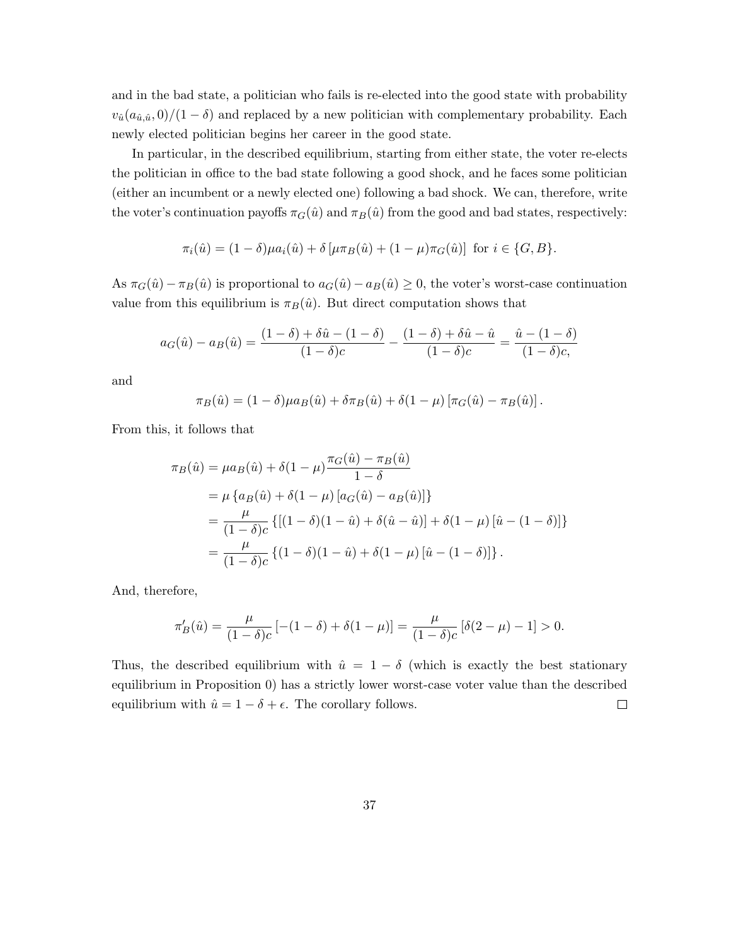and in the bad state, a politician who fails is re-elected into the good state with probability  $v_{\hat{u}}(a_{\hat{u},\hat{u}},0)/(1-\delta)$  and replaced by a new politician with complementary probability. Each newly elected politician begins her career in the good state.

In particular, in the described equilibrium, starting from either state, the voter re-elects the politician in office to the bad state following a good shock, and he faces some politician (either an incumbent or a newly elected one) following a bad shock. We can, therefore, write the voter's continuation payoffs  $\pi_G(\hat{u})$  and  $\pi_B(\hat{u})$  from the good and bad states, respectively:

$$
\pi_i(\hat{u}) = (1 - \delta)\mu a_i(\hat{u}) + \delta \left[\mu \pi_B(\hat{u}) + (1 - \mu)\pi_G(\hat{u})\right] \text{ for } i \in \{G, B\}.
$$

As  $\pi_G(\hat{u}) - \pi_B(\hat{u})$  is proportional to  $a_G(\hat{u}) - a_B(\hat{u}) \geq 0$ , the voter's worst-case continuation value from this equilibrium is  $\pi_B(\hat{u})$ . But direct computation shows that

$$
a_G(\hat{u}) - a_B(\hat{u}) = \frac{(1 - \delta) + \delta \hat{u} - (1 - \delta)}{(1 - \delta)c} - \frac{(1 - \delta) + \delta \hat{u} - \hat{u}}{(1 - \delta)c} = \frac{\hat{u} - (1 - \delta)}{(1 - \delta)c},
$$

and

$$
\pi_B(\hat{u}) = (1 - \delta)\mu a_B(\hat{u}) + \delta \pi_B(\hat{u}) + \delta(1 - \mu) [\pi_G(\hat{u}) - \pi_B(\hat{u})].
$$

From this, it follows that

$$
\pi_B(\hat{u}) = \mu a_B(\hat{u}) + \delta (1 - \mu) \frac{\pi_G(\hat{u}) - \pi_B(\hat{u})}{1 - \delta}
$$
  
=  $\mu \{ a_B(\hat{u}) + \delta (1 - \mu) [a_G(\hat{u}) - a_B(\hat{u})] \}$   
=  $\frac{\mu}{(1 - \delta)c} \{ [(1 - \delta)(1 - \hat{u}) + \delta (\hat{u} - \hat{u})] + \delta (1 - \mu) [\hat{u} - (1 - \delta)] \}$   
=  $\frac{\mu}{(1 - \delta)c} \{ (1 - \delta)(1 - \hat{u}) + \delta (1 - \mu) [\hat{u} - (1 - \delta)] \}.$ 

And, therefore,

$$
\pi_B'(\hat{u}) = \frac{\mu}{(1-\delta)c} \left[ -(1-\delta) + \delta(1-\mu) \right] = \frac{\mu}{(1-\delta)c} \left[ \delta(2-\mu) - 1 \right] > 0.
$$

Thus, the described equilibrium with  $\hat{u} = 1 - \delta$  (which is exactly the best stationary equilibrium in Proposition 0) has a strictly lower worst-case voter value than the described equilibrium with  $\hat{u} = 1 - \delta + \epsilon$ . The corollary follows.  $\Box$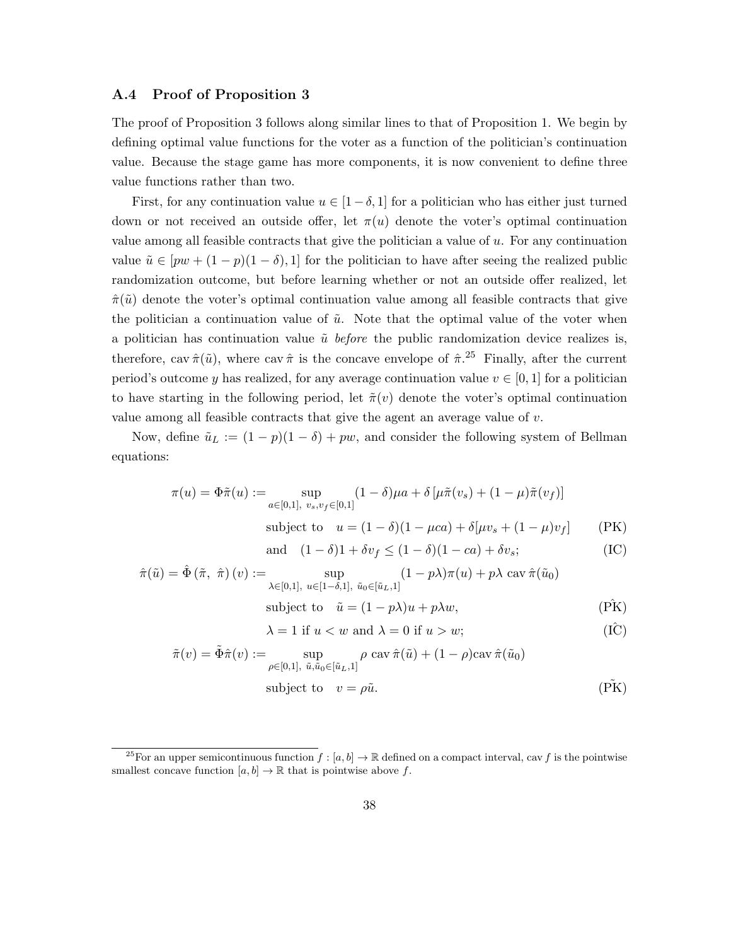#### A.4 Proof of Proposition 3

The proof of Proposition 3 follows along similar lines to that of Proposition 1. We begin by defining optimal value functions for the voter as a function of the politician's continuation value. Because the stage game has more components, it is now convenient to define three value functions rather than two.

First, for any continuation value  $u \in [1-\delta, 1]$  for a politician who has either just turned down or not received an outside offer, let  $\pi(u)$  denote the voter's optimal continuation value among all feasible contracts that give the politician a value of  $u$ . For any continuation value  $\tilde{u} \in [pw + (1-p)(1-\delta), 1]$  for the politician to have after seeing the realized public randomization outcome, but before learning whether or not an outside offer realized, let  $\hat{\pi}(\tilde{u})$  denote the voter's optimal continuation value among all feasible contracts that give the politician a continuation value of  $\tilde{u}$ . Note that the optimal value of the voter when a politician has continuation value  $\tilde{u}$  before the public randomization device realizes is, therefore, cav  $\hat{\pi}(\tilde{u})$ , where cav  $\hat{\pi}$  is the concave envelope of  $\hat{\pi}$ .<sup>25</sup> Finally, after the current period's outcome y has realized, for any average continuation value  $v \in [0, 1]$  for a politician to have starting in the following period, let  $\tilde{\pi}(v)$  denote the voter's optimal continuation value among all feasible contracts that give the agent an average value of v.

Now, define  $\tilde{u}_L := (1 - p)(1 - \delta) + pw$ , and consider the following system of Bellman equations:

$$
\pi(u) = \Phi \tilde{\pi}(u) := \sup_{a \in [0,1], \ v_s, v_f \in [0,1]} (1 - \delta)\mu a + \delta \left[ \mu \tilde{\pi}(v_s) + (1 - \mu)\tilde{\pi}(v_f) \right]
$$
  
subject to  $u = (1 - \delta)(1 - \mu ca) + \delta[\mu v_s + (1 - \mu)v_f]$  (PK)

and 
$$
(1 - \delta)1 + \delta v_f \le (1 - \delta)(1 - ca) + \delta v_s;
$$
 (IC)

$$
\hat{\pi}(\tilde{u}) = \hat{\Phi}(\tilde{\pi}, \hat{\pi})(v) := \sup_{\lambda \in [0,1], \ u \in [1-\delta,1], \ \tilde{u}_0 \in [\tilde{u}_L,1]} (1 - p\lambda)\pi(u) + p\lambda \operatorname{cav} \hat{\pi}(\tilde{u}_0)
$$
\nsubject to  $\tilde{u} = (1 - p\lambda)u + p\lambda w$ , (PK)

$$
\lambda = 1 \text{ if } u < w \text{ and } \lambda = 0 \text{ if } u > w;\tag{I\hat{C}}
$$

$$
\tilde{\pi}(v) = \tilde{\Phi}\hat{\pi}(v) := \sup_{\rho \in [0,1], \ \tilde{u}, \tilde{u}_0 \in [\tilde{u}_L,1]} \rho \operatorname{cav} \hat{\pi}(\tilde{u}) + (1-\rho)\operatorname{cav} \hat{\pi}(\tilde{u}_0)
$$
\nsubject to  $v = \rho \tilde{u}.$  (P.K)

<sup>&</sup>lt;sup>25</sup>For an upper semicontinuous function  $f : [a, b] \to \mathbb{R}$  defined on a compact interval, cav f is the pointwise smallest concave function  $[a, b] \to \mathbb{R}$  that is pointwise above f.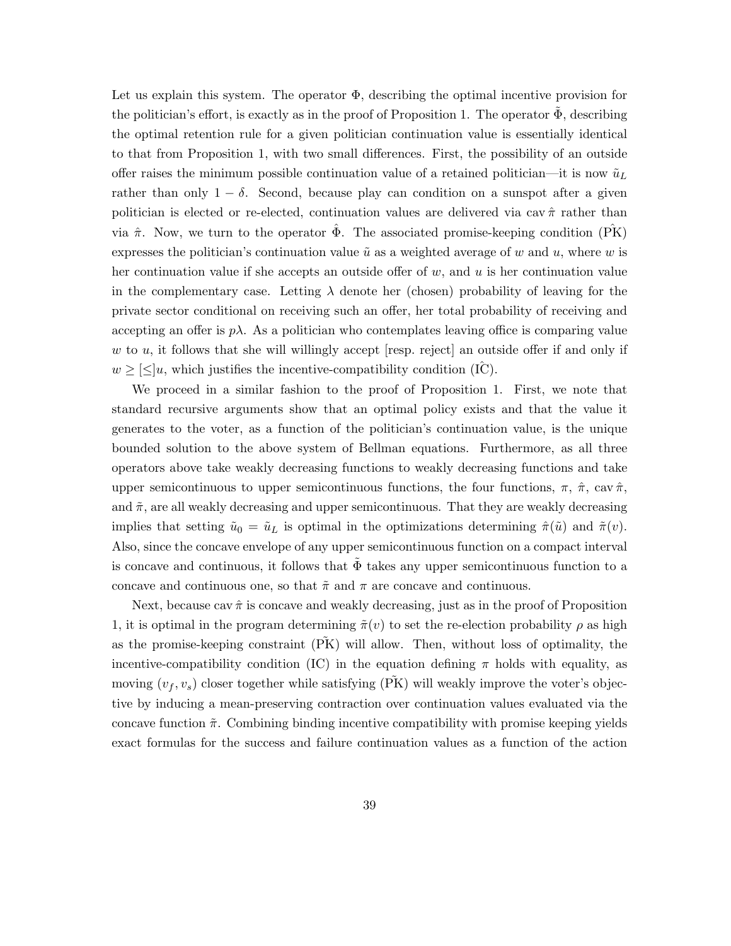Let us explain this system. The operator  $\Phi$ , describing the optimal incentive provision for the politician's effort, is exactly as in the proof of Proposition 1. The operator  $\Phi$ , describing the optimal retention rule for a given politician continuation value is essentially identical to that from Proposition 1, with two small differences. First, the possibility of an outside offer raises the minimum possible continuation value of a retained politician—it is now  $\tilde{u}_L$ rather than only  $1 - \delta$ . Second, because play can condition on a sunspot after a given politician is elected or re-elected, continuation values are delivered via cav  $\hat{\pi}$  rather than via  $\hat{\pi}$ . Now, we turn to the operator  $\hat{\Phi}$ . The associated promise-keeping condition ( $\hat{PK}$ ) expresses the politician's continuation value  $\tilde{u}$  as a weighted average of w and u, where w is her continuation value if she accepts an outside offer of  $w$ , and  $u$  is her continuation value in the complementary case. Letting  $\lambda$  denote her (chosen) probability of leaving for the private sector conditional on receiving such an offer, her total probability of receiving and accepting an offer is  $p\lambda$ . As a politician who contemplates leaving office is comparing value w to u, it follows that she will willingly accept  $[resp.$  reject an outside offer if and only if  $w \geq |\leq |u|$ , which justifies the incentive-compatibility condition (IC).

We proceed in a similar fashion to the proof of Proposition 1. First, we note that standard recursive arguments show that an optimal policy exists and that the value it generates to the voter, as a function of the politician's continuation value, is the unique bounded solution to the above system of Bellman equations. Furthermore, as all three operators above take weakly decreasing functions to weakly decreasing functions and take upper semicontinuous to upper semicontinuous functions, the four functions,  $\pi$ ,  $\hat{\pi}$ , cav  $\hat{\pi}$ , and  $\tilde{\pi}$ , are all weakly decreasing and upper semicontinuous. That they are weakly decreasing implies that setting  $\tilde{u}_0 = \tilde{u}_L$  is optimal in the optimizations determining  $\hat{\pi}(\tilde{u})$  and  $\tilde{\pi}(v)$ . Also, since the concave envelope of any upper semicontinuous function on a compact interval is concave and continuous, it follows that  $\tilde{\Phi}$  takes any upper semicontinuous function to a concave and continuous one, so that  $\tilde{\pi}$  and  $\pi$  are concave and continuous.

Next, because cav  $\hat{\pi}$  is concave and weakly decreasing, just as in the proof of Proposition 1, it is optimal in the program determining  $\tilde{\pi}(v)$  to set the re-election probability  $\rho$  as high as the promise-keeping constraint (PK) will allow. Then, without loss of optimality, the incentive-compatibility condition (IC) in the equation defining  $\pi$  holds with equality, as moving  $(v_f, v_s)$  closer together while satisfying  $(\tilde{PK})$  will weakly improve the voter's objective by inducing a mean-preserving contraction over continuation values evaluated via the concave function  $\tilde{\pi}$ . Combining binding incentive compatibility with promise keeping yields exact formulas for the success and failure continuation values as a function of the action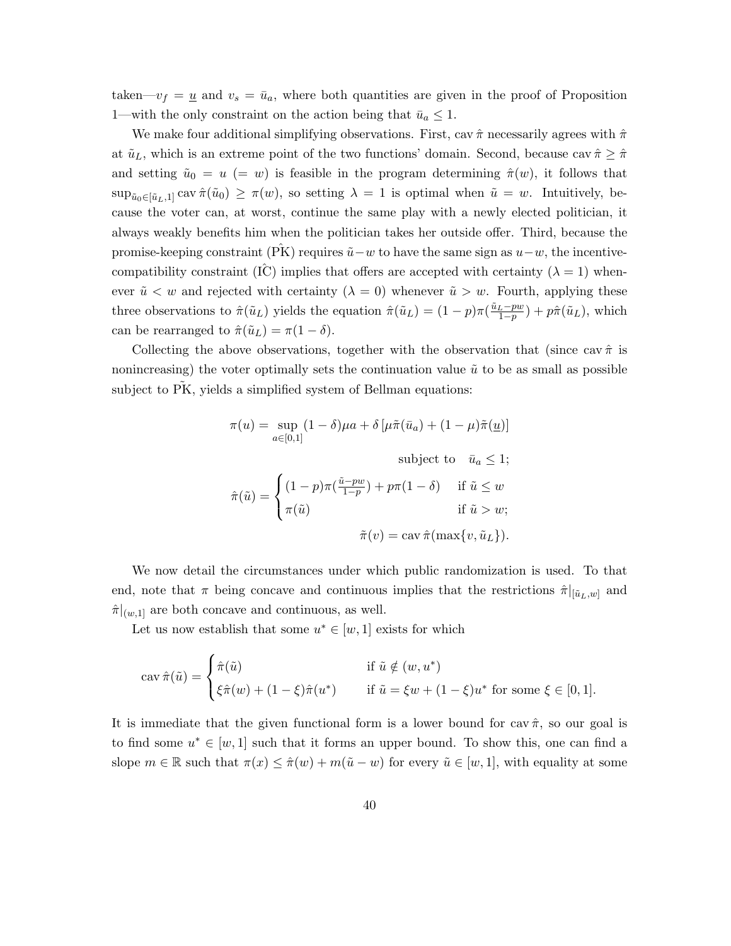taken— $v_f = \underline{u}$  and  $v_s = \bar{u}_a$ , where both quantities are given in the proof of Proposition 1—with the only constraint on the action being that  $\bar{u}_a \leq 1$ .

We make four additional simplifying observations. First, cav  $\hat{\pi}$  necessarily agrees with  $\hat{\pi}$ at  $\tilde{u}_L$ , which is an extreme point of the two functions' domain. Second, because cav  $\hat{\pi} \geq \hat{\pi}$ and setting  $\tilde{u}_0 = u$  (= w) is feasible in the program determining  $\hat{\pi}(w)$ , it follows that  $\sup_{\tilde{u}_0\in[\tilde{u}_L,1]} \operatorname{cav} \hat{\pi}(\tilde{u}_0)\geq \pi(w)$ , so setting  $\lambda=1$  is optimal when  $\tilde{u}=w$ . Intuitively, because the voter can, at worst, continue the same play with a newly elected politician, it always weakly benefits him when the politician takes her outside offer. Third, because the promise-keeping constraint (PK) requires  $\tilde{u}-w$  to have the same sign as  $u-w$ , the incentivecompatibility constraint (IC) implies that offers are accepted with certainty ( $\lambda = 1$ ) whenever  $\tilde{u} < w$  and rejected with certainty  $(\lambda = 0)$  whenever  $\tilde{u} > w$ . Fourth, applying these three observations to  $\hat{\pi}(\tilde{u}_L)$  yields the equation  $\hat{\pi}(\tilde{u}_L) = (1-p)\pi(\frac{\tilde{u}_L-pw}{1-p}) + p\hat{\pi}(\tilde{u}_L)$ , which can be rearranged to  $\hat{\pi}(\tilde{u}_L) = \pi(1 - \delta)$ .

Collecting the above observations, together with the observation that (since cav  $\hat{\pi}$  is nonincreasing) the voter optimally sets the continuation value  $\tilde{u}$  to be as small as possible subject to PK, yields a simplified system of Bellman equations:

$$
\pi(u) = \sup_{a \in [0,1]} (1 - \delta)\mu a + \delta \left[ \mu \tilde{\pi}(\bar{u}_a) + (1 - \mu)\tilde{\pi}(\underline{u}) \right]
$$
  
subject to  $\bar{u}_a \le 1$ ;  

$$
\hat{\pi}(\tilde{u}) = \begin{cases} (1 - p)\pi(\frac{\tilde{u} - pw}{1 - p}) + p\pi(1 - \delta) & \text{if } \tilde{u} \le w \\ \pi(\tilde{u}) & \text{if } \tilde{u} > w; \end{cases}
$$

$$
\tilde{\pi}(v) = \text{cav } \hat{\pi}(\max\{v, \tilde{u}_L\}).
$$

We now detail the circumstances under which public randomization is used. To that end, note that  $\pi$  being concave and continuous implies that the restrictions  $\hat{\pi}|_{[\tilde{u}_L,w]}$  and  $\hat{\pi}|_{(w,1]}$  are both concave and continuous, as well.

Let us now establish that some  $u^* \in [w, 1]$  exists for which

$$
\operatorname{cav}\hat{\pi}(\tilde{u}) = \begin{cases}\n\hat{\pi}(\tilde{u}) & \text{if } \tilde{u} \notin (w, u^*) \\
\xi \hat{\pi}(w) + (1 - \xi)\hat{\pi}(u^*) & \text{if } \tilde{u} = \xi w + (1 - \xi)u^* \text{ for some } \xi \in [0, 1].\n\end{cases}
$$

It is immediate that the given functional form is a lower bound for cav  $\hat{\pi}$ , so our goal is to find some  $u^* \in [w, 1]$  such that it forms an upper bound. To show this, one can find a slope  $m \in \mathbb{R}$  such that  $\pi(x) \leq \hat{\pi}(w) + m(\tilde{u} - w)$  for every  $\tilde{u} \in [w, 1]$ , with equality at some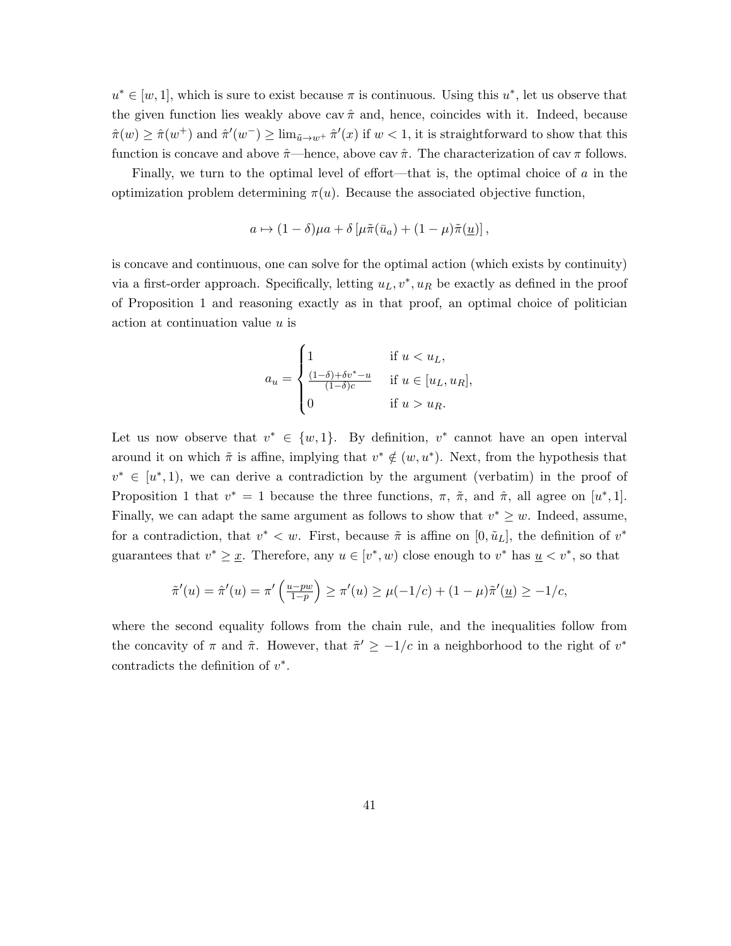$u^* \in [w, 1]$ , which is sure to exist because  $\pi$  is continuous. Using this  $u^*$ , let us observe that the given function lies weakly above cav  $\hat{\pi}$  and, hence, coincides with it. Indeed, because  $\hat{\pi}(w) \geq \hat{\pi}(w^+)$  and  $\hat{\pi}'(w^-) \geq \lim_{\tilde{u} \to w^+} \hat{\pi}'(x)$  if  $w < 1$ , it is straightforward to show that this function is concave and above  $\hat{\pi}$ —hence, above cav  $\hat{\pi}$ . The characterization of cav  $\pi$  follows.

Finally, we turn to the optimal level of effort—that is, the optimal choice of  $\alpha$  in the optimization problem determining  $\pi(u)$ . Because the associated objective function,

$$
a \mapsto (1 - \delta)\mu a + \delta \left[ \mu \tilde{\pi}(\bar{u}_a) + (1 - \mu)\tilde{\pi}(\underline{u}) \right],
$$

is concave and continuous, one can solve for the optimal action (which exists by continuity) via a first-order approach. Specifically, letting  $u_L, v^*, u_R$  be exactly as defined in the proof of Proposition 1 and reasoning exactly as in that proof, an optimal choice of politician action at continuation value u is

$$
a_u = \begin{cases} 1 & \text{if } u < u_L, \\ \frac{(1-\delta)+\delta v^* - u}{(1-\delta)c} & \text{if } u \in [u_L, u_R], \\ 0 & \text{if } u > u_R. \end{cases}
$$

Let us now observe that  $v^* \in \{w, 1\}$ . By definition,  $v^*$  cannot have an open interval around it on which  $\tilde{\pi}$  is affine, implying that  $v^* \notin (w, u^*)$ . Next, from the hypothesis that  $v^* \in [u^*, 1]$ , we can derive a contradiction by the argument (verbatim) in the proof of Proposition 1 that  $v^* = 1$  because the three functions,  $\pi$ ,  $\tilde{\pi}$ , and  $\hat{\pi}$ , all agree on [u<sup>\*</sup>, 1]. Finally, we can adapt the same argument as follows to show that  $v^* \geq w$ . Indeed, assume, for a contradiction, that  $v^* < w$ . First, because  $\tilde{\pi}$  is affine on  $[0, \tilde{u}_L]$ , the definition of  $v^*$ guarantees that  $v^* \geq \underline{x}$ . Therefore, any  $u \in [v^*, w)$  close enough to  $v^*$  has  $\underline{u} \lt v^*$ , so that

$$
\tilde{\pi}'(u) = \hat{\pi}'(u) = \pi' \left( \frac{u - pw}{1 - p} \right) \ge \pi'(u) \ge \mu(-1/c) + (1 - \mu)\tilde{\pi}'(\underline{u}) \ge -1/c,
$$

where the second equality follows from the chain rule, and the inequalities follow from the concavity of  $\pi$  and  $\tilde{\pi}$ . However, that  $\tilde{\pi}' \geq -1/c$  in a neighborhood to the right of  $v^*$ contradicts the definition of  $v^*$ .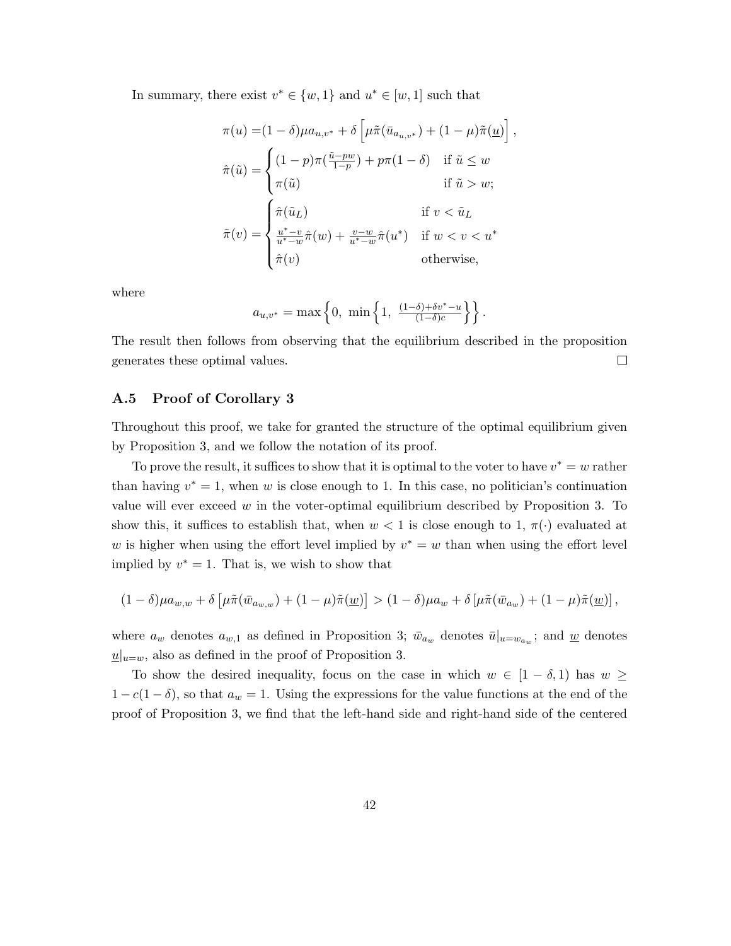In summary, there exist  $v^* \in \{w, 1\}$  and  $u^* \in [w, 1]$  such that

$$
\pi(u) = (1 - \delta)\mu a_{u,v^*} + \delta \left[ \mu \tilde{\pi}(\bar{u}_{a_{u,v^*}}) + (1 - \mu)\tilde{\pi}(\underline{u}) \right],
$$

$$
\hat{\pi}(\tilde{u}) = \begin{cases} (1 - p)\pi(\frac{\tilde{u} - pw}{1 - p}) + p\pi(1 - \delta) & \text{if } \tilde{u} \le w \\ \pi(\tilde{u}) & \text{if } \tilde{u} > w; \end{cases}
$$

$$
\tilde{\pi}(v) = \begin{cases} \hat{\pi}(\tilde{u}_L) & \text{if } v < \tilde{u}_L \\ \frac{u^* - v}{u^* - w}\hat{\pi}(w) + \frac{v - w}{u^* - w}\hat{\pi}(u^*) & \text{if } w < v < u^* \\ \hat{\pi}(v) & \text{otherwise,} \end{cases}
$$

where

$$
a_{u,v^*} = \max\left\{0, \min\left\{1, \frac{(1-\delta)+\delta v^*-u}{(1-\delta)c}\right\}\right\}.
$$

The result then follows from observing that the equilibrium described in the proposition  $\Box$ generates these optimal values.

#### A.5 Proof of Corollary 3

Throughout this proof, we take for granted the structure of the optimal equilibrium given by Proposition 3, and we follow the notation of its proof.

To prove the result, it suffices to show that it is optimal to the voter to have  $v^* = w$  rather than having  $v^* = 1$ , when w is close enough to 1. In this case, no politician's continuation value will ever exceed  $w$  in the voter-optimal equilibrium described by Proposition 3. To show this, it suffices to establish that, when  $w < 1$  is close enough to 1,  $\pi(\cdot)$  evaluated at w is higher when using the effort level implied by  $v^* = w$  than when using the effort level implied by  $v^* = 1$ . That is, we wish to show that

$$
(1-\delta)\mu a_{w,w} + \delta \left[ \mu \tilde{\pi}(\bar{w}_{a_{w,w}}) + (1-\mu)\tilde{\pi}(\underline{w}) \right] > (1-\delta)\mu a_w + \delta \left[ \mu \tilde{\pi}(\bar{w}_{a_w}) + (1-\mu)\tilde{\pi}(\underline{w}) \right],
$$

where  $a_w$  denotes  $a_{w,1}$  as defined in Proposition 3;  $\bar{w}_{a_w}$  denotes  $\bar{u}|_{u=w_{a_w}}$ ; and <u>w</u> denotes  $\underline{u}|_{u=w}$ , also as defined in the proof of Proposition 3.

To show the desired inequality, focus on the case in which  $w \in [1 - \delta, 1)$  has  $w \geq$  $1 - c(1 - \delta)$ , so that  $a_w = 1$ . Using the expressions for the value functions at the end of the proof of Proposition 3, we find that the left-hand side and right-hand side of the centered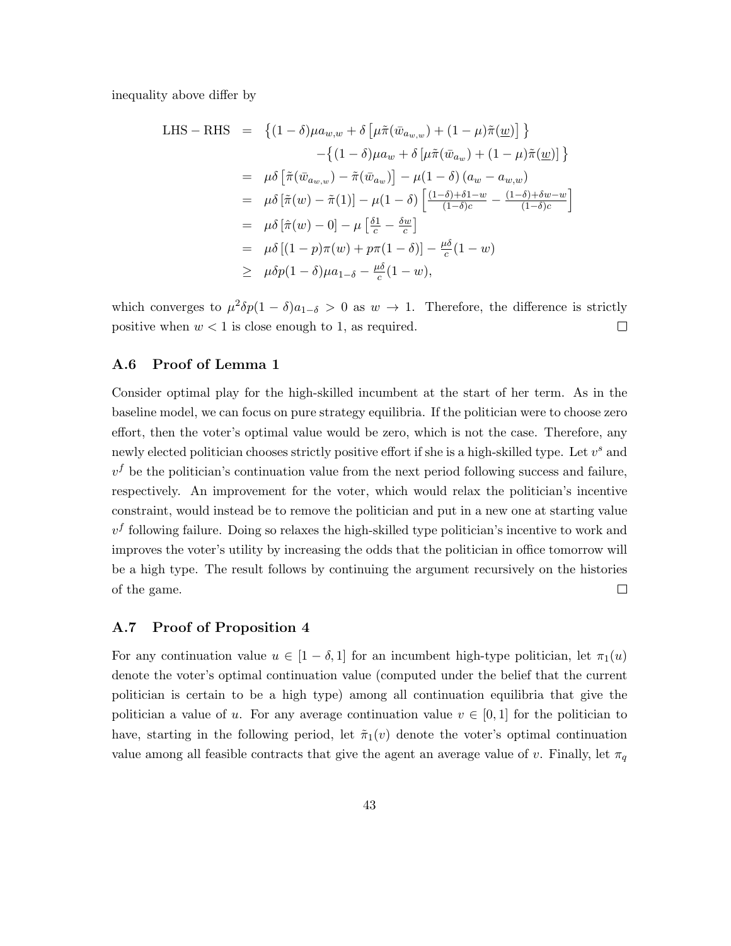inequality above differ by

LHS – RHS = 
$$
\{(1 - \delta)\mu a_{w,w} + \delta \left[\mu \tilde{\pi}(\bar{w}_{a_{w,w}}) + (1 - \mu)\tilde{\pi}(\underline{w})\right]\}
$$

$$
- \{(1 - \delta)\mu a_w + \delta \left[\mu \tilde{\pi}(\bar{w}_{a_w}) + (1 - \mu)\tilde{\pi}(\underline{w})\right]\}
$$

$$
= \mu \delta \left[\tilde{\pi}(\bar{w}_{a_{w,w}}) - \tilde{\pi}(\bar{w}_{a_w})\right] - \mu(1 - \delta) (a_w - a_{w,w})
$$

$$
= \mu \delta \left[\tilde{\pi}(w) - \tilde{\pi}(1)\right] - \mu(1 - \delta) \left[\frac{(1 - \delta) + \delta 1 - w}{(1 - \delta)c} - \frac{(1 - \delta) + \delta w - w}{(1 - \delta)c}\right]
$$

$$
= \mu \delta \left[\hat{\pi}(w) - 0\right] - \mu \left[\frac{\delta 1}{c} - \frac{\delta w}{c}\right]
$$

$$
= \mu \delta \left[(1 - p)\pi(w) + p\pi(1 - \delta)\right] - \frac{\mu \delta}{c}(1 - w)
$$

$$
\geq \mu \delta p(1 - \delta)\mu a_{1-\delta} - \frac{\mu \delta}{c}(1 - w),
$$

which converges to  $\mu^2 \delta p(1-\delta)a_{1-\delta} > 0$  as  $w \to 1$ . Therefore, the difference is strictly positive when  $w < 1$  is close enough to 1, as required.  $\Box$ 

### A.6 Proof of Lemma 1

Consider optimal play for the high-skilled incumbent at the start of her term. As in the baseline model, we can focus on pure strategy equilibria. If the politician were to choose zero effort, then the voter's optimal value would be zero, which is not the case. Therefore, any newly elected politician chooses strictly positive effort if she is a high-skilled type. Let  $v^s$  and  $v<sup>f</sup>$  be the politician's continuation value from the next period following success and failure, respectively. An improvement for the voter, which would relax the politician's incentive constraint, would instead be to remove the politician and put in a new one at starting value  $v<sup>f</sup>$  following failure. Doing so relaxes the high-skilled type politician's incentive to work and improves the voter's utility by increasing the odds that the politician in office tomorrow will be a high type. The result follows by continuing the argument recursively on the histories of the game.  $\Box$ 

#### A.7 Proof of Proposition 4

For any continuation value  $u \in [1 - \delta, 1]$  for an incumbent high-type politician, let  $\pi_1(u)$ denote the voter's optimal continuation value (computed under the belief that the current politician is certain to be a high type) among all continuation equilibria that give the politician a value of u. For any average continuation value  $v \in [0,1]$  for the politician to have, starting in the following period, let  $\tilde{\pi}_1(v)$  denote the voter's optimal continuation value among all feasible contracts that give the agent an average value of v. Finally, let  $\pi_q$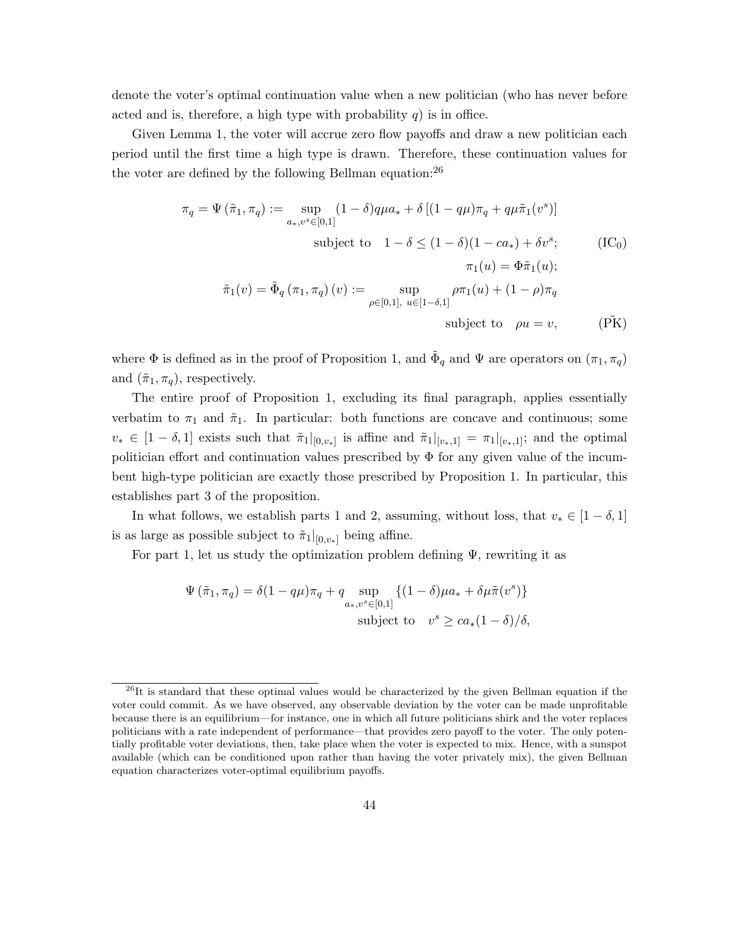denote the voter's optimal continuation value when a new politician (who has never before acted and is, therefore, a high type with probability  $q$ ) is in office.

Given Lemma 1, the voter will accrue zero flow payoffs and draw a new politician each period until the first time a high type is drawn. Therefore, these continuation values for the voter are defined by the following Bellman equation:  $26$ 

$$
\pi_q = \Psi\left(\tilde{\pi}_1, \pi_q\right) := \sup_{a_*, v^s \in [0,1]} (1 - \delta) q \mu a_* + \delta \left[ (1 - q\mu) \pi_q + q\mu \tilde{\pi}_1(v^s) \right]
$$
  
subject to 
$$
1 - \delta \le (1 - \delta)(1 - ca_*) + \delta v^s; \qquad \text{(IC}_0)
$$

$$
\pi_1(u) = \Phi \tilde{\pi}_1(u);
$$

$$
\tilde{\pi}_1(v) = \tilde{\Phi}_q \left( \pi_1, \pi_q \right)(v) := \sup_{\rho \in [0,1], \ u \in [1 - \delta,1]} \rho \pi_1(u) + (1 - \rho) \pi_q
$$
  
subject to  $\rho u = v$ , (PK)

where  $\Phi$  is defined as in the proof of Proposition 1, and  $\tilde{\Phi}_q$  and  $\Psi$  are operators on  $(\pi_1, \pi_q)$ and  $(\tilde{\pi}_1, \pi_q)$ , respectively.

The entire proof of Proposition 1, excluding its final paragraph, applies essentially verbatim to  $\pi_1$  and  $\tilde{\pi}_1$ . In particular: both functions are concave and continuous; some  $v_* \in [1-\delta,1]$  exists such that  $\tilde{\pi}_1|_{[0,v_*]}$  is affine and  $\tilde{\pi}_1|_{[v_*,1]} = \pi_1|_{[v_*,1]}$ ; and the optimal politician effort and continuation values prescribed by  $\Phi$  for any given value of the incumbent high-type politician are exactly those prescribed by Proposition 1. In particular, this establishes part 3 of the proposition.

In what follows, we establish parts 1 and 2, assuming, without loss, that  $v_* \in [1 - \delta, 1]$ is as large as possible subject to  $\tilde{\pi}_1|_{[0,v_*]}$  being affine.

For part 1, let us study the optimization problem defining  $\Psi$ , rewriting it as

$$
\Psi\left(\tilde{\pi}_1, \pi_q\right) = \delta(1 - q\mu)\pi_q + q \sup_{a_*,v^s \in [0,1]} \left\{ (1 - \delta)\mu a_* + \delta\mu \tilde{\pi}(v^s) \right\}
$$
  
subject to  $v^s \ge ca_*(1 - \delta)/\delta$ ,

 $^{26}$ It is standard that these optimal values would be characterized by the given Bellman equation if the voter could commit. As we have observed, any observable deviation by the voter can be made unprofitable because there is an equilibrium—for instance, one in which all future politicians shirk and the voter replaces politicians with a rate independent of performance—that provides zero payoff to the voter. The only potentially profitable voter deviations, then, take place when the voter is expected to mix. Hence, with a sunspot available (which can be conditioned upon rather than having the voter privately mix), the given Bellman equation characterizes voter-optimal equilibrium payoffs.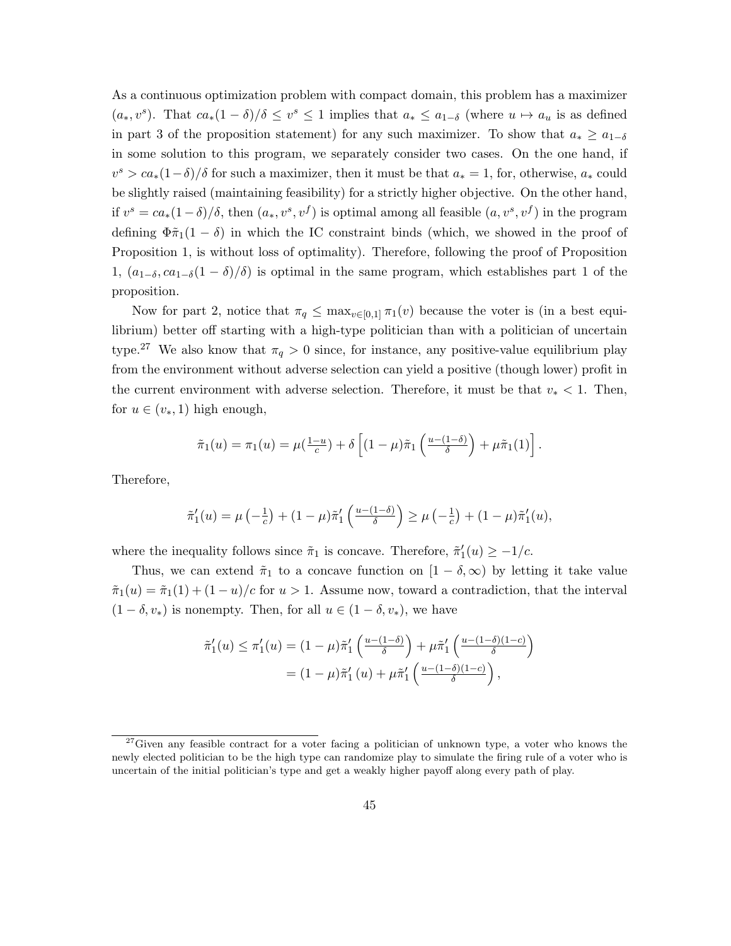As a continuous optimization problem with compact domain, this problem has a maximizer  $(a_*, v^s)$ . That  $ca_*(1 - \delta)/\delta \leq v^s \leq 1$  implies that  $a_* \leq a_{1-\delta}$  (where  $u \mapsto a_u$  is as defined in part 3 of the proposition statement) for any such maximizer. To show that  $a_* \ge a_{1-\delta}$ in some solution to this program, we separately consider two cases. On the one hand, if  $v^s > ca_*(1-\delta)/\delta$  for such a maximizer, then it must be that  $a_* = 1$ , for, otherwise,  $a_*$  could be slightly raised (maintaining feasibility) for a strictly higher objective. On the other hand, if  $v^s = ca_*(1-\delta)/\delta$ , then  $(a_*, v^s, v^f)$  is optimal among all feasible  $(a, v^s, v^f)$  in the program defining  $\Phi \tilde{\pi}_1(1-\delta)$  in which the IC constraint binds (which, we showed in the proof of Proposition 1, is without loss of optimality). Therefore, following the proof of Proposition 1,  $(a_{1−δ}, ca_{1−δ}(1 − δ)/δ)$  is optimal in the same program, which establishes part 1 of the proposition.

Now for part 2, notice that  $\pi_q \leq \max_{v \in [0,1]} \pi_1(v)$  because the voter is (in a best equilibrium) better off starting with a high-type politician than with a politician of uncertain type.<sup>27</sup> We also know that  $\pi_q > 0$  since, for instance, any positive-value equilibrium play from the environment without adverse selection can yield a positive (though lower) profit in the current environment with adverse selection. Therefore, it must be that  $v_* < 1$ . Then, for  $u \in (v_*, 1)$  high enough,

$$
\tilde{\pi}_1(u) = \pi_1(u) = \mu(\frac{1-u}{c}) + \delta \left[ (1-\mu)\tilde{\pi}_1\left(\frac{u-(1-\delta)}{\delta}\right) + \mu\tilde{\pi}_1(1) \right].
$$

Therefore,

$$
\tilde{\pi}'_1(u) = \mu\left(-\frac{1}{c}\right) + (1-\mu)\tilde{\pi}'_1\left(\frac{u-(1-\delta)}{\delta}\right) \geq \mu\left(-\frac{1}{c}\right) + (1-\mu)\tilde{\pi}'_1(u),
$$

where the inequality follows since  $\tilde{\pi}_1$  is concave. Therefore,  $\tilde{\pi}'_1(u) \geq -1/c$ .

Thus, we can extend  $\tilde{\pi}_1$  to a concave function on  $[1 - \delta, \infty)$  by letting it take value  $\tilde{\pi}_1(u) = \tilde{\pi}_1(1) + (1 - u)/c$  for  $u > 1$ . Assume now, toward a contradiction, that the interval  $(1 - \delta, v_*)$  is nonempty. Then, for all  $u \in (1 - \delta, v_*)$ , we have

$$
\tilde{\pi}'_1(u) \leq \pi'_1(u) = (1 - \mu)\tilde{\pi}'_1\left(\frac{u - (1 - \delta)}{\delta}\right) + \mu\tilde{\pi}'_1\left(\frac{u - (1 - \delta)(1 - c)}{\delta}\right)
$$

$$
= (1 - \mu)\tilde{\pi}'_1(u) + \mu\tilde{\pi}'_1\left(\frac{u - (1 - \delta)(1 - c)}{\delta}\right),
$$

 $27$ Given any feasible contract for a voter facing a politician of unknown type, a voter who knows the newly elected politician to be the high type can randomize play to simulate the firing rule of a voter who is uncertain of the initial politician's type and get a weakly higher payoff along every path of play.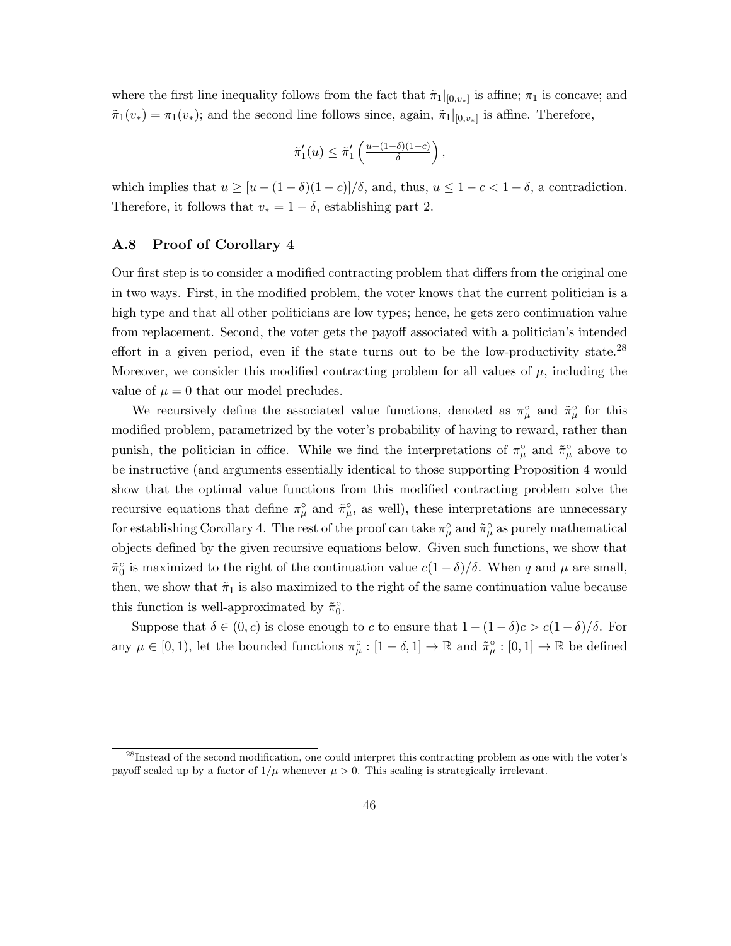where the first line inequality follows from the fact that  $\tilde{\pi}_1|_{[0,v_*]}$  is affine;  $\pi_1$  is concave; and  $\tilde{\pi}_1(v_*) = \pi_1(v_*)$ ; and the second line follows since, again,  $\tilde{\pi}_1|_{[0,v_*]}$  is affine. Therefore,

$$
\tilde{\pi}'_1(u) \leq \tilde{\pi}'_1\left(\frac{u - (1 - \delta)(1 - c)}{\delta}\right),\,
$$

which implies that  $u \geq [u - (1 - \delta)(1 - c)]/\delta$ , and, thus,  $u \leq 1 - c < 1 - \delta$ , a contradiction. Therefore, it follows that  $v_* = 1 - \delta$ , establishing part 2.

#### A.8 Proof of Corollary 4

Our first step is to consider a modified contracting problem that differs from the original one in two ways. First, in the modified problem, the voter knows that the current politician is a high type and that all other politicians are low types; hence, he gets zero continuation value from replacement. Second, the voter gets the payoff associated with a politician's intended effort in a given period, even if the state turns out to be the low-productivity state.<sup>28</sup> Moreover, we consider this modified contracting problem for all values of  $\mu$ , including the value of  $\mu = 0$  that our model precludes.

We recursively define the associated value functions, denoted as  $\pi^{\circ}_{\mu}$  and  $\tilde{\pi}^{\circ}_{\mu}$  for this modified problem, parametrized by the voter's probability of having to reward, rather than punish, the politician in office. While we find the interpretations of  $\pi^{\circ}_{\mu}$  and  $\tilde{\pi}^{\circ}_{\mu}$  above to be instructive (and arguments essentially identical to those supporting Proposition 4 would show that the optimal value functions from this modified contracting problem solve the recursive equations that define  $\pi^{\circ}_{\mu}$  and  $\tilde{\pi}^{\circ}_{\mu}$ , as well), these interpretations are unnecessary for establishing Corollary 4. The rest of the proof can take  $\pi^{\circ}_{\mu}$  and  $\tilde{\pi}^{\circ}_{\mu}$  as purely mathematical objects defined by the given recursive equations below. Given such functions, we show that  $\tilde{\pi}_0^{\circ}$  is maximized to the right of the continuation value  $c(1-\delta)/\delta$ . When q and  $\mu$  are small, then, we show that  $\tilde{\pi}_1$  is also maximized to the right of the same continuation value because this function is well-approximated by  $\tilde{\pi}_0^{\circ}$ .

Suppose that  $\delta \in (0, c)$  is close enough to c to ensure that  $1 - (1 - \delta)c > c(1 - \delta)/\delta$ . For any  $\mu \in [0,1)$ , let the bounded functions  $\pi_{\mu}^{\circ} : [1 - \delta, 1] \to \mathbb{R}$  and  $\tilde{\pi}_{\mu}^{\circ} : [0,1] \to \mathbb{R}$  be defined

 $^{28}$ Instead of the second modification, one could interpret this contracting problem as one with the voter's payoff scaled up by a factor of  $1/\mu$  whenever  $\mu > 0$ . This scaling is strategically irrelevant.